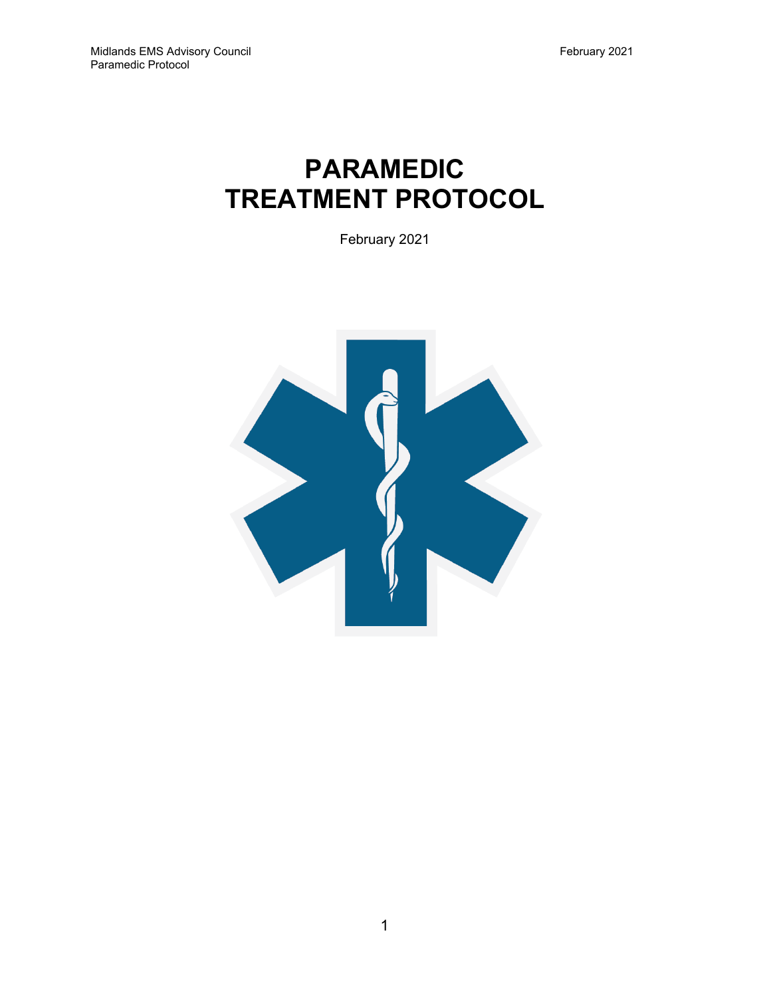# **PARAMEDIC TREATMENT PROTOCOL**

February 2021

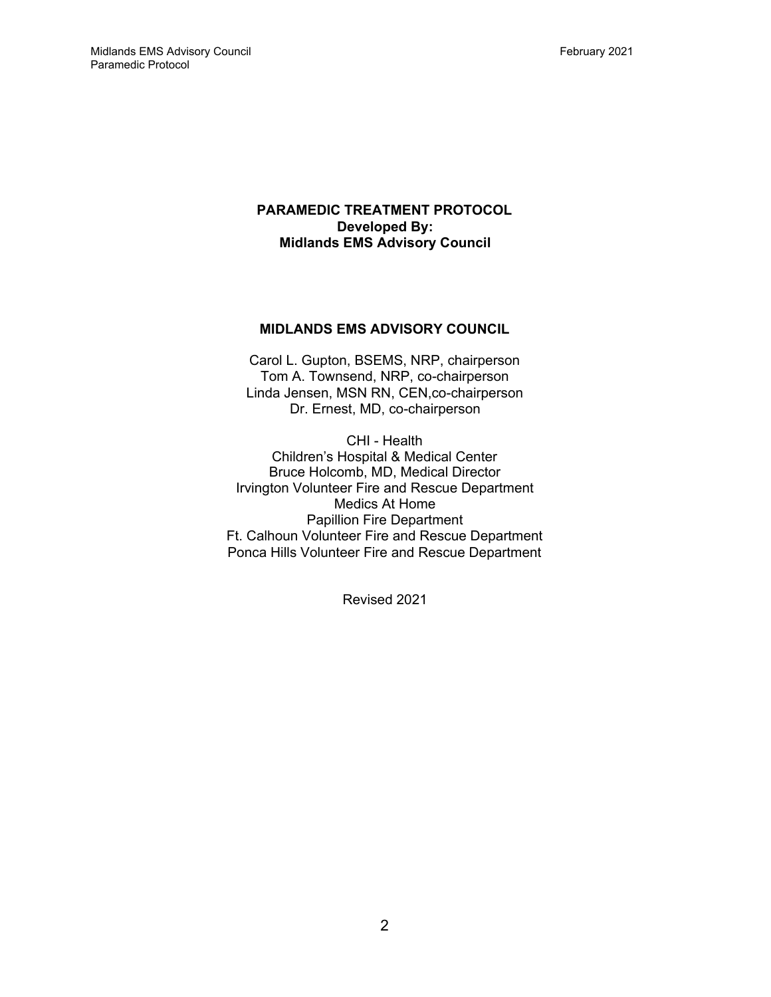#### **PARAMEDIC TREATMENT PROTOCOL Developed By: Midlands EMS Advisory Council**

#### **MIDLANDS EMS ADVISORY COUNCIL**

Carol L. Gupton, BSEMS, NRP, chairperson Tom A. Townsend, NRP, co-chairperson Linda Jensen, MSN RN, CEN,co-chairperson Dr. Ernest, MD, co-chairperson

CHI - Health Children's Hospital & Medical Center Bruce Holcomb, MD, Medical Director Irvington Volunteer Fire and Rescue Department Medics At Home Papillion Fire Department Ft. Calhoun Volunteer Fire and Rescue Department Ponca Hills Volunteer Fire and Rescue Department

Revised 2021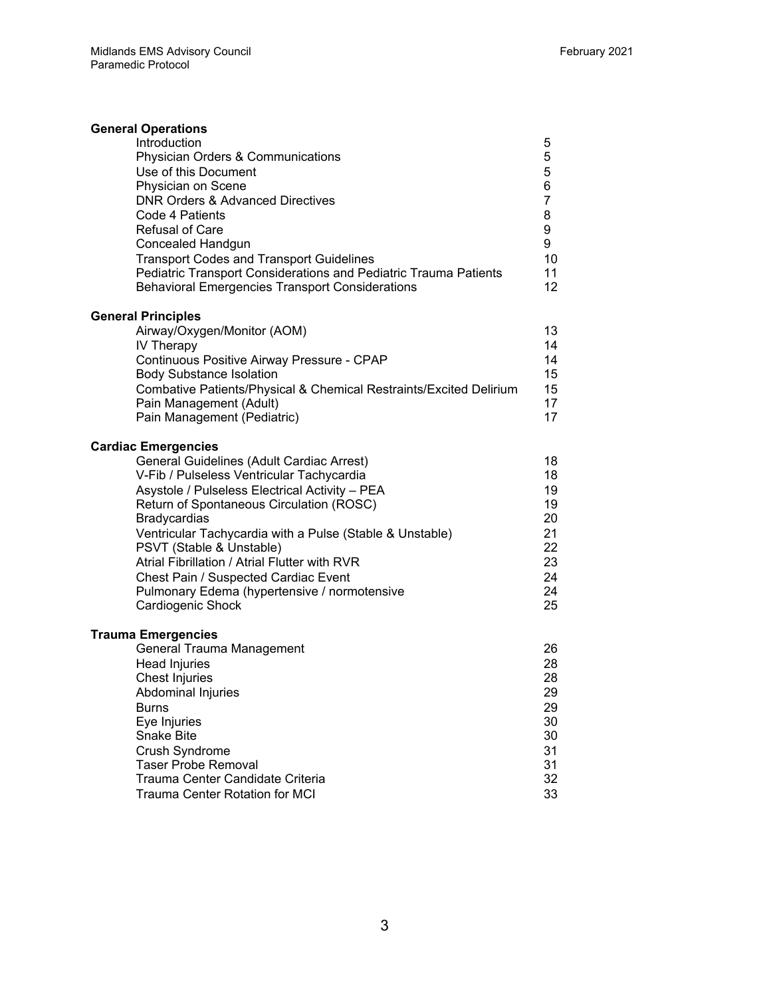| <b>General Operations</b>                                                                                                  |                |
|----------------------------------------------------------------------------------------------------------------------------|----------------|
| Introduction                                                                                                               | 5              |
| <b>Physician Orders &amp; Communications</b><br>Use of this Document                                                       | 5<br>5         |
| Physician on Scene                                                                                                         | 6              |
| <b>DNR Orders &amp; Advanced Directives</b>                                                                                | $\overline{7}$ |
| Code 4 Patients                                                                                                            | 8              |
| <b>Refusal of Care</b>                                                                                                     | 9              |
| Concealed Handgun                                                                                                          | 9              |
| <b>Transport Codes and Transport Guidelines</b>                                                                            | 10             |
| Pediatric Transport Considerations and Pediatric Trauma Patients<br><b>Behavioral Emergencies Transport Considerations</b> | 11<br>12       |
| <b>General Principles</b>                                                                                                  |                |
| Airway/Oxygen/Monitor (AOM)                                                                                                | 13             |
| <b>IV Therapy</b>                                                                                                          | 14             |
| Continuous Positive Airway Pressure - CPAP                                                                                 | 14             |
| <b>Body Substance Isolation</b>                                                                                            | 15             |
| Combative Patients/Physical & Chemical Restraints/Excited Delirium<br>Pain Management (Adult)                              | 15<br>17       |
| Pain Management (Pediatric)                                                                                                | 17             |
| <b>Cardiac Emergencies</b>                                                                                                 |                |
| General Guidelines (Adult Cardiac Arrest)                                                                                  | 18             |
| V-Fib / Pulseless Ventricular Tachycardia                                                                                  | 18             |
| Asystole / Pulseless Electrical Activity - PEA                                                                             | 19             |
| Return of Spontaneous Circulation (ROSC)                                                                                   | 19             |
| <b>Bradycardias</b><br>Ventricular Tachycardia with a Pulse (Stable & Unstable)                                            | 20<br>21       |
| PSVT (Stable & Unstable)                                                                                                   | 22             |
| Atrial Fibrillation / Atrial Flutter with RVR                                                                              | 23             |
| Chest Pain / Suspected Cardiac Event                                                                                       | 24             |
| Pulmonary Edema (hypertensive / normotensive                                                                               | 24             |
| Cardiogenic Shock                                                                                                          | 25             |
| <b>Trauma Emergencies</b>                                                                                                  |                |
| General Trauma Management                                                                                                  | 26             |
| Head Injuries<br><b>Chest Injuries</b>                                                                                     | 28<br>28       |
| Abdominal Injuries                                                                                                         | 29             |
| <b>Burns</b>                                                                                                               | 29             |
| Eye Injuries                                                                                                               | 30             |
| <b>Snake Bite</b>                                                                                                          | 30             |
| Crush Syndrome<br><b>Taser Probe Removal</b>                                                                               | 31<br>31       |
| Trauma Center Candidate Criteria                                                                                           | 32             |
| <b>Trauma Center Rotation for MCI</b>                                                                                      | 33             |
|                                                                                                                            |                |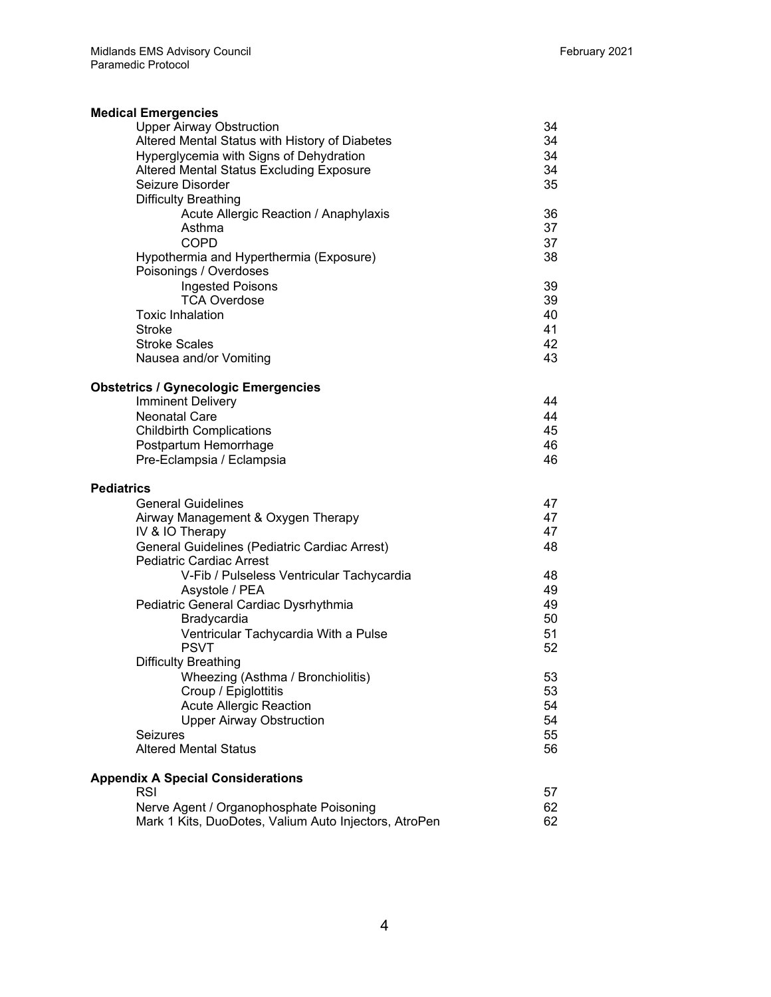| <b>Medical Emergencies</b>                            |    |
|-------------------------------------------------------|----|
| <b>Upper Airway Obstruction</b>                       | 34 |
| Altered Mental Status with History of Diabetes        | 34 |
| Hyperglycemia with Signs of Dehydration               | 34 |
| <b>Altered Mental Status Excluding Exposure</b>       | 34 |
| Seizure Disorder                                      | 35 |
| <b>Difficulty Breathing</b>                           |    |
| Acute Allergic Reaction / Anaphylaxis                 | 36 |
| Asthma                                                | 37 |
| <b>COPD</b>                                           | 37 |
| Hypothermia and Hyperthermia (Exposure)               | 38 |
| Poisonings / Overdoses                                |    |
| <b>Ingested Poisons</b>                               | 39 |
| <b>TCA Overdose</b>                                   | 39 |
| <b>Toxic Inhalation</b>                               | 40 |
| <b>Stroke</b>                                         | 41 |
| <b>Stroke Scales</b>                                  | 42 |
| Nausea and/or Vomiting                                | 43 |
| <b>Obstetrics / Gynecologic Emergencies</b>           |    |
| <b>Imminent Delivery</b>                              | 44 |
| <b>Neonatal Care</b>                                  | 44 |
| <b>Childbirth Complications</b>                       | 45 |
| Postpartum Hemorrhage                                 | 46 |
| Pre-Eclampsia / Eclampsia                             | 46 |
| <b>Pediatrics</b>                                     |    |
| <b>General Guidelines</b>                             | 47 |
| Airway Management & Oxygen Therapy                    | 47 |
| IV & IO Therapy                                       | 47 |
| General Guidelines (Pediatric Cardiac Arrest)         | 48 |
| <b>Pediatric Cardiac Arrest</b>                       |    |
| V-Fib / Pulseless Ventricular Tachycardia             | 48 |
| Asystole / PEA                                        | 49 |
| Pediatric General Cardiac Dysrhythmia                 | 49 |
| Bradycardia                                           | 50 |
| Ventricular Tachycardia With a Pulse                  | 51 |
| <b>PSVT</b>                                           | 52 |
| <b>Difficulty Breathing</b>                           |    |
| Wheezing (Asthma / Bronchiolitis)                     | 53 |
| Croup / Epiglottitis                                  | 53 |
| <b>Acute Allergic Reaction</b>                        | 54 |
| <b>Upper Airway Obstruction</b>                       | 54 |
| <b>Seizures</b>                                       | 55 |
| <b>Altered Mental Status</b>                          | 56 |
| <b>Appendix A Special Considerations</b>              |    |
| <b>RSI</b>                                            | 57 |
| Nerve Agent / Organophosphate Poisoning               | 62 |
| Mark 1 Kits, DuoDotes, Valium Auto Injectors, AtroPen | 62 |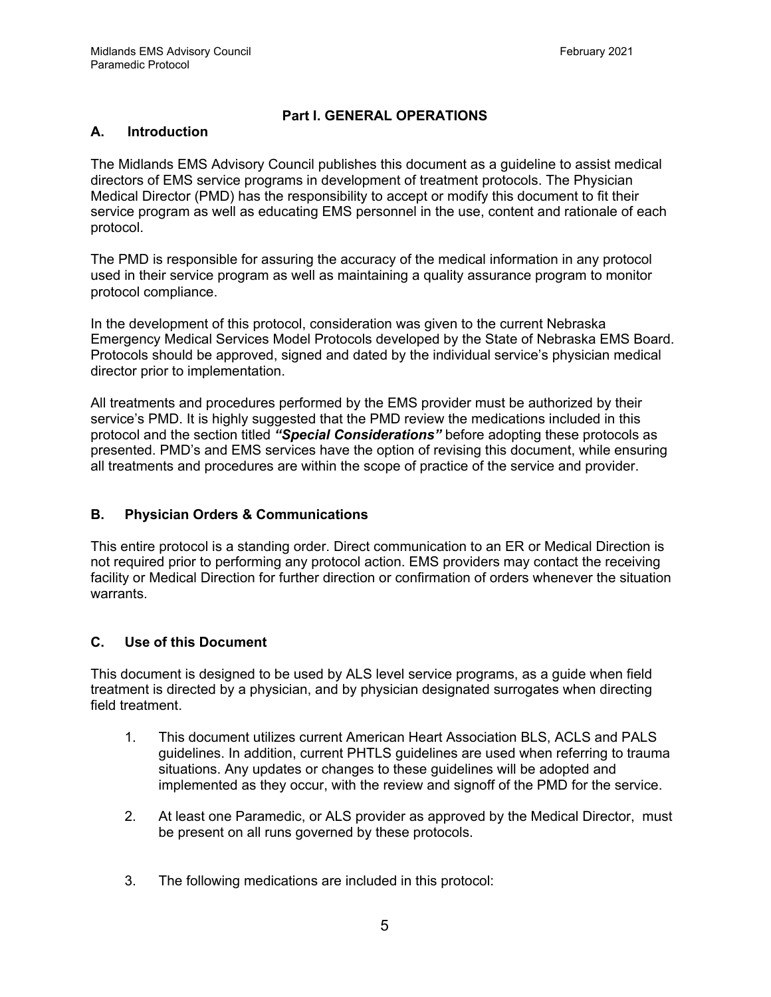# **Part I. GENERAL OPERATIONS**

#### **A. Introduction**

The Midlands EMS Advisory Council publishes this document as a guideline to assist medical directors of EMS service programs in development of treatment protocols. The Physician Medical Director (PMD) has the responsibility to accept or modify this document to fit their service program as well as educating EMS personnel in the use, content and rationale of each protocol.

The PMD is responsible for assuring the accuracy of the medical information in any protocol used in their service program as well as maintaining a quality assurance program to monitor protocol compliance.

In the development of this protocol, consideration was given to the current Nebraska Emergency Medical Services Model Protocols developed by the State of Nebraska EMS Board. Protocols should be approved, signed and dated by the individual service's physician medical director prior to implementation.

All treatments and procedures performed by the EMS provider must be authorized by their service's PMD. It is highly suggested that the PMD review the medications included in this protocol and the section titled *"Special Considerations"* before adopting these protocols as presented. PMD's and EMS services have the option of revising this document, while ensuring all treatments and procedures are within the scope of practice of the service and provider.

# **B. Physician Orders & Communications**

This entire protocol is a standing order. Direct communication to an ER or Medical Direction is not required prior to performing any protocol action. EMS providers may contact the receiving facility or Medical Direction for further direction or confirmation of orders whenever the situation warrants.

# **C. Use of this Document**

This document is designed to be used by ALS level service programs, as a guide when field treatment is directed by a physician, and by physician designated surrogates when directing field treatment.

- 1. This document utilizes current American Heart Association BLS, ACLS and PALS guidelines. In addition, current PHTLS guidelines are used when referring to trauma situations. Any updates or changes to these guidelines will be adopted and implemented as they occur, with the review and signoff of the PMD for the service.
- 2. At least one Paramedic, or ALS provider as approved by the Medical Director, must be present on all runs governed by these protocols.
- 3. The following medications are included in this protocol: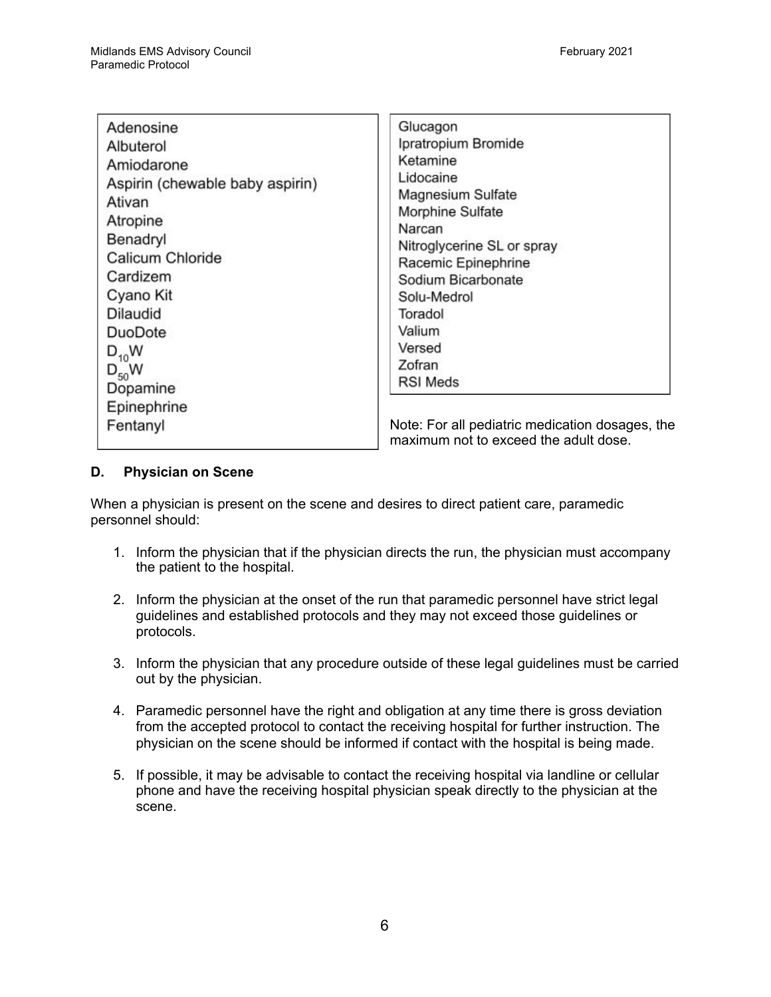| Adenosine<br>Albuterol<br>Amiodarone<br>Aspirin (chewable baby aspirin)<br>Ativan<br>Atropine<br>Benadryl<br>Calicum Chloride<br>Cardizem<br>Cyano Kit<br><b>Dilaudid</b><br>DuoDote<br>$D_{10}$ W<br>$D_{50}$ W<br>Dopamine | Glucagon<br>Ipratropium Bromide<br>Ketamine<br>Lidocaine<br>Magnesium Sulfate<br>Morphine Sulfate<br>Narcan<br>Nitroglycerine SL or spray<br>Racemic Epinephrine<br>Sodium Bicarbonate<br>Solu-Medrol<br>Toradol<br>Valium<br>Versed<br>Zofran<br><b>RSI Meds</b> |
|------------------------------------------------------------------------------------------------------------------------------------------------------------------------------------------------------------------------------|-------------------------------------------------------------------------------------------------------------------------------------------------------------------------------------------------------------------------------------------------------------------|
| Epinephrine                                                                                                                                                                                                                  | Note: For all pediatric medication dosages, the                                                                                                                                                                                                                   |
| Fentanyl                                                                                                                                                                                                                     | maximum not to exceed the adult dose.                                                                                                                                                                                                                             |

#### **D. Physician on Scene**

When a physician is present on the scene and desires to direct patient care, paramedic personnel should:

- 1. Inform the physician that if the physician directs the run, the physician must accompany the patient to the hospital.
- 2. Inform the physician at the onset of the run that paramedic personnel have strict legal guidelines and established protocols and they may not exceed those guidelines or protocols.
- 3. Inform the physician that any procedure outside of these legal guidelines must be carried out by the physician.
- 4. Paramedic personnel have the right and obligation at any time there is gross deviation from the accepted protocol to contact the receiving hospital for further instruction. The physician on the scene should be informed if contact with the hospital is being made.
- 5. If possible, it may be advisable to contact the receiving hospital via landline or cellular phone and have the receiving hospital physician speak directly to the physician at the scene.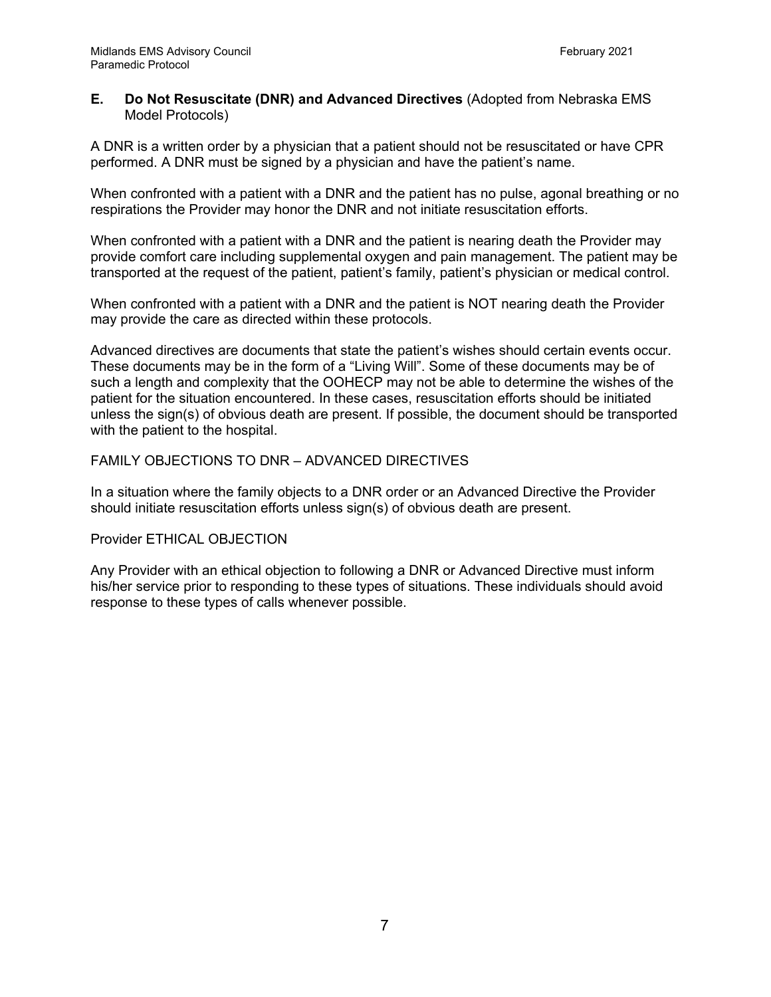#### **E. Do Not Resuscitate (DNR) and Advanced Directives** (Adopted from Nebraska EMS Model Protocols)

A DNR is a written order by a physician that a patient should not be resuscitated or have CPR performed. A DNR must be signed by a physician and have the patient's name.

When confronted with a patient with a DNR and the patient has no pulse, agonal breathing or no respirations the Provider may honor the DNR and not initiate resuscitation efforts.

When confronted with a patient with a DNR and the patient is nearing death the Provider may provide comfort care including supplemental oxygen and pain management. The patient may be transported at the request of the patient, patient's family, patient's physician or medical control.

When confronted with a patient with a DNR and the patient is NOT nearing death the Provider may provide the care as directed within these protocols.

Advanced directives are documents that state the patient's wishes should certain events occur. These documents may be in the form of a "Living Will". Some of these documents may be of such a length and complexity that the OOHECP may not be able to determine the wishes of the patient for the situation encountered. In these cases, resuscitation efforts should be initiated unless the sign(s) of obvious death are present. If possible, the document should be transported with the patient to the hospital.

#### FAMILY OBJECTIONS TO DNR – ADVANCED DIRECTIVES

In a situation where the family objects to a DNR order or an Advanced Directive the Provider should initiate resuscitation efforts unless sign(s) of obvious death are present.

Provider ETHICAL OBJECTION

Any Provider with an ethical objection to following a DNR or Advanced Directive must inform his/her service prior to responding to these types of situations. These individuals should avoid response to these types of calls whenever possible.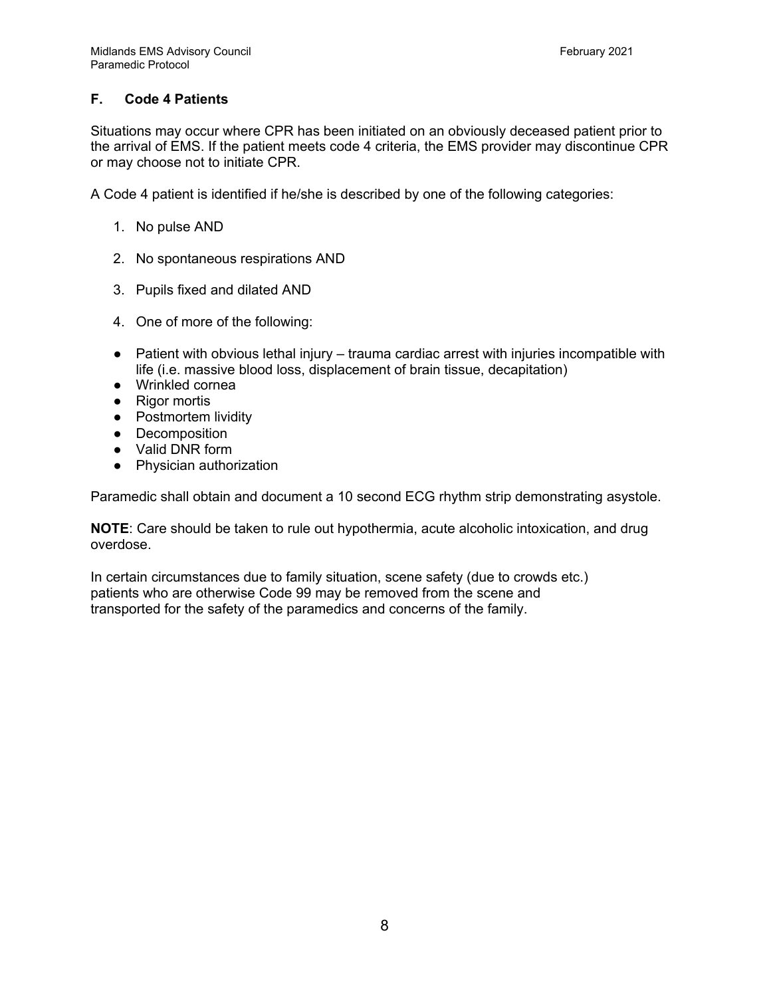# **F. Code 4 Patients**

Situations may occur where CPR has been initiated on an obviously deceased patient prior to the arrival of EMS. If the patient meets code 4 criteria, the EMS provider may discontinue CPR or may choose not to initiate CPR.

A Code 4 patient is identified if he/she is described by one of the following categories:

- 1. No pulse AND
- 2. No spontaneous respirations AND
- 3. Pupils fixed and dilated AND
- 4. One of more of the following:
- Patient with obvious lethal injury trauma cardiac arrest with injuries incompatible with life (i.e. massive blood loss, displacement of brain tissue, decapitation)
- Wrinkled cornea
- Rigor mortis
- Postmortem lividity
- Decomposition
- Valid DNR form
- Physician authorization

Paramedic shall obtain and document a 10 second ECG rhythm strip demonstrating asystole.

**NOTE**: Care should be taken to rule out hypothermia, acute alcoholic intoxication, and drug overdose.

In certain circumstances due to family situation, scene safety (due to crowds etc.) patients who are otherwise Code 99 may be removed from the scene and transported for the safety of the paramedics and concerns of the family.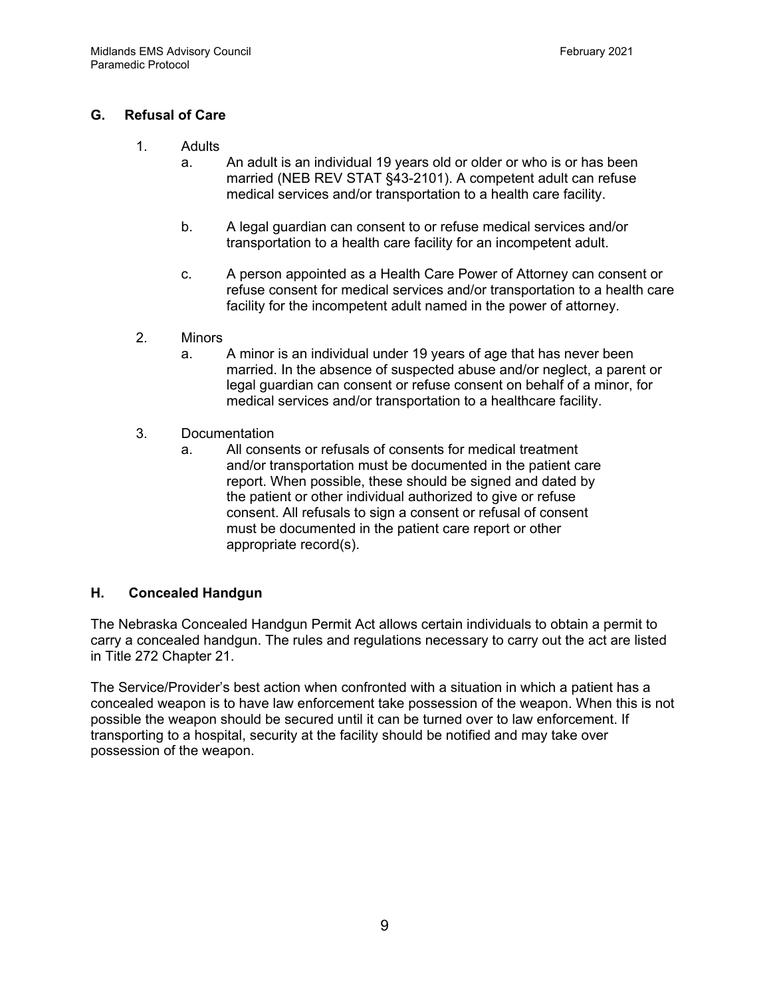# **G. Refusal of Care**

- 1. Adults
	- a. An adult is an individual 19 years old or older or who is or has been married (NEB REV STAT §43-2101). A competent adult can refuse medical services and/or transportation to a health care facility.
	- b. A legal guardian can consent to or refuse medical services and/or transportation to a health care facility for an incompetent adult.
	- c. A person appointed as a Health Care Power of Attorney can consent or refuse consent for medical services and/or transportation to a health care facility for the incompetent adult named in the power of attorney.
- 2. Minors
	- a. A minor is an individual under 19 years of age that has never been married. In the absence of suspected abuse and/or neglect, a parent or legal guardian can consent or refuse consent on behalf of a minor, for medical services and/or transportation to a healthcare facility.
- 3. Documentation
	- a. All consents or refusals of consents for medical treatment and/or transportation must be documented in the patient care report. When possible, these should be signed and dated by the patient or other individual authorized to give or refuse consent. All refusals to sign a consent or refusal of consent must be documented in the patient care report or other appropriate record(s).

# **H. Concealed Handgun**

The Nebraska Concealed Handgun Permit Act allows certain individuals to obtain a permit to carry a concealed handgun. The rules and regulations necessary to carry out the act are listed in Title 272 Chapter 21.

The Service/Provider's best action when confronted with a situation in which a patient has a concealed weapon is to have law enforcement take possession of the weapon. When this is not possible the weapon should be secured until it can be turned over to law enforcement. If transporting to a hospital, security at the facility should be notified and may take over possession of the weapon.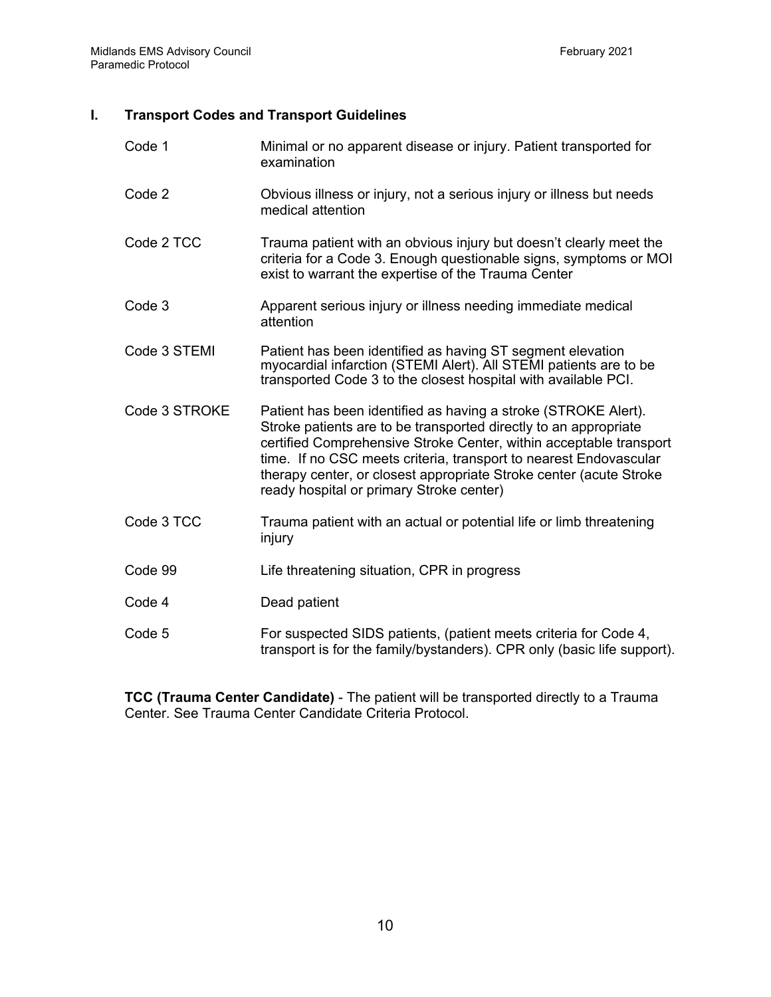# **I. Transport Codes and Transport Guidelines**

| Code 1        | Minimal or no apparent disease or injury. Patient transported for<br>examination                                                                                                                                                                                                                                                                                                                |
|---------------|-------------------------------------------------------------------------------------------------------------------------------------------------------------------------------------------------------------------------------------------------------------------------------------------------------------------------------------------------------------------------------------------------|
| Code 2        | Obvious illness or injury, not a serious injury or illness but needs<br>medical attention                                                                                                                                                                                                                                                                                                       |
| Code 2 TCC    | Trauma patient with an obvious injury but doesn't clearly meet the<br>criteria for a Code 3. Enough questionable signs, symptoms or MOI<br>exist to warrant the expertise of the Trauma Center                                                                                                                                                                                                  |
| Code 3        | Apparent serious injury or illness needing immediate medical<br>attention                                                                                                                                                                                                                                                                                                                       |
| Code 3 STEMI  | Patient has been identified as having ST segment elevation<br>myocardial infarction (STEMI Alert). All STEMI patients are to be<br>transported Code 3 to the closest hospital with available PCI.                                                                                                                                                                                               |
| Code 3 STROKE | Patient has been identified as having a stroke (STROKE Alert).<br>Stroke patients are to be transported directly to an appropriate<br>certified Comprehensive Stroke Center, within acceptable transport<br>time. If no CSC meets criteria, transport to nearest Endovascular<br>therapy center, or closest appropriate Stroke center (acute Stroke<br>ready hospital or primary Stroke center) |
| Code 3 TCC    | Trauma patient with an actual or potential life or limb threatening<br>injury                                                                                                                                                                                                                                                                                                                   |
| Code 99       | Life threatening situation, CPR in progress                                                                                                                                                                                                                                                                                                                                                     |
| Code 4        | Dead patient                                                                                                                                                                                                                                                                                                                                                                                    |
| Code 5        | For suspected SIDS patients, (patient meets criteria for Code 4,<br>transport is for the family/bystanders). CPR only (basic life support).                                                                                                                                                                                                                                                     |

**TCC (Trauma Center Candidate)** - The patient will be transported directly to a Trauma Center. See Trauma Center Candidate Criteria Protocol.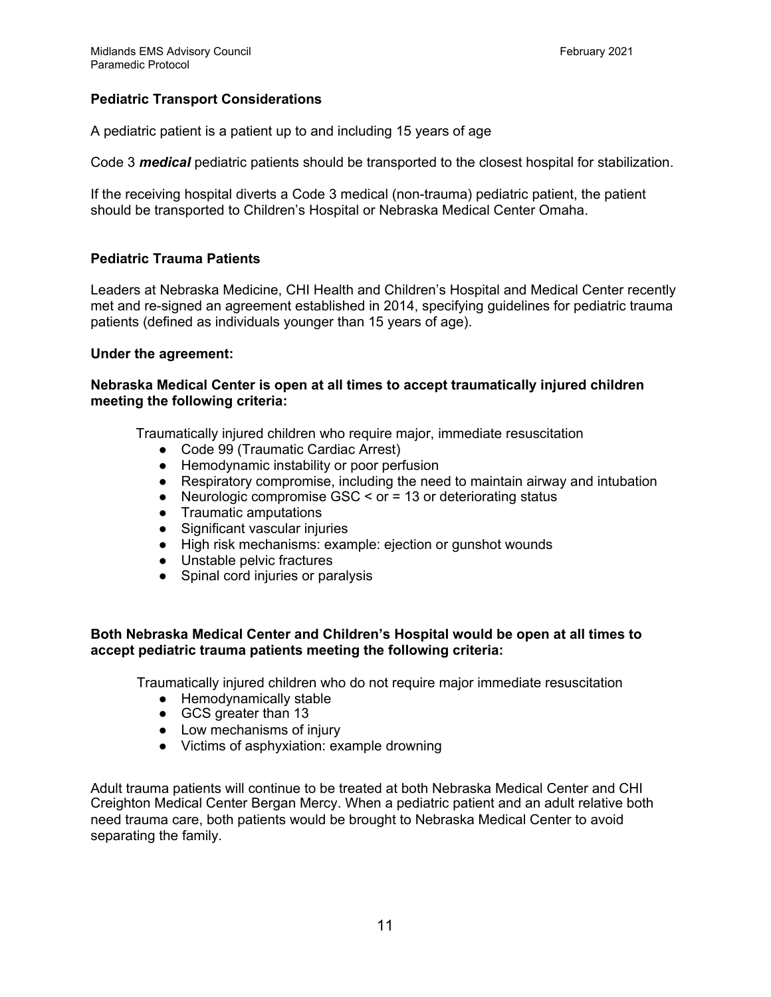# **Pediatric Transport Considerations**

A pediatric patient is a patient up to and including 15 years of age

Code 3 *medical* pediatric patients should be transported to the closest hospital for stabilization.

If the receiving hospital diverts a Code 3 medical (non-trauma) pediatric patient, the patient should be transported to Children's Hospital or Nebraska Medical Center Omaha.

# **Pediatric Trauma Patients**

Leaders at Nebraska Medicine, CHI Health and Children's Hospital and Medical Center recently met and re-signed an agreement established in 2014, specifying guidelines for pediatric trauma patients (defined as individuals younger than 15 years of age).

#### **Under the agreement:**

#### **Nebraska Medical Center is open at all times to accept traumatically injured children meeting the following criteria:**

Traumatically injured children who require major, immediate resuscitation

- Code 99 (Traumatic Cardiac Arrest)
- Hemodynamic instability or poor perfusion
- Respiratory compromise, including the need to maintain airway and intubation
- Neurologic compromise GSC < or = 13 or deteriorating status
- Traumatic amputations
- Significant vascular injuries
- High risk mechanisms: example: ejection or gunshot wounds
- Unstable pelvic fractures
- Spinal cord injuries or paralysis

# **Both Nebraska Medical Center and Children's Hospital would be open at all times to accept pediatric trauma patients meeting the following criteria:**

Traumatically injured children who do not require major immediate resuscitation

- Hemodynamically stable
- GCS greater than 13
- Low mechanisms of injury
- Victims of asphyxiation: example drowning

Adult trauma patients will continue to be treated at both Nebraska Medical Center and CHI Creighton Medical Center Bergan Mercy. When a pediatric patient and an adult relative both need trauma care, both patients would be brought to Nebraska Medical Center to avoid separating the family.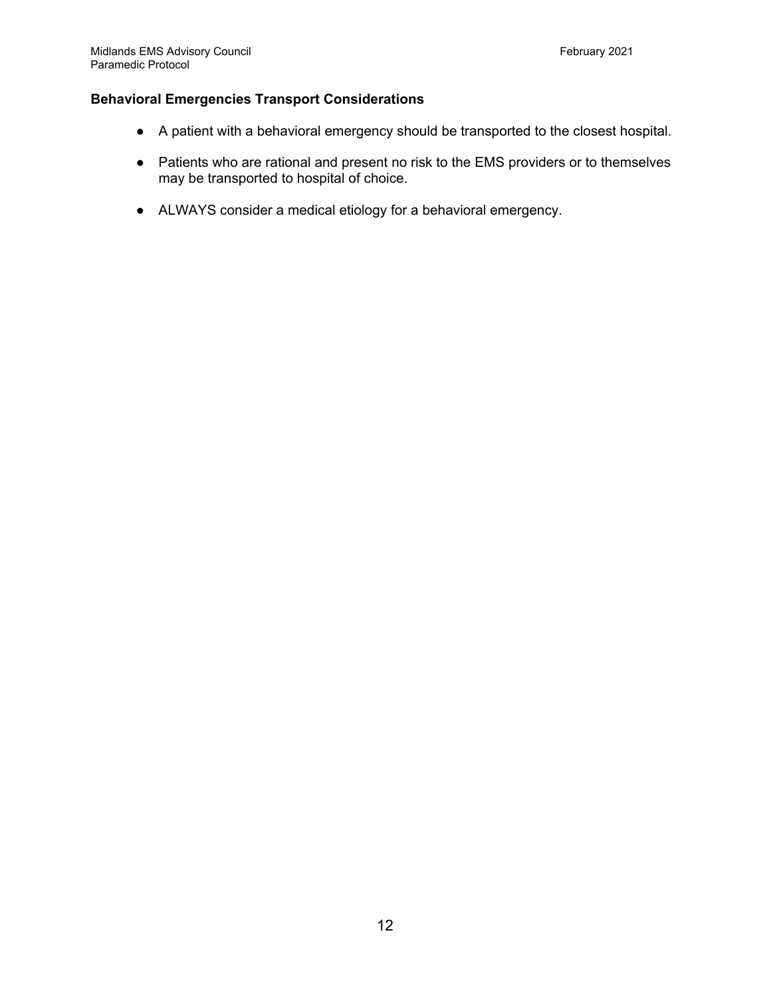# **Behavioral Emergencies Transport Considerations**

- A patient with a behavioral emergency should be transported to the closest hospital.
- Patients who are rational and present no risk to the EMS providers or to themselves may be transported to hospital of choice.
- ALWAYS consider a medical etiology for a behavioral emergency.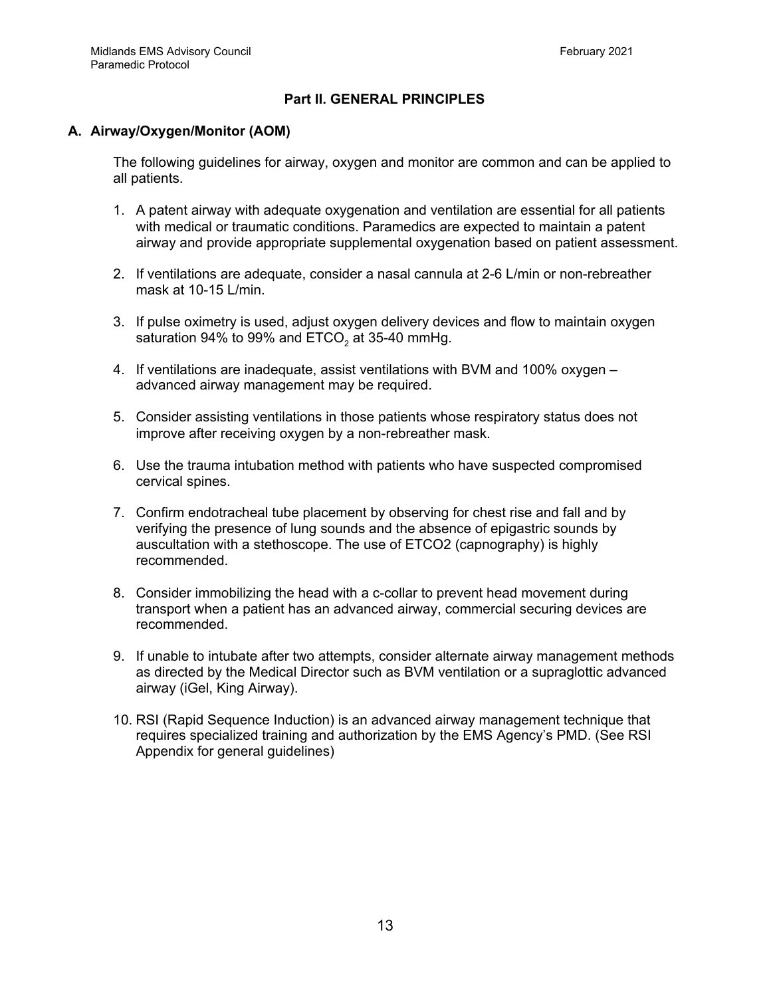# **Part II. GENERAL PRINCIPLES**

# **A. Airway/Oxygen/Monitor (AOM)**

The following guidelines for airway, oxygen and monitor are common and can be applied to all patients.

- 1. A patent airway with adequate oxygenation and ventilation are essential for all patients with medical or traumatic conditions. Paramedics are expected to maintain a patent airway and provide appropriate supplemental oxygenation based on patient assessment.
- 2. If ventilations are adequate, consider a nasal cannula at 2-6 L/min or non-rebreather mask at 10-15 L/min.
- 3. If pulse oximetry is used, adjust oxygen delivery devices and flow to maintain oxygen saturation 94% to 99% and  $ETCO<sub>2</sub>$  at 35-40 mmHg.
- 4. If ventilations are inadequate, assist ventilations with BVM and 100% oxygen advanced airway management may be required.
- 5. Consider assisting ventilations in those patients whose respiratory status does not improve after receiving oxygen by a non-rebreather mask.
- 6. Use the trauma intubation method with patients who have suspected compromised cervical spines.
- 7. Confirm endotracheal tube placement by observing for chest rise and fall and by verifying the presence of lung sounds and the absence of epigastric sounds by auscultation with a stethoscope. The use of ETCO2 (capnography) is highly recommended.
- 8. Consider immobilizing the head with a c-collar to prevent head movement during transport when a patient has an advanced airway, commercial securing devices are recommended.
- 9. If unable to intubate after two attempts, consider alternate airway management methods as directed by the Medical Director such as BVM ventilation or a supraglottic advanced airway (iGel, King Airway).
- 10. RSI (Rapid Sequence Induction) is an advanced airway management technique that requires specialized training and authorization by the EMS Agency's PMD. (See RSI Appendix for general guidelines)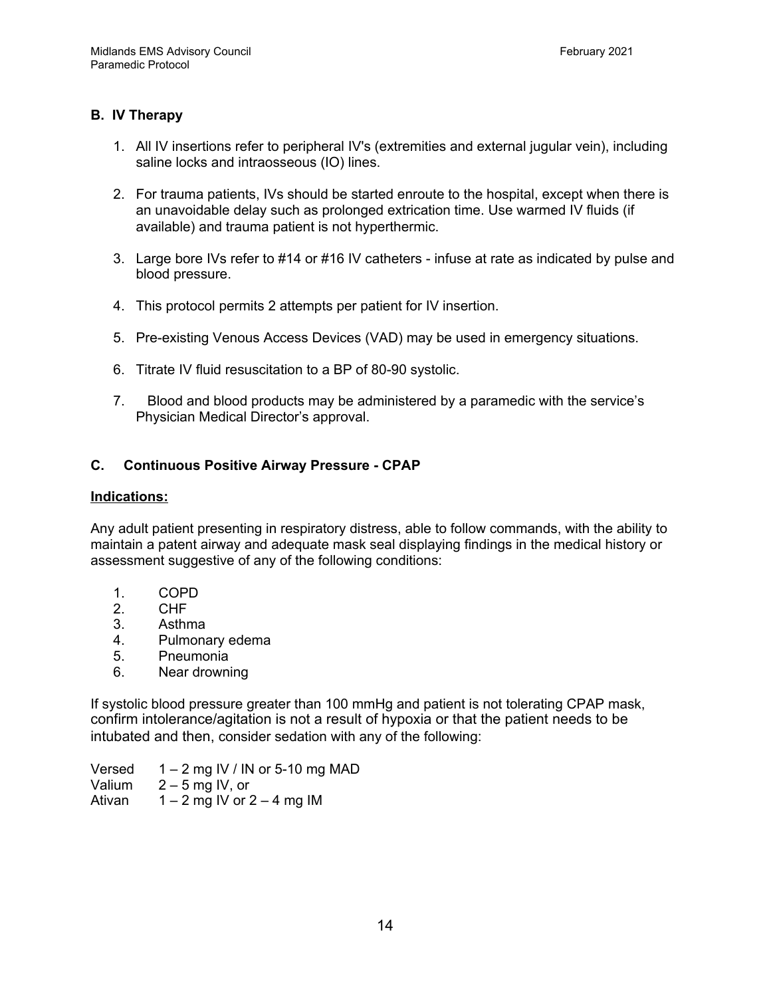# **B. IV Therapy**

- 1. All IV insertions refer to peripheral IV's (extremities and external jugular vein), including saline locks and intraosseous (IO) lines.
- 2. For trauma patients, IVs should be started enroute to the hospital, except when there is an unavoidable delay such as prolonged extrication time. Use warmed IV fluids (if available) and trauma patient is not hyperthermic.
- 3. Large bore IVs refer to #14 or #16 IV catheters infuse at rate as indicated by pulse and blood pressure.
- 4. This protocol permits 2 attempts per patient for IV insertion.
- 5. Pre-existing Venous Access Devices (VAD) may be used in emergency situations.
- 6. Titrate IV fluid resuscitation to a BP of 80-90 systolic.
- 7. Blood and blood products may be administered by a paramedic with the service's Physician Medical Director's approval.

# **C. Continuous Positive Airway Pressure - CPAP**

#### **Indications:**

Any adult patient presenting in respiratory distress, able to follow commands, with the ability to maintain a patent airway and adequate mask seal displaying findings in the medical history or assessment suggestive of any of the following conditions:

- 1. COPD
- 2. CHF
- 3. Asthma
- 4. Pulmonary edema
- 5. Pneumonia
- 6. Near drowning

If systolic blood pressure greater than 100 mmHg and patient is not tolerating CPAP mask, confirm intolerance/agitation is not a result of hypoxia or that the patient needs to be intubated and then, consider sedation with any of the following:

Versed  $1 - 2$  mg IV / IN or 5-10 mg MAD Valium  $2 - 5$  mg IV, or Ativan  $1 - 2$  mg IV or  $2 - 4$  mg IM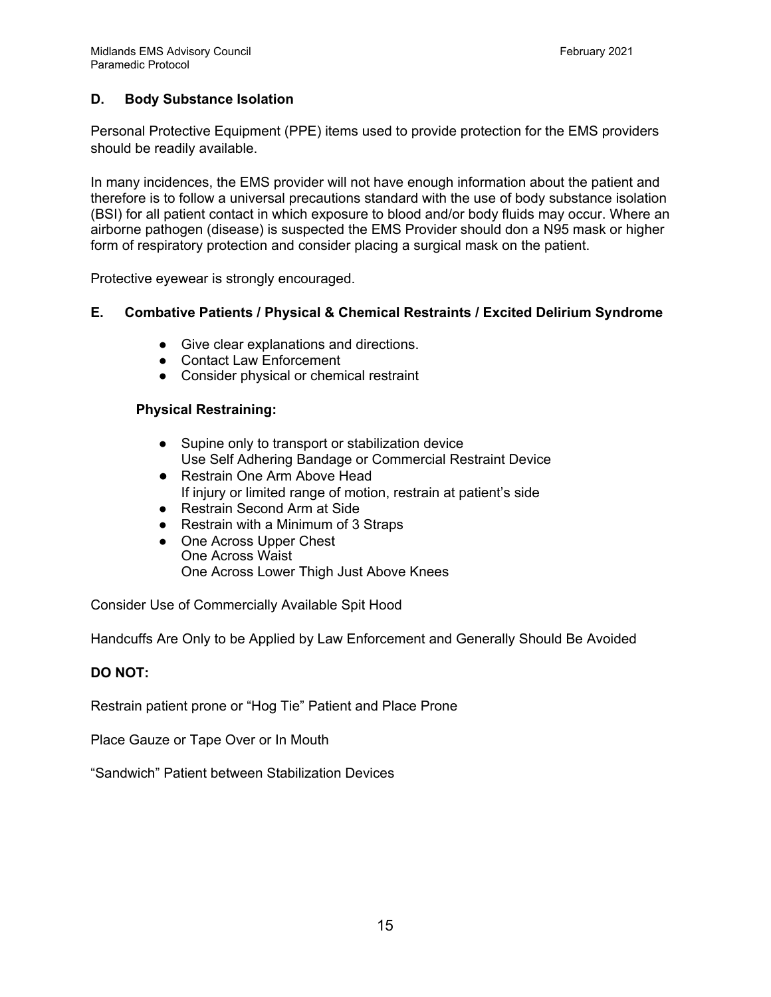# **D. Body Substance Isolation**

Personal Protective Equipment (PPE) items used to provide protection for the EMS providers should be readily available.

In many incidences, the EMS provider will not have enough information about the patient and therefore is to follow a universal precautions standard with the use of body substance isolation (BSI) for all patient contact in which exposure to blood and/or body fluids may occur. Where an airborne pathogen (disease) is suspected the EMS Provider should don a N95 mask or higher form of respiratory protection and consider placing a surgical mask on the patient.

Protective eyewear is strongly encouraged.

# **E. Combative Patients / Physical & Chemical Restraints / Excited Delirium Syndrome**

- Give clear explanations and directions.
- Contact Law Enforcement
- Consider physical or chemical restraint

# **Physical Restraining:**

- Supine only to transport or stabilization device Use Self Adhering Bandage or Commercial Restraint Device
- Restrain One Arm Above Head If injury or limited range of motion, restrain at patient's side
- Restrain Second Arm at Side
- Restrain with a Minimum of 3 Straps
- One Across Upper Chest One Across Waist One Across Lower Thigh Just Above Knees

Consider Use of Commercially Available Spit Hood

Handcuffs Are Only to be Applied by Law Enforcement and Generally Should Be Avoided

#### **DO NOT:**

Restrain patient prone or "Hog Tie" Patient and Place Prone

Place Gauze or Tape Over or In Mouth

"Sandwich" Patient between Stabilization Devices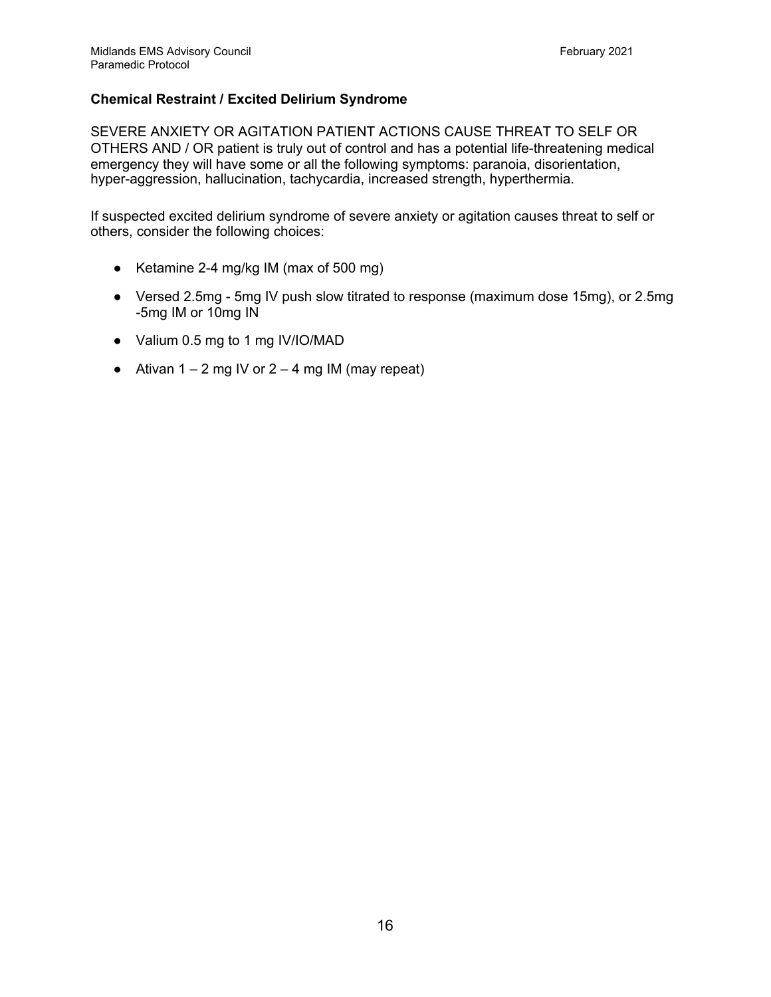# **Chemical Restraint / Excited Delirium Syndrome**

SEVERE ANXIETY OR AGITATION PATIENT ACTIONS CAUSE THREAT TO SELF OR OTHERS AND / OR patient is truly out of control and has a potential life-threatening medical emergency they will have some or all the following symptoms: paranoia, disorientation, hyper-aggression, hallucination, tachycardia, increased strength, hyperthermia.

If suspected excited delirium syndrome of severe anxiety or agitation causes threat to self or others, consider the following choices:

- Ketamine 2-4 mg/kg IM (max of 500 mg)
- Versed 2.5mg 5mg IV push slow titrated to response (maximum dose 15mg), or 2.5mg -5mg IM or 10mg IN
- Valium 0.5 mg to 1 mg IV/IO/MAD
- Ativan  $1 2$  mg IV or  $2 4$  mg IM (may repeat)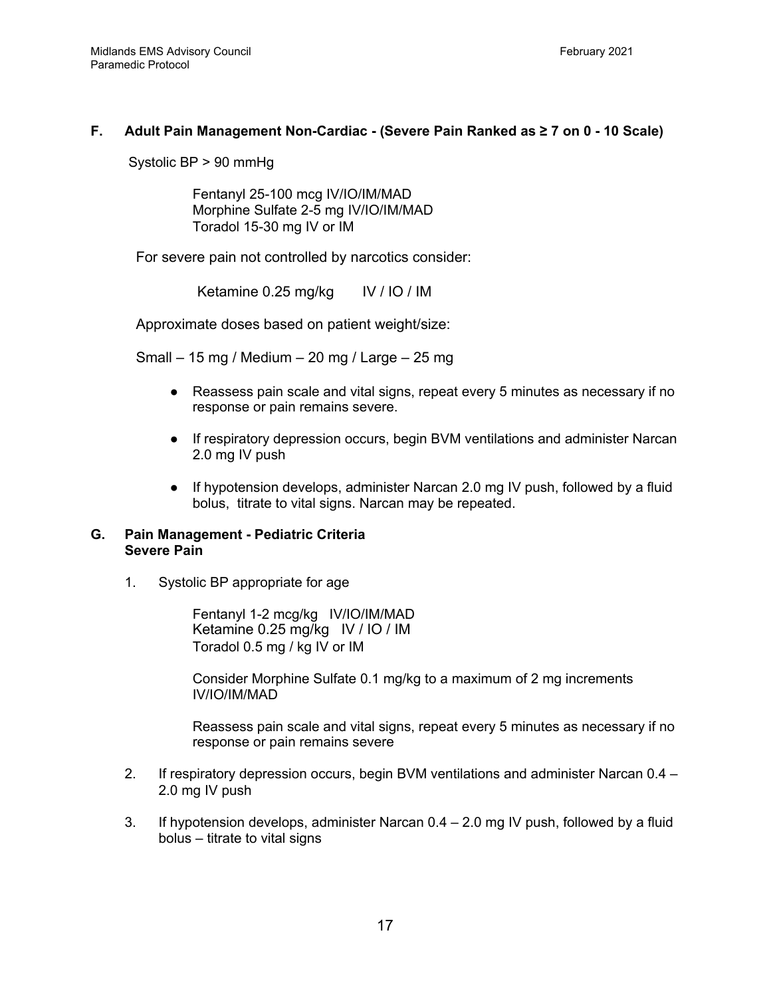# **F. Adult Pain Management Non-Cardiac - (Severe Pain Ranked as ≥ 7 on 0 - 10 Scale)**

Systolic BP > 90 mmHg

Fentanyl 25-100 mcg IV/IO/IM/MAD Morphine Sulfate 2-5 mg IV/IO/IM/MAD Toradol 15-30 mg IV or IM

For severe pain not controlled by narcotics consider:

Ketamine 0.25 mg/kg IV / IO / IM

Approximate doses based on patient weight/size:

Small – 15 mg / Medium – 20 mg / Large – 25 mg

- Reassess pain scale and vital signs, repeat every 5 minutes as necessary if no response or pain remains severe.
- If respiratory depression occurs, begin BVM ventilations and administer Narcan 2.0 mg IV push
- If hypotension develops, administer Narcan 2.0 mg IV push, followed by a fluid bolus, titrate to vital signs. Narcan may be repeated.

#### **G. Pain Management - Pediatric Criteria Severe Pain**

1. Systolic BP appropriate for age

Fentanyl 1-2 mcg/kg IV/IO/IM/MAD Ketamine 0.25 mg/kg IV / IO / IM Toradol 0.5 mg / kg IV or IM

Consider Morphine Sulfate 0.1 mg/kg to a maximum of 2 mg increments IV/IO/IM/MAD

Reassess pain scale and vital signs, repeat every 5 minutes as necessary if no response or pain remains severe

- 2. If respiratory depression occurs, begin BVM ventilations and administer Narcan 0.4 2.0 mg IV push
- 3. If hypotension develops, administer Narcan 0.4 2.0 mg IV push, followed by a fluid bolus – titrate to vital signs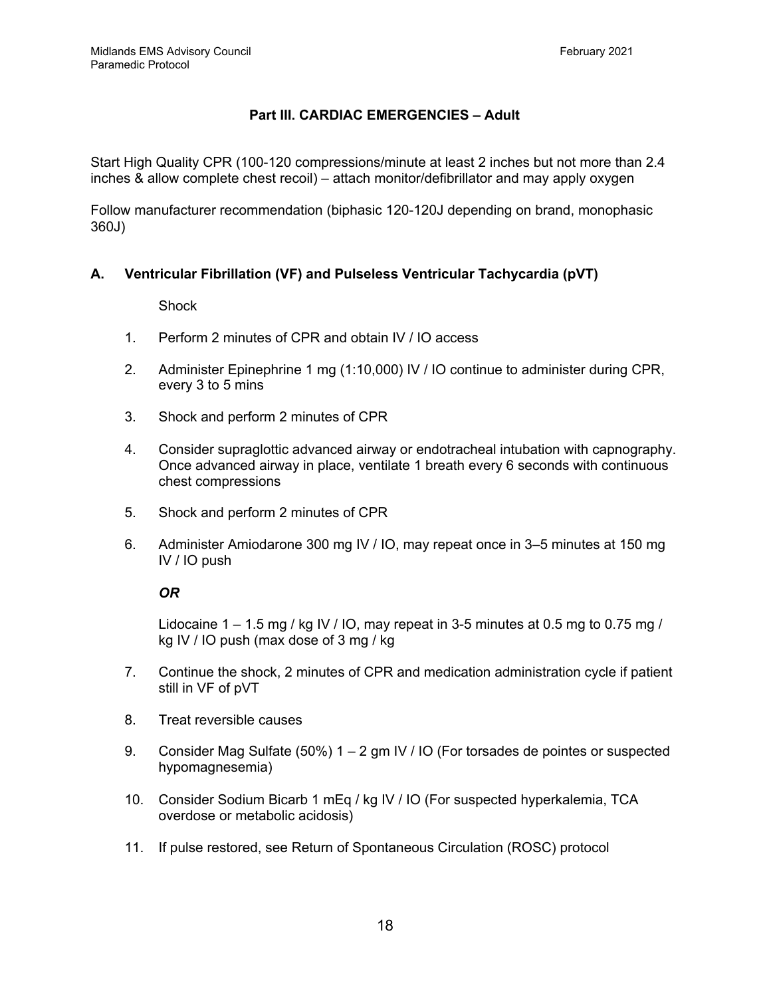# **Part III. CARDIAC EMERGENCIES – Adult**

Start High Quality CPR (100-120 compressions/minute at least 2 inches but not more than 2.4 inches & allow complete chest recoil) – attach monitor/defibrillator and may apply oxygen

Follow manufacturer recommendation (biphasic 120-120J depending on brand, monophasic 360J)

# **A. Ventricular Fibrillation (VF) and Pulseless Ventricular Tachycardia (pVT)**

**Shock** 

- 1. Perform 2 minutes of CPR and obtain IV / IO access
- 2. Administer Epinephrine 1 mg (1:10,000) IV / IO continue to administer during CPR, every 3 to 5 mins
- 3. Shock and perform 2 minutes of CPR
- 4. Consider supraglottic advanced airway or endotracheal intubation with capnography. Once advanced airway in place, ventilate 1 breath every 6 seconds with continuous chest compressions
- 5. Shock and perform 2 minutes of CPR
- 6. Administer Amiodarone 300 mg IV / IO, may repeat once in 3–5 minutes at 150 mg IV / IO push

#### *OR*

Lidocaine  $1 - 1.5$  mg / kg IV / IO, may repeat in 3-5 minutes at 0.5 mg to 0.75 mg / kg IV / IO push (max dose of 3 mg / kg

- 7. Continue the shock, 2 minutes of CPR and medication administration cycle if patient still in VF of pVT
- 8. Treat reversible causes
- 9. Consider Mag Sulfate (50%) 1 2 gm IV / IO (For torsades de pointes or suspected hypomagnesemia)
- 10. Consider Sodium Bicarb 1 mEq / kg IV / IO (For suspected hyperkalemia, TCA overdose or metabolic acidosis)
- 11. If pulse restored, see Return of Spontaneous Circulation (ROSC) protocol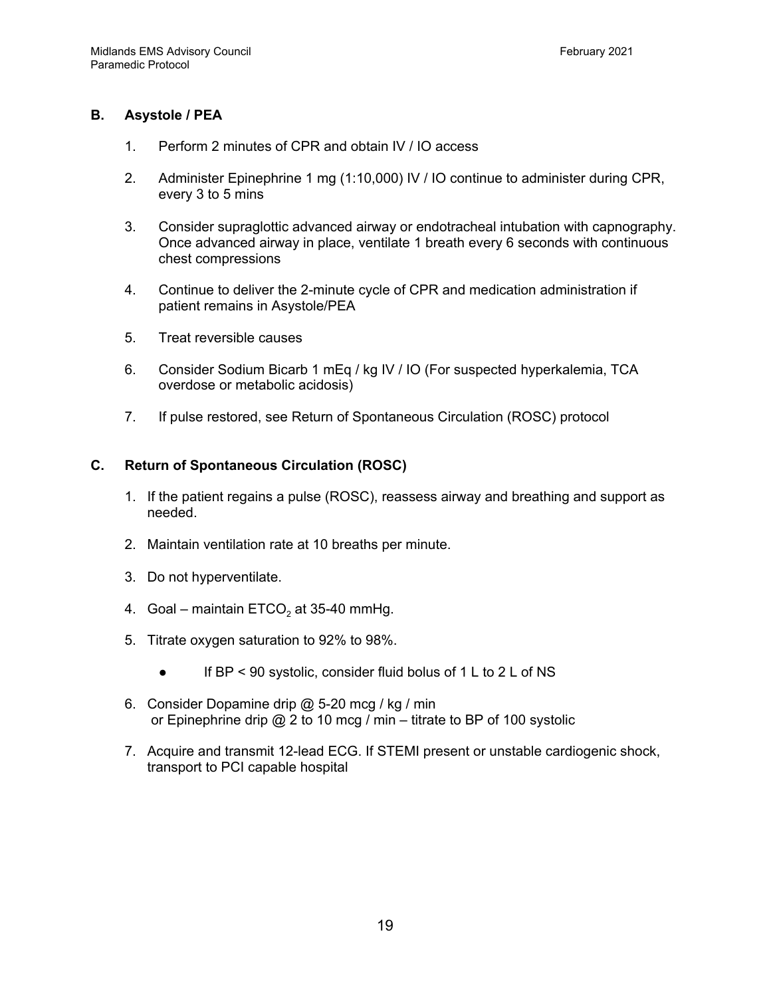# **B. Asystole / PEA**

- 1. Perform 2 minutes of CPR and obtain IV / IO access
- 2. Administer Epinephrine 1 mg (1:10,000) IV / IO continue to administer during CPR, every 3 to 5 mins
- 3. Consider supraglottic advanced airway or endotracheal intubation with capnography. Once advanced airway in place, ventilate 1 breath every 6 seconds with continuous chest compressions
- 4. Continue to deliver the 2-minute cycle of CPR and medication administration if patient remains in Asystole/PEA
- 5. Treat reversible causes
- 6. Consider Sodium Bicarb 1 mEq / kg IV / IO (For suspected hyperkalemia, TCA overdose or metabolic acidosis)
- 7. If pulse restored, see Return of Spontaneous Circulation (ROSC) protocol

#### **C. Return of Spontaneous Circulation (ROSC)**

- 1. If the patient regains a pulse (ROSC), reassess airway and breathing and support as needed.
- 2. Maintain ventilation rate at 10 breaths per minute.
- 3. Do not hyperventilate.
- 4. Goal maintain  $ETCO<sub>2</sub>$  at 35-40 mmHg.
- 5. Titrate oxygen saturation to 92% to 98%.
	- If BP < 90 systolic, consider fluid bolus of 1 L to 2 L of NS
- 6. Consider Dopamine drip @ 5-20 mcg / kg / min or Epinephrine drip @ 2 to 10 mcg / min – titrate to BP of 100 systolic
- 7. Acquire and transmit 12-lead ECG. If STEMI present or unstable cardiogenic shock, transport to PCI capable hospital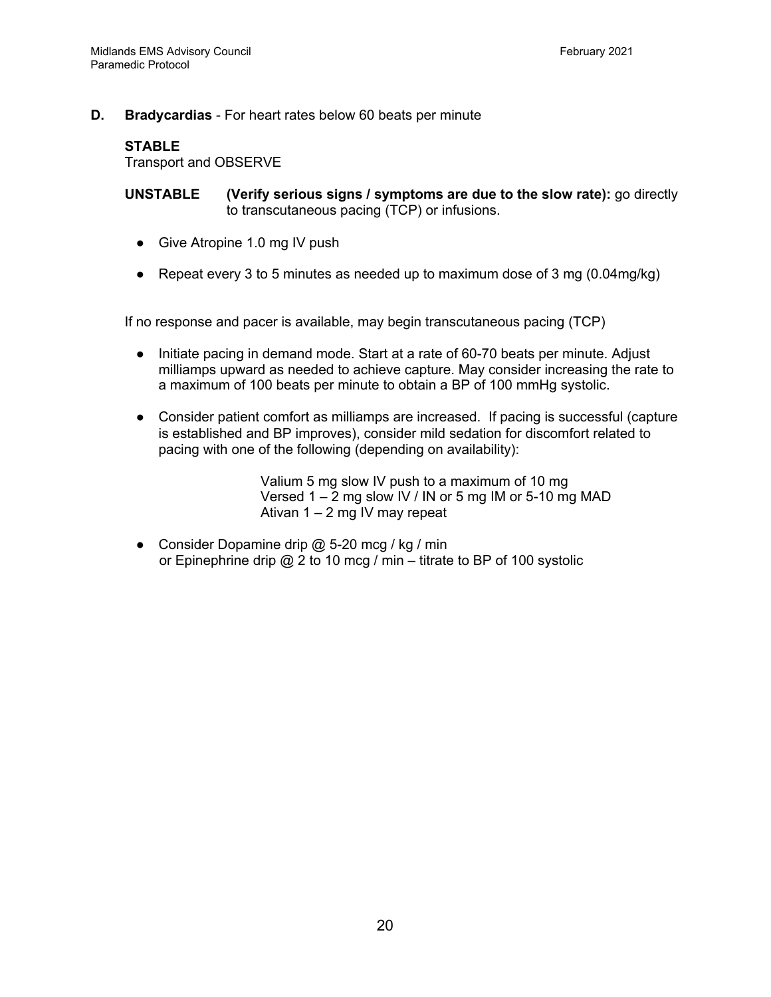# **D. Bradycardias** - For heart rates below 60 beats per minute

#### **STABLE**

Transport and OBSERVE

**UNSTABLE (Verify serious signs / symptoms are due to the slow rate):** go directly to transcutaneous pacing (TCP) or infusions.

- Give Atropine 1.0 mg IV push
- Repeat every 3 to 5 minutes as needed up to maximum dose of 3 mg  $(0.04 \text{mg/kg})$

If no response and pacer is available, may begin transcutaneous pacing (TCP)

- Initiate pacing in demand mode. Start at a rate of 60-70 beats per minute. Adjust milliamps upward as needed to achieve capture. May consider increasing the rate to a maximum of 100 beats per minute to obtain a BP of 100 mmHg systolic.
- Consider patient comfort as milliamps are increased. If pacing is successful (capture is established and BP improves), consider mild sedation for discomfort related to pacing with one of the following (depending on availability):

Valium 5 mg slow IV push to a maximum of 10 mg Versed 1 – 2 mg slow IV / IN or 5 mg IM or 5-10 mg MAD Ativan 1 – 2 mg IV may repeat

• Consider Dopamine drip  $\omega$  5-20 mcg / kg / min or Epinephrine drip @ 2 to 10 mcg / min – titrate to BP of 100 systolic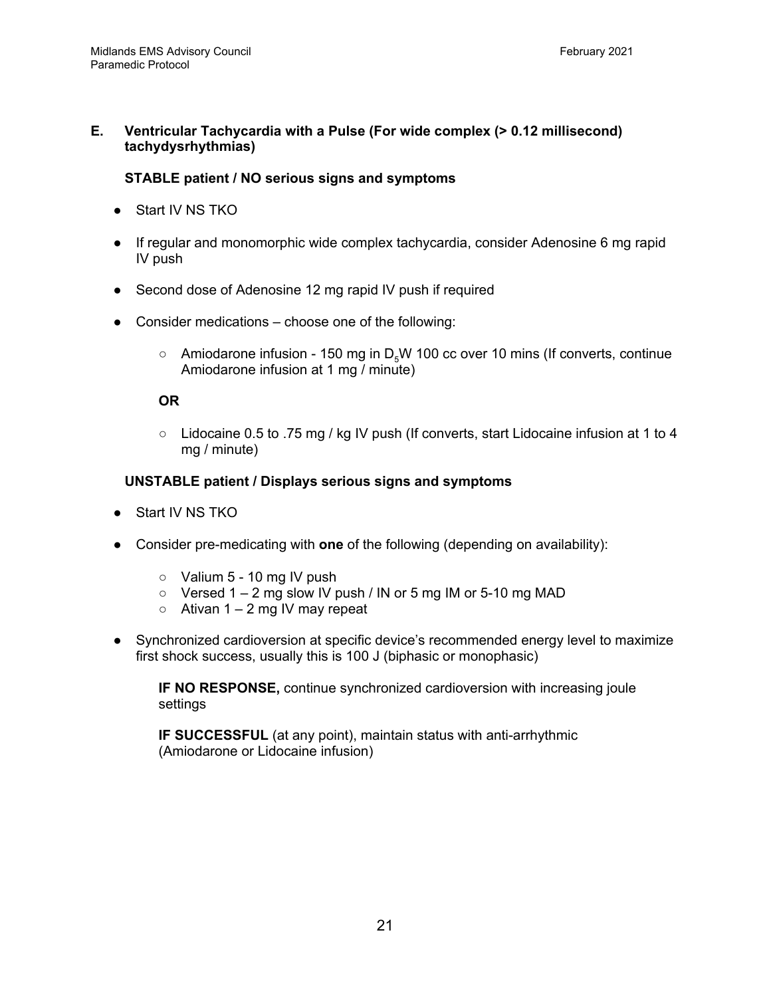# **E. Ventricular Tachycardia with a Pulse (For wide complex (> 0.12 millisecond) tachydysrhythmias)**

# **STABLE patient / NO serious signs and symptoms**

- Start IV NS TKO
- If regular and monomorphic wide complex tachycardia, consider Adenosine 6 mg rapid IV push
- Second dose of Adenosine 12 mg rapid IV push if required
- Consider medications choose one of the following:
	- $\circ$  Amiodarone infusion 150 mg in D<sub>E</sub>W 100 cc over 10 mins (If converts, continue Amiodarone infusion at 1 mg / minute)

# **OR**

○ Lidocaine 0.5 to .75 mg / kg IV push (If converts, start Lidocaine infusion at 1 to 4 mg / minute)

# **UNSTABLE patient / Displays serious signs and symptoms**

- Start IV NS TKO
- Consider pre-medicating with **one** of the following (depending on availability):
	- $\circ$  Valium 5 10 mg IV push
	- $\circ$  Versed 1 2 mg slow IV push / IN or 5 mg IM or 5-10 mg MAD
	- $\circ$  Ativan 1 2 mg IV may repeat
- Synchronized cardioversion at specific device's recommended energy level to maximize first shock success, usually this is 100 J (biphasic or monophasic)

**IF NO RESPONSE,** continue synchronized cardioversion with increasing joule settings

**IF SUCCESSFUL** (at any point), maintain status with anti-arrhythmic (Amiodarone or Lidocaine infusion)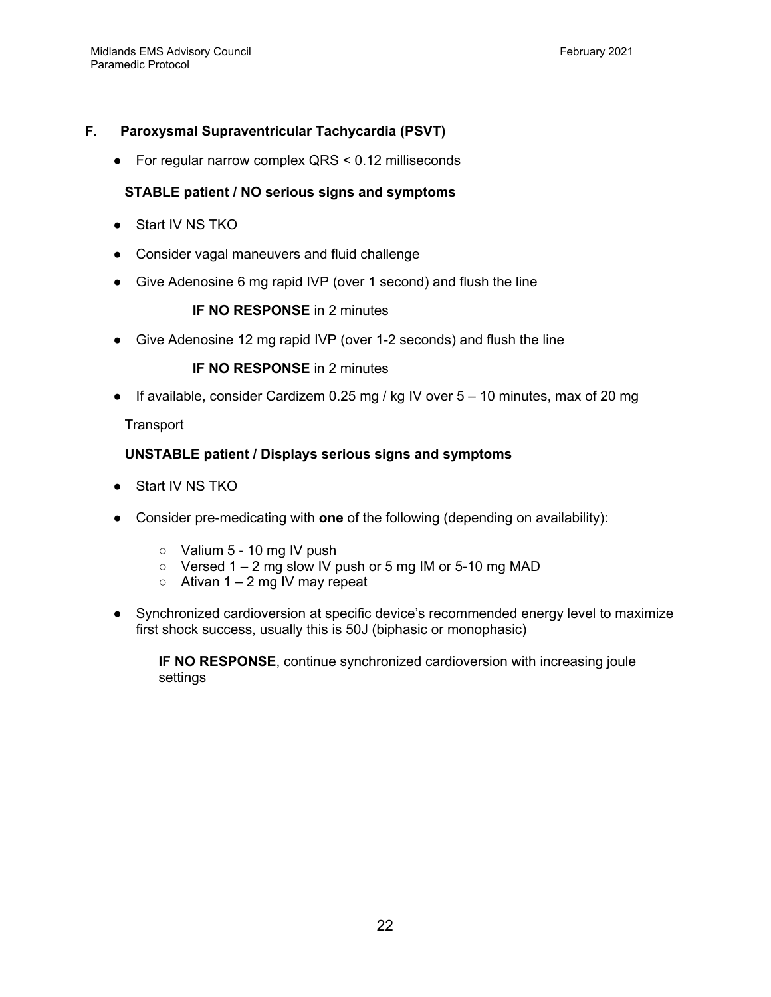# **F. Paroxysmal Supraventricular Tachycardia (PSVT)**

● For regular narrow complex QRS < 0.12 milliseconds

# **STABLE patient / NO serious signs and symptoms**

- Start IV NS TKO
- Consider vagal maneuvers and fluid challenge
- Give Adenosine 6 mg rapid IVP (over 1 second) and flush the line

# **IF NO RESPONSE** in 2 minutes

● Give Adenosine 12 mg rapid IVP (over 1-2 seconds) and flush the line

**IF NO RESPONSE** in 2 minutes

• If available, consider Cardizem 0.25 mg / kg IV over  $5 - 10$  minutes, max of 20 mg

**Transport** 

# **UNSTABLE patient / Displays serious signs and symptoms**

- Start IV NS TKO
- Consider pre-medicating with **one** of the following (depending on availability):
	- $\circ$  Valium 5 10 mg IV push
	- $\circ$  Versed 1 2 mg slow IV push or 5 mg IM or 5-10 mg MAD
	- $\circ$  Ativan 1 2 mg IV may repeat
- Synchronized cardioversion at specific device's recommended energy level to maximize first shock success, usually this is 50J (biphasic or monophasic)

**IF NO RESPONSE**, continue synchronized cardioversion with increasing joule settings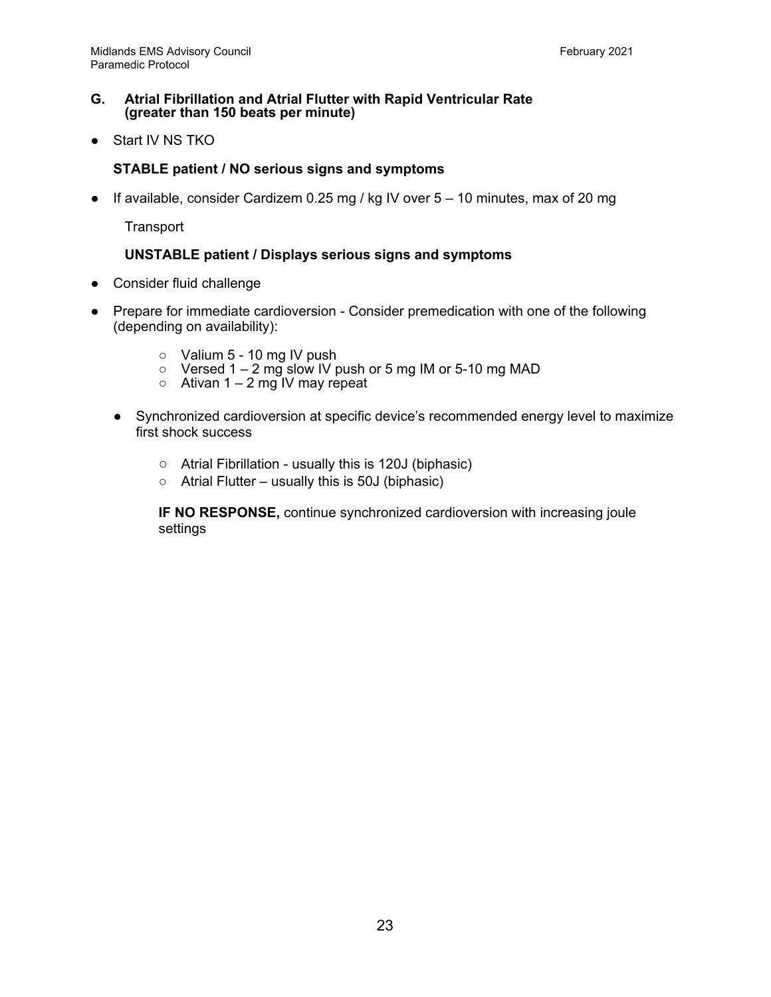#### **G. Atrial Fibrillation and Atrial Flutter with Rapid Ventricular Rate (greater than 150 beats per minute)**

● Start IV NS TKO

# **STABLE patient / NO serious signs and symptoms**

● If available, consider Cardizem 0.25 mg / kg IV over 5 – 10 minutes, max of 20 mg

**Transport** 

#### **UNSTABLE patient / Displays serious signs and symptoms**

- Consider fluid challenge
- Prepare for immediate cardioversion Consider premedication with one of the following (depending on availability):
	- $\circ$  Valium 5 10 mg IV push
	- $\circ$  Versed 1 2 mg slow IV push or 5 mg IM or 5-10 mg MAD
	- $\circ$  Ativan 1 2 mg IV may repeat
	- Synchronized cardioversion at specific device's recommended energy level to maximize first shock success
		- Atrial Fibrillation usually this is 120J (biphasic)
		- $\circ$  Atrial Flutter usually this is 50J (biphasic)

**IF NO RESPONSE,** continue synchronized cardioversion with increasing joule settings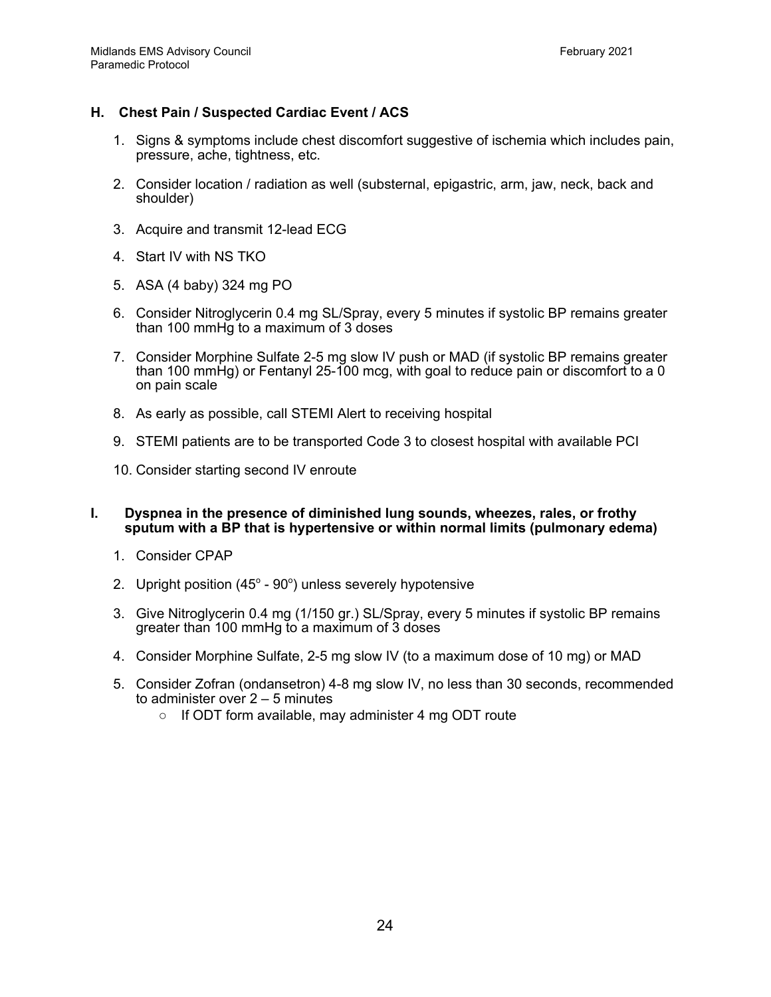# **H. Chest Pain / Suspected Cardiac Event / ACS**

- 1. Signs & symptoms include chest discomfort suggestive of ischemia which includes pain, pressure, ache, tightness, etc.
- 2. Consider location / radiation as well (substernal, epigastric, arm, jaw, neck, back and shoulder)
- 3. Acquire and transmit 12-lead ECG
- 4. Start IV with NS TKO
- 5. ASA (4 baby) 324 mg PO
- 6. Consider Nitroglycerin 0.4 mg SL/Spray, every 5 minutes if systolic BP remains greater than 100 mmHg to a maximum of 3 doses
- 7. Consider Morphine Sulfate 2-5 mg slow IV push or MAD (if systolic BP remains greater than 100 mmHg) or Fentanyl 25-100 mcg, with goal to reduce pain or discomfort to a 0 on pain scale
- 8. As early as possible, call STEMI Alert to receiving hospital
- 9. STEMI patients are to be transported Code 3 to closest hospital with available PCI
- 10. Consider starting second IV enroute
- **I. Dyspnea in the presence of diminished lung sounds, wheezes, rales, or frothy sputum with a BP that is hypertensive or within normal limits (pulmonary edema)**
	- 1. Consider CPAP
	- 2. Upright position  $(45^{\circ} 90^{\circ})$  unless severely hypotensive
	- 3. Give Nitroglycerin 0.4 mg (1/150 gr.) SL/Spray, every 5 minutes if systolic BP remains greater than 100 mmHg to a maximum of 3 doses
	- 4. Consider Morphine Sulfate, 2-5 mg slow IV (to a maximum dose of 10 mg) or MAD
	- 5. Consider Zofran (ondansetron) 4-8 mg slow IV, no less than 30 seconds, recommended to administer over 2 – 5 minutes
		- If ODT form available, may administer 4 mg ODT route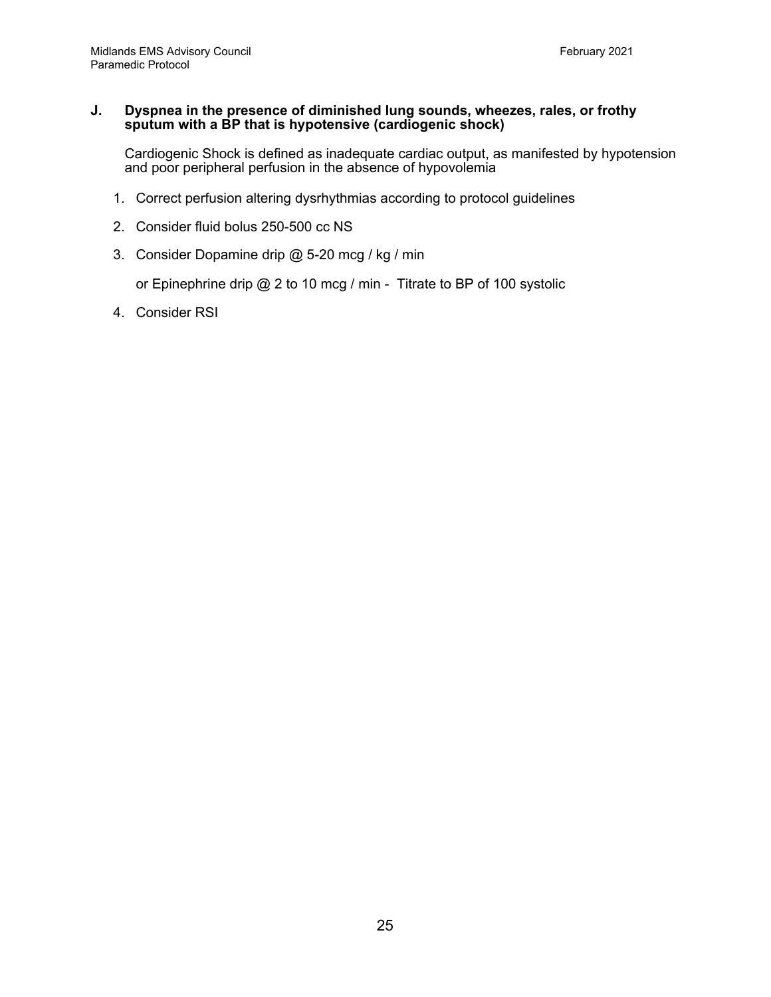#### **J. Dyspnea in the presence of diminished lung sounds, wheezes, rales, or frothy sputum with a BP that is hypotensive (cardiogenic shock)**

Cardiogenic Shock is defined as inadequate cardiac output, as manifested by hypotension and poor peripheral perfusion in the absence of hypovolemia

- 1. Correct perfusion altering dysrhythmias according to protocol guidelines
- 2. Consider fluid bolus 250-500 cc NS
- 3. Consider Dopamine drip @ 5-20 mcg / kg / min

or Epinephrine drip @ 2 to 10 mcg / min - Titrate to BP of 100 systolic

4. Consider RSI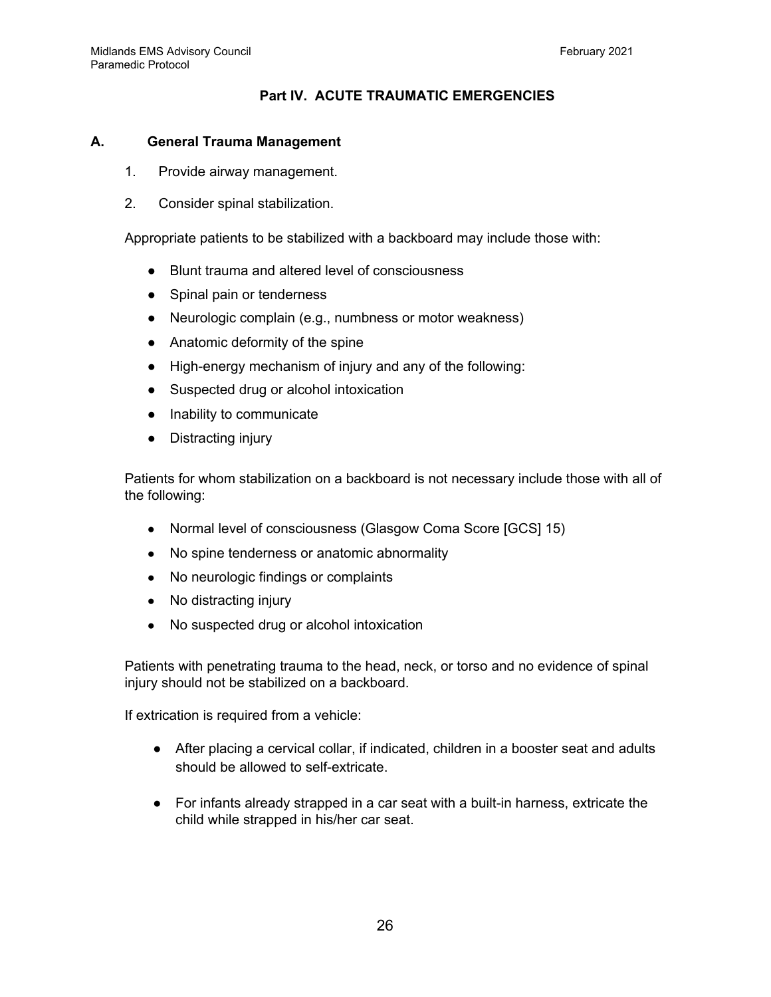# **Part IV. ACUTE TRAUMATIC EMERGENCIES**

#### **A. General Trauma Management**

- 1. Provide airway management.
- 2. Consider spinal stabilization.

Appropriate patients to be stabilized with a backboard may include those with:

- Blunt trauma and altered level of consciousness
- Spinal pain or tenderness
- Neurologic complain (e.g., numbness or motor weakness)
- Anatomic deformity of the spine
- High-energy mechanism of injury and any of the following:
- Suspected drug or alcohol intoxication
- Inability to communicate
- Distracting injury

Patients for whom stabilization on a backboard is not necessary include those with all of the following:

- Normal level of consciousness (Glasgow Coma Score [GCS] 15)
- No spine tenderness or anatomic abnormality
- No neurologic findings or complaints
- No distracting injury
- No suspected drug or alcohol intoxication

Patients with penetrating trauma to the head, neck, or torso and no evidence of spinal injury should not be stabilized on a backboard.

If extrication is required from a vehicle:

- After placing a cervical collar, if indicated, children in a booster seat and adults should be allowed to self-extricate.
- For infants already strapped in a car seat with a built-in harness, extricate the child while strapped in his/her car seat.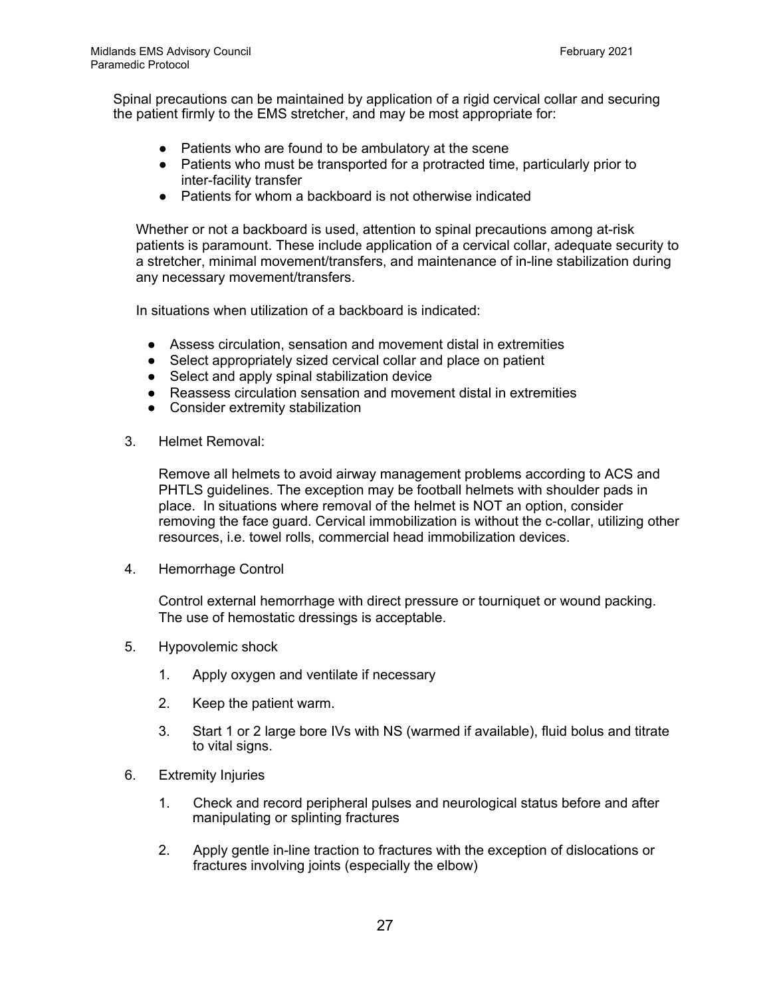Spinal precautions can be maintained by application of a rigid cervical collar and securing the patient firmly to the EMS stretcher, and may be most appropriate for:

- Patients who are found to be ambulatory at the scene
- Patients who must be transported for a protracted time, particularly prior to inter-facility transfer
- Patients for whom a backboard is not otherwise indicated

Whether or not a backboard is used, attention to spinal precautions among at-risk patients is paramount. These include application of a cervical collar, adequate security to a stretcher, minimal movement/transfers, and maintenance of in-line stabilization during any necessary movement/transfers.

In situations when utilization of a backboard is indicated:

- Assess circulation, sensation and movement distal in extremities
- Select appropriately sized cervical collar and place on patient
- Select and apply spinal stabilization device
- Reassess circulation sensation and movement distal in extremities
- Consider extremity stabilization
- 3. Helmet Removal:

Remove all helmets to avoid airway management problems according to ACS and PHTLS guidelines. The exception may be football helmets with shoulder pads in place. In situations where removal of the helmet is NOT an option, consider removing the face guard. Cervical immobilization is without the c-collar, utilizing other resources, i.e. towel rolls, commercial head immobilization devices.

4. Hemorrhage Control

Control external hemorrhage with direct pressure or tourniquet or wound packing. The use of hemostatic dressings is acceptable.

- 5. Hypovolemic shock
	- 1. Apply oxygen and ventilate if necessary
	- 2. Keep the patient warm.
	- 3. Start 1 or 2 large bore IVs with NS (warmed if available), fluid bolus and titrate to vital signs.
- 6. Extremity Injuries
	- 1. Check and record peripheral pulses and neurological status before and after manipulating or splinting fractures
	- 2. Apply gentle in-line traction to fractures with the exception of dislocations or fractures involving joints (especially the elbow)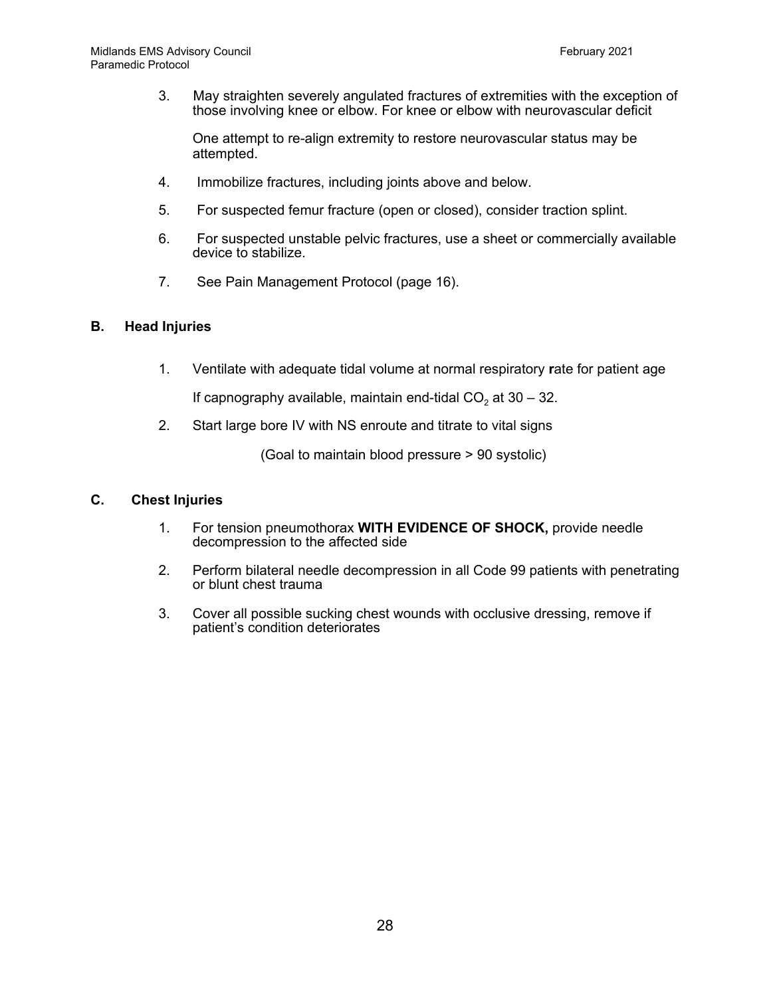3. May straighten severely angulated fractures of extremities with the exception of those involving knee or elbow. For knee or elbow with neurovascular deficit

One attempt to re-align extremity to restore neurovascular status may be attempted.

- 4. Immobilize fractures, including joints above and below.
- 5. For suspected femur fracture (open or closed), consider traction splint.
- 6. For suspected unstable pelvic fractures, use a sheet or commercially available device to stabilize.
- 7. See Pain Management Protocol (page 16).

#### **B. Head Injuries**

1. Ventilate with adequate tidal volume at normal respiratory **r**ate for patient age

If capnography available, maintain end-tidal  $CO<sub>2</sub>$  at 30 – 32.

2. Start large bore IV with NS enroute and titrate to vital signs

(Goal to maintain blood pressure > 90 systolic)

#### **C. Chest Injuries**

- 1. For tension pneumothorax **WITH EVIDENCE OF SHOCK,** provide needle decompression to the affected side
- 2. Perform bilateral needle decompression in all Code 99 patients with penetrating or blunt chest trauma
- 3. Cover all possible sucking chest wounds with occlusive dressing, remove if patient's condition deteriorates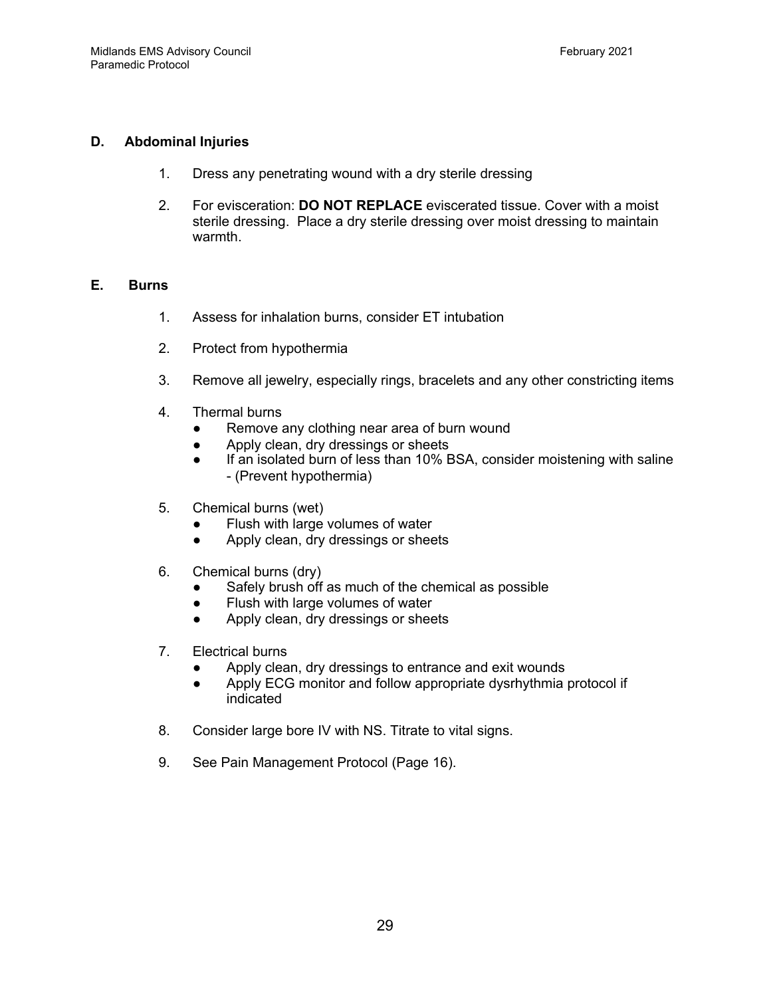# **D. Abdominal Injuries**

- 1. Dress any penetrating wound with a dry sterile dressing
- 2. For evisceration: **DO NOT REPLACE** eviscerated tissue. Cover with a moist sterile dressing. Place a dry sterile dressing over moist dressing to maintain warmth.

# **E. Burns**

- 1. Assess for inhalation burns, consider ET intubation
- 2. Protect from hypothermia
- 3. Remove all jewelry, especially rings, bracelets and any other constricting items
- 4. Thermal burns
	- Remove any clothing near area of burn wound
	- Apply clean, dry dressings or sheets
	- If an isolated burn of less than 10% BSA, consider moistening with saline - (Prevent hypothermia)
- 5. Chemical burns (wet)
	- Flush with large volumes of water
	- Apply clean, dry dressings or sheets
- 6. Chemical burns (dry)
	- Safely brush off as much of the chemical as possible
	- Flush with large volumes of water
	- Apply clean, dry dressings or sheets
- 7. Electrical burns
	- Apply clean, dry dressings to entrance and exit wounds
	- Apply ECG monitor and follow appropriate dysrhythmia protocol if indicated
- 8. Consider large bore IV with NS. Titrate to vital signs.
- 9. See Pain Management Protocol (Page 16).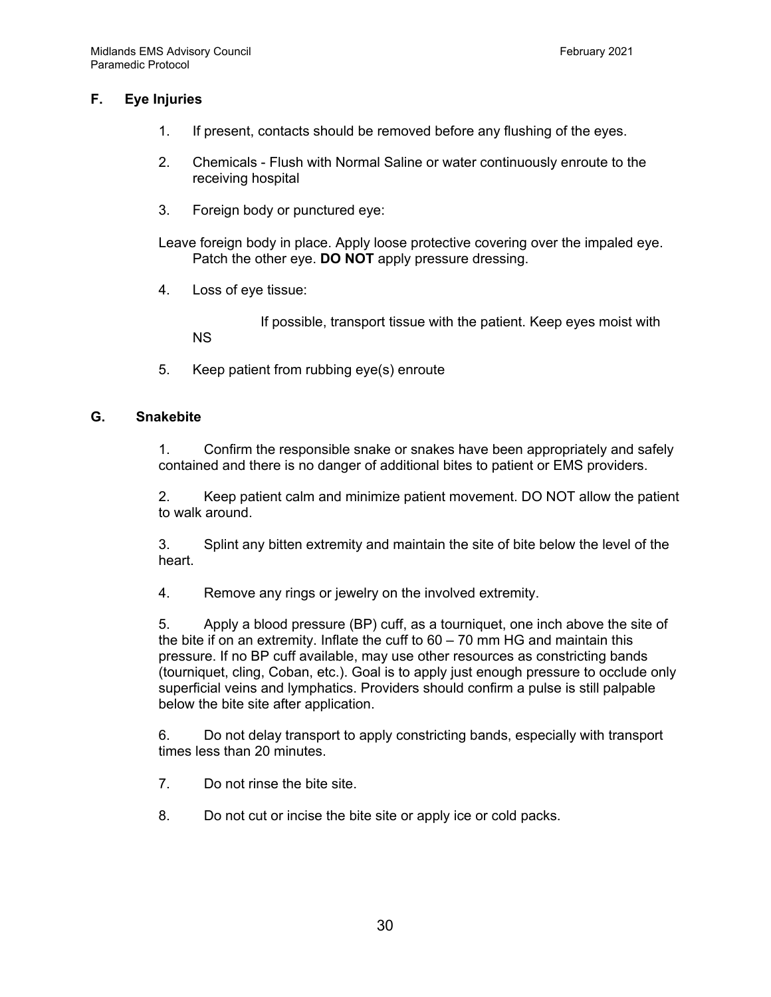# **F. Eye Injuries**

- 1. If present, contacts should be removed before any flushing of the eyes.
- 2. Chemicals Flush with Normal Saline or water continuously enroute to the receiving hospital
- 3. Foreign body or punctured eye:

Leave foreign body in place. Apply loose protective covering over the impaled eye. Patch the other eye. **DO NOT** apply pressure dressing.

4. Loss of eye tissue:

If possible, transport tissue with the patient. Keep eyes moist with NS

5. Keep patient from rubbing eye(s) enroute

#### **G. Snakebite**

1. Confirm the responsible snake or snakes have been appropriately and safely contained and there is no danger of additional bites to patient or EMS providers.

2. Keep patient calm and minimize patient movement. DO NOT allow the patient to walk around.

3. Splint any bitten extremity and maintain the site of bite below the level of the heart.

4. Remove any rings or jewelry on the involved extremity.

5. Apply a blood pressure (BP) cuff, as a tourniquet, one inch above the site of the bite if on an extremity. Inflate the cuff to  $60 - 70$  mm HG and maintain this pressure. If no BP cuff available, may use other resources as constricting bands (tourniquet, cling, Coban, etc.). Goal is to apply just enough pressure to occlude only superficial veins and lymphatics. Providers should confirm a pulse is still palpable below the bite site after application.

6. Do not delay transport to apply constricting bands, especially with transport times less than 20 minutes.

- 7. Do not rinse the bite site.
- 8. Do not cut or incise the bite site or apply ice or cold packs.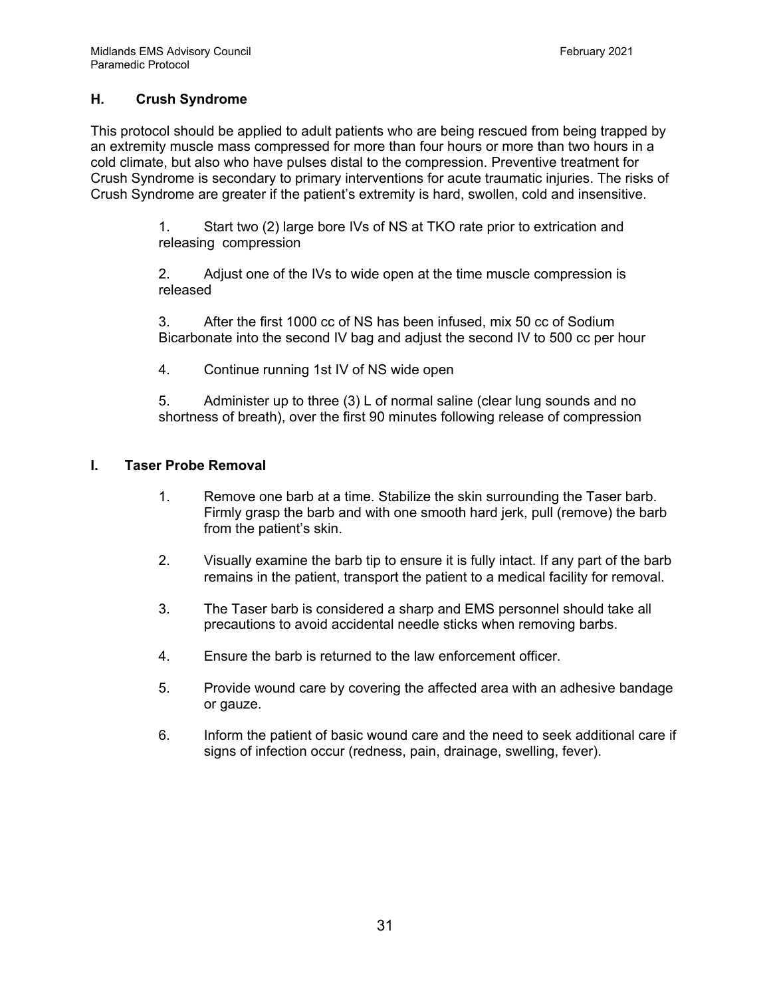# **H. Crush Syndrome**

This protocol should be applied to adult patients who are being rescued from being trapped by an extremity muscle mass compressed for more than four hours or more than two hours in a cold climate, but also who have pulses distal to the compression. Preventive treatment for Crush Syndrome is secondary to primary interventions for acute traumatic injuries. The risks of Crush Syndrome are greater if the patient's extremity is hard, swollen, cold and insensitive.

> 1. Start two (2) large bore IVs of NS at TKO rate prior to extrication and releasing compression

> 2. Adjust one of the IVs to wide open at the time muscle compression is released

3. After the first 1000 cc of NS has been infused, mix 50 cc of Sodium Bicarbonate into the second IV bag and adjust the second IV to 500 cc per hour

4. Continue running 1st IV of NS wide open

5. Administer up to three (3) L of normal saline (clear lung sounds and no shortness of breath), over the first 90 minutes following release of compression

#### **I. Taser Probe Removal**

- 1. Remove one barb at a time. Stabilize the skin surrounding the Taser barb. Firmly grasp the barb and with one smooth hard jerk, pull (remove) the barb from the patient's skin.
- 2. Visually examine the barb tip to ensure it is fully intact. If any part of the barb remains in the patient, transport the patient to a medical facility for removal.
- 3. The Taser barb is considered a sharp and EMS personnel should take all precautions to avoid accidental needle sticks when removing barbs.
- 4. Ensure the barb is returned to the law enforcement officer.
- 5. Provide wound care by covering the affected area with an adhesive bandage or gauze.
- 6. Inform the patient of basic wound care and the need to seek additional care if signs of infection occur (redness, pain, drainage, swelling, fever).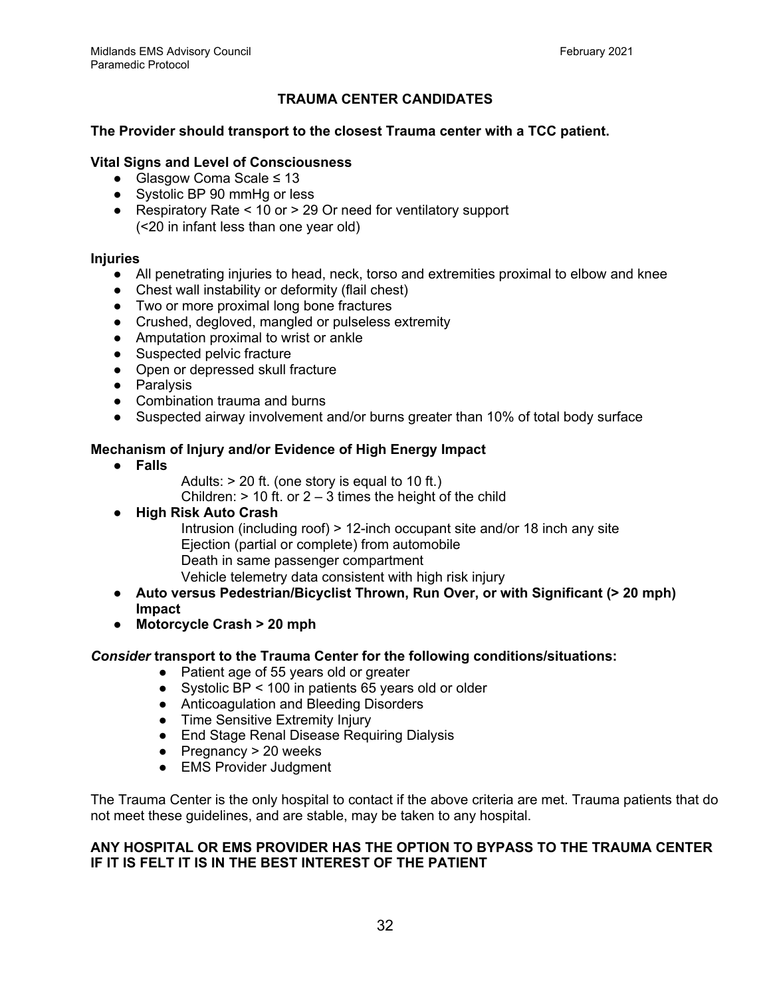# **TRAUMA CENTER CANDIDATES**

#### **The Provider should transport to the closest Trauma center with a TCC patient.**

#### **Vital Signs and Level of Consciousness**

- Glasgow Coma Scale ≤ 13
- Systolic BP 90 mmHg or less
- Respiratory Rate < 10 or > 29 Or need for ventilatory support (<20 in infant less than one year old)

#### **Injuries**

- All penetrating injuries to head, neck, torso and extremities proximal to elbow and knee
- Chest wall instability or deformity (flail chest)
- Two or more proximal long bone fractures
- Crushed, degloved, mangled or pulseless extremity
- Amputation proximal to wrist or ankle
- Suspected pelvic fracture
- Open or depressed skull fracture
- Paralysis
- Combination trauma and burns
- Suspected airway involvement and/or burns greater than 10% of total body surface

#### **Mechanism of Injury and/or Evidence of High Energy Impact**

- **● Falls**
- Adults:  $> 20$  ft. (one story is equal to 10 ft.)

Children:  $> 10$  ft. or  $2 - 3$  times the height of the child

- **● High Risk Auto Crash**
	- Intrusion (including roof) > 12-inch occupant site and/or 18 inch any site Ejection (partial or complete) from automobile Death in same passenger compartment Vehicle telemetry data consistent with high risk injury
- **● Auto versus Pedestrian/Bicyclist Thrown, Run Over, or with Significant (> 20 mph) Impact**
- **● Motorcycle Crash > 20 mph**

#### *Consider* **transport to the Trauma Center for the following conditions/situations:**

- Patient age of 55 years old or greater
- Systolic BP < 100 in patients 65 years old or older
- Anticoagulation and Bleeding Disorders
- Time Sensitive Extremity Injury
- End Stage Renal Disease Requiring Dialysis
- $\bullet$  Pregnancy > 20 weeks
- EMS Provider Judgment

The Trauma Center is the only hospital to contact if the above criteria are met. Trauma patients that do not meet these guidelines, and are stable, may be taken to any hospital.

#### **ANY HOSPITAL OR EMS PROVIDER HAS THE OPTION TO BYPASS TO THE TRAUMA CENTER IF IT IS FELT IT IS IN THE BEST INTEREST OF THE PATIENT**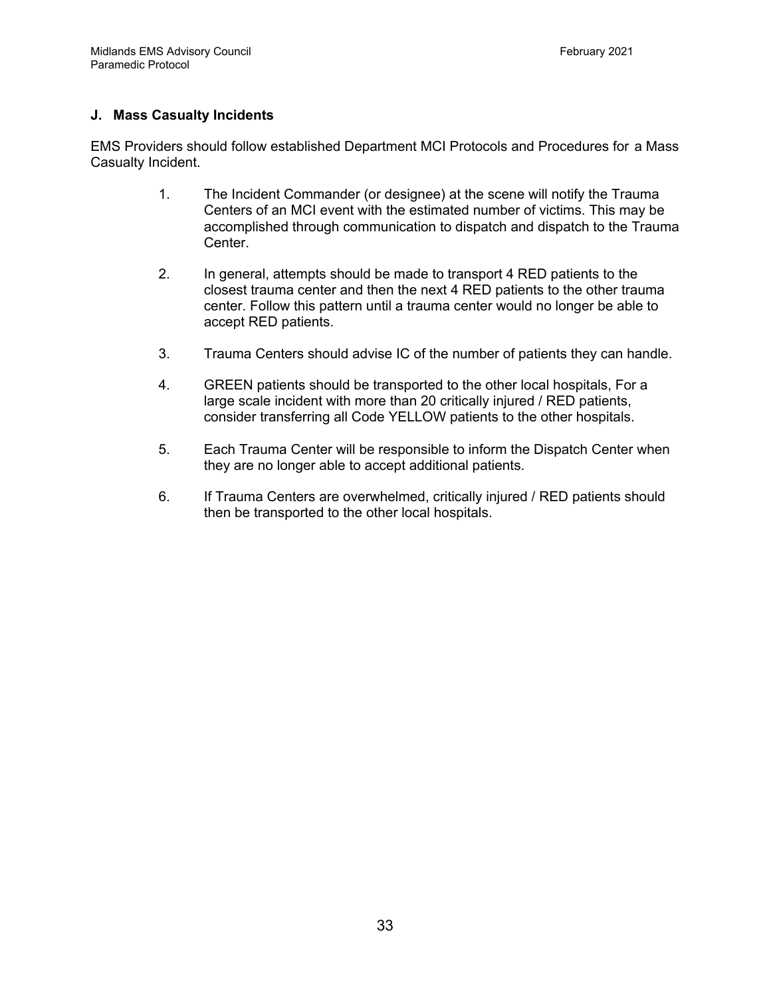# **J. Mass Casualty Incidents**

EMS Providers should follow established Department MCI Protocols and Procedures for a Mass Casualty Incident.

- 1. The Incident Commander (or designee) at the scene will notify the Trauma Centers of an MCI event with the estimated number of victims. This may be accomplished through communication to dispatch and dispatch to the Trauma Center.
- 2. In general, attempts should be made to transport 4 RED patients to the closest trauma center and then the next 4 RED patients to the other trauma center. Follow this pattern until a trauma center would no longer be able to accept RED patients.
- 3. Trauma Centers should advise IC of the number of patients they can handle.
- 4. GREEN patients should be transported to the other local hospitals, For a large scale incident with more than 20 critically injured / RED patients, consider transferring all Code YELLOW patients to the other hospitals.
- 5. Each Trauma Center will be responsible to inform the Dispatch Center when they are no longer able to accept additional patients.
- 6. If Trauma Centers are overwhelmed, critically injured / RED patients should then be transported to the other local hospitals.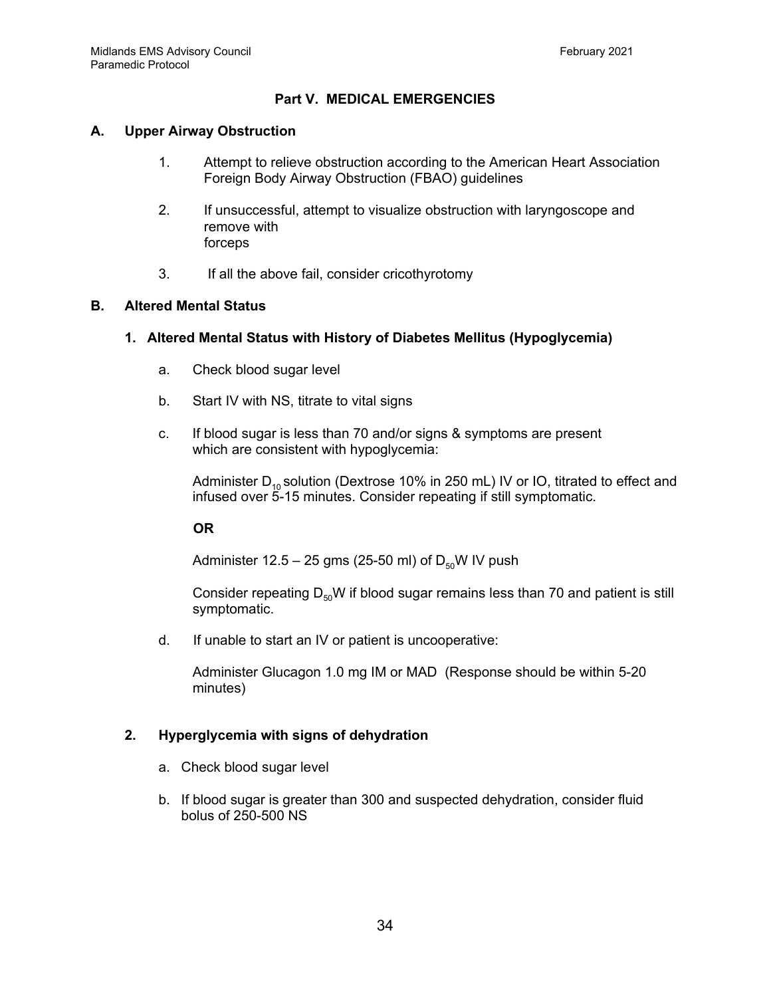# **Part V. MEDICAL EMERGENCIES**

#### **A. Upper Airway Obstruction**

- 1. Attempt to relieve obstruction according to the American Heart Association Foreign Body Airway Obstruction (FBAO) guidelines
- 2. If unsuccessful, attempt to visualize obstruction with laryngoscope and remove with forceps
- 3. If all the above fail, consider cricothyrotomy

#### **B. Altered Mental Status**

#### **1. Altered Mental Status with History of Diabetes Mellitus (Hypoglycemia)**

- a. Check blood sugar level
- b. Start IV with NS, titrate to vital signs
- c. If blood sugar is less than 70 and/or signs & symptoms are present which are consistent with hypoglycemia:

Administer  $D_{10}$  solution (Dextrose 10% in 250 mL) IV or IO, titrated to effect and infused over 5-15 minutes. Consider repeating if still symptomatic.

#### **OR**

Administer  $12.5 - 25$  gms (25-50 ml) of  $D_{50}W$  IV push

Consider repeating  $D_{50}W$  if blood sugar remains less than 70 and patient is still symptomatic.

d. If unable to start an IV or patient is uncooperative:

Administer Glucagon 1.0 mg IM or MAD (Response should be within 5-20 minutes)

# **2. Hyperglycemia with signs of dehydration**

- a. Check blood sugar level
- b. If blood sugar is greater than 300 and suspected dehydration, consider fluid bolus of 250-500 NS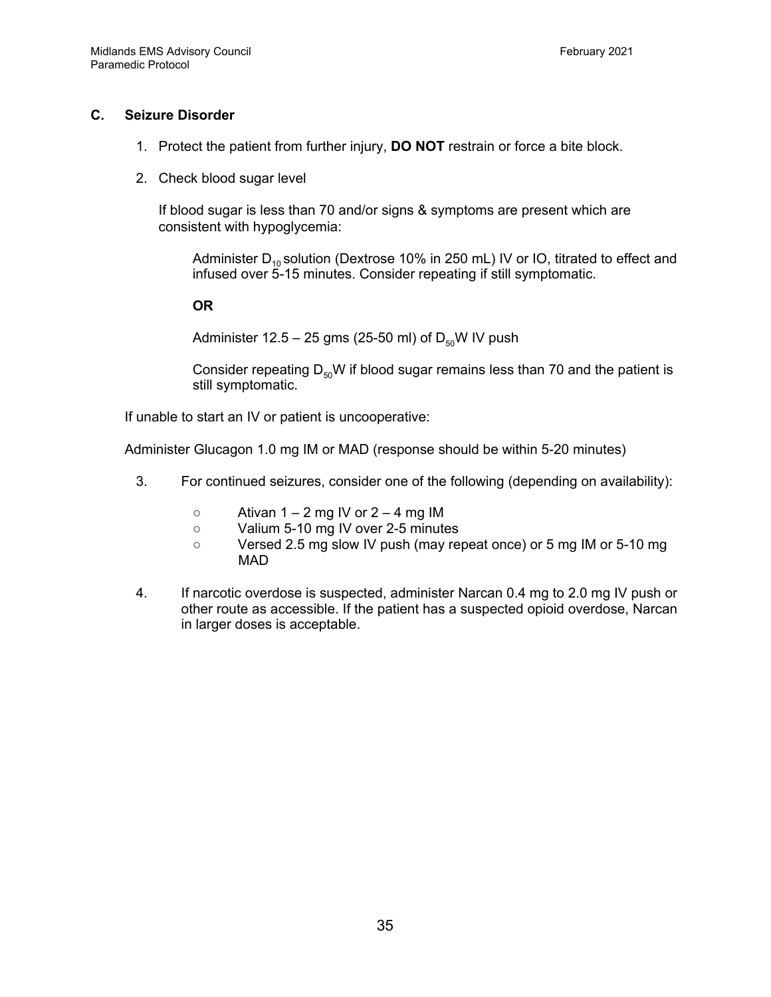#### **C. Seizure Disorder**

- 1. Protect the patient from further injury, **DO NOT** restrain or force a bite block.
- 2. Check blood sugar level

If blood sugar is less than 70 and/or signs & symptoms are present which are consistent with hypoglycemia:

Administer  $D_{10}$  solution (Dextrose 10% in 250 mL) IV or IO, titrated to effect and infused over 5-15 minutes. Consider repeating if still symptomatic.

**OR**

Administer 12.5 – 25 gms (25-50 ml) of  $D_{50}$ W IV push

Consider repeating  $D_{50}W$  if blood sugar remains less than 70 and the patient is still symptomatic.

If unable to start an IV or patient is uncooperative:

Administer Glucagon 1.0 mg IM or MAD (response should be within 5-20 minutes)

- 3. For continued seizures, consider one of the following (depending on availability):
	- $\circ$  Ativan 1 2 mg IV or 2 4 mg IM
	- Valium 5-10 mg IV over 2-5 minutes
	- Versed 2.5 mg slow IV push (may repeat once) or 5 mg IM or 5-10 mg MAD
- 4. If narcotic overdose is suspected, administer Narcan 0.4 mg to 2.0 mg IV push or other route as accessible. If the patient has a suspected opioid overdose, Narcan in larger doses is acceptable.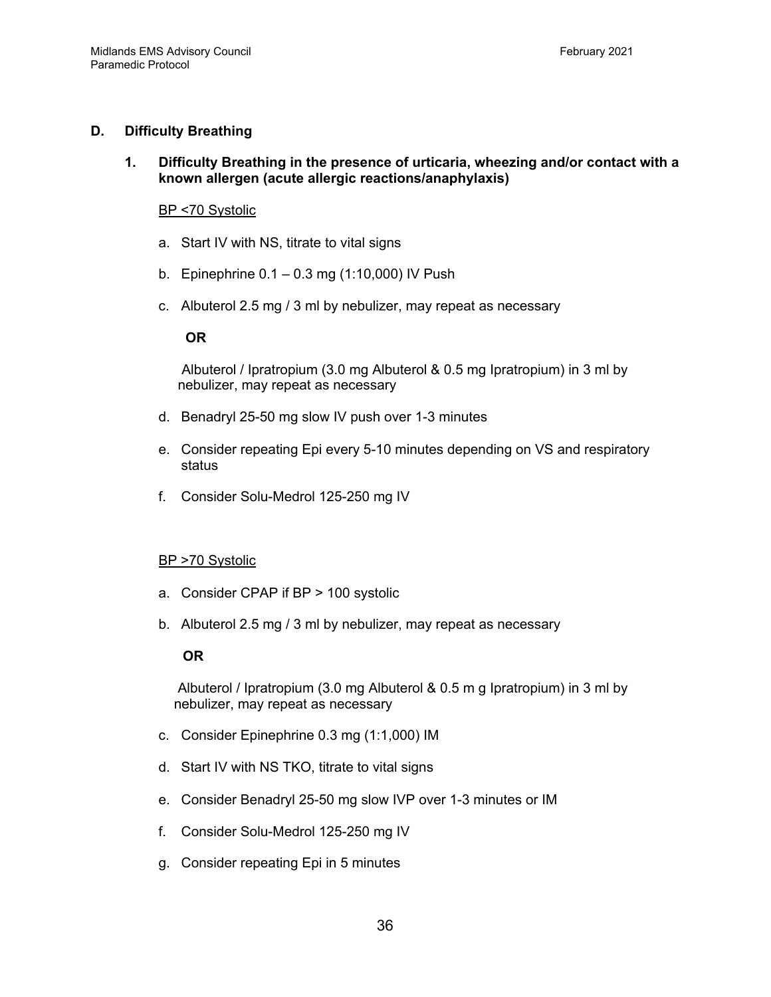#### **D. Difficulty Breathing**

**1. Difficulty Breathing in the presence of urticaria, wheezing and/or contact with a known allergen (acute allergic reactions/anaphylaxis)**

#### BP <70 Systolic

- a. Start IV with NS, titrate to vital signs
- b. Epinephrine 0.1 0.3 mg (1:10,000) IV Push
- c. Albuterol 2.5 mg / 3 ml by nebulizer, may repeat as necessary

#### **OR**

Albuterol / Ipratropium (3.0 mg Albuterol & 0.5 mg Ipratropium) in 3 ml by nebulizer, may repeat as necessary

- d. Benadryl 25-50 mg slow IV push over 1-3 minutes
- e. Consider repeating Epi every 5-10 minutes depending on VS and respiratory status
- f. Consider Solu-Medrol 125-250 mg IV

# BP >70 Systolic

- a. Consider CPAP if BP > 100 systolic
- b. Albuterol 2.5 mg / 3 ml by nebulizer, may repeat as necessary

#### **OR**

Albuterol / Ipratropium (3.0 mg Albuterol & 0.5 m g Ipratropium) in 3 ml by nebulizer, may repeat as necessary

- c. Consider Epinephrine 0.3 mg (1:1,000) IM
- d. Start IV with NS TKO, titrate to vital signs
- e. Consider Benadryl 25-50 mg slow IVP over 1-3 minutes or IM
- f. Consider Solu-Medrol 125-250 mg IV
- g. Consider repeating Epi in 5 minutes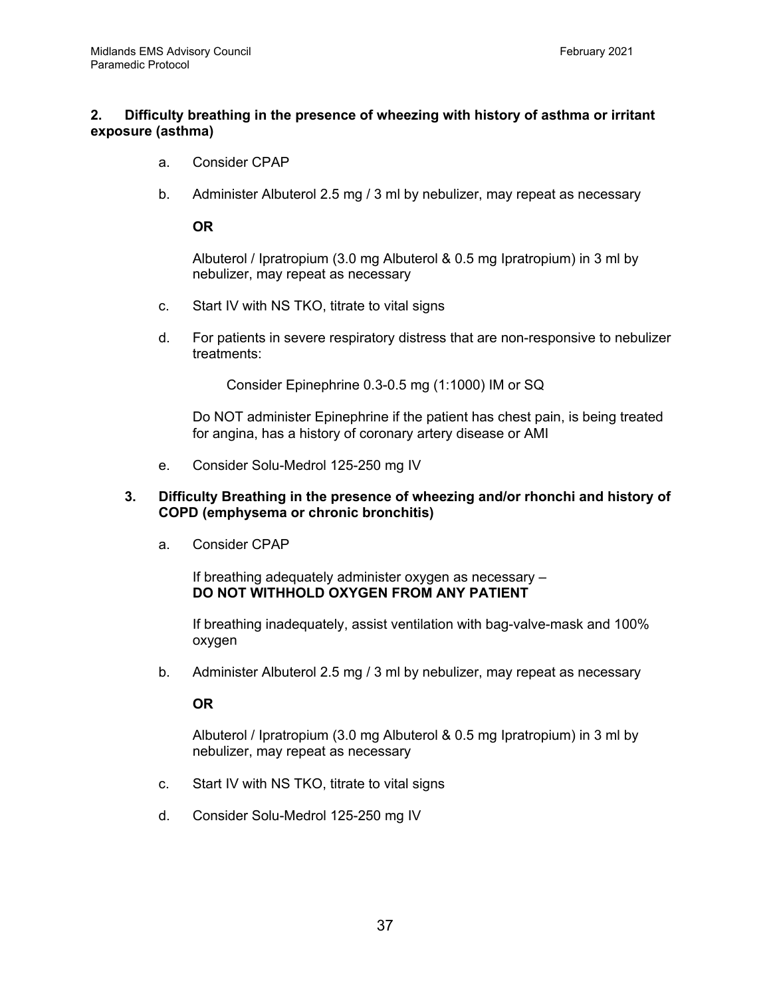# **2. Difficulty breathing in the presence of wheezing with history of asthma or irritant exposure (asthma)**

- a. Consider CPAP
- b. Administer Albuterol 2.5 mg / 3 ml by nebulizer, may repeat as necessary

**OR**

Albuterol / Ipratropium (3.0 mg Albuterol & 0.5 mg Ipratropium) in 3 ml by nebulizer, may repeat as necessary

- c. Start IV with NS TKO, titrate to vital signs
- d. For patients in severe respiratory distress that are non-responsive to nebulizer treatments:

Consider Epinephrine 0.3-0.5 mg (1:1000) IM or SQ

Do NOT administer Epinephrine if the patient has chest pain, is being treated for angina, has a history of coronary artery disease or AMI

e. Consider Solu-Medrol 125-250 mg IV

#### **3. Difficulty Breathing in the presence of wheezing and/or rhonchi and history of COPD (emphysema or chronic bronchitis)**

a. Consider CPAP

If breathing adequately administer oxygen as necessary – **DO NOT WITHHOLD OXYGEN FROM ANY PATIENT**

If breathing inadequately, assist ventilation with bag-valve-mask and 100% oxygen

b. Administer Albuterol 2.5 mg / 3 ml by nebulizer, may repeat as necessary

**OR**

Albuterol / Ipratropium (3.0 mg Albuterol & 0.5 mg Ipratropium) in 3 ml by nebulizer, may repeat as necessary

- c. Start IV with NS TKO, titrate to vital signs
- d. Consider Solu-Medrol 125-250 mg IV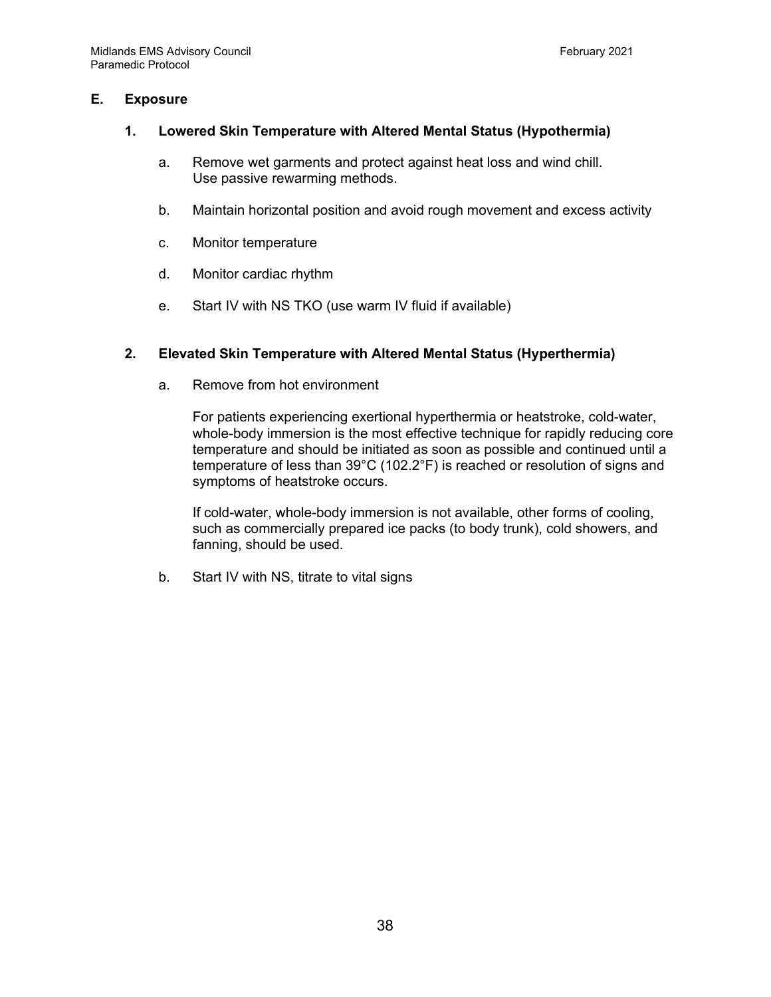#### **E. Exposure**

#### **1. Lowered Skin Temperature with Altered Mental Status (Hypothermia)**

- a. Remove wet garments and protect against heat loss and wind chill. Use passive rewarming methods.
- b. Maintain horizontal position and avoid rough movement and excess activity
- c. Monitor temperature
- d. Monitor cardiac rhythm
- e. Start IV with NS TKO (use warm IV fluid if available)

# **2. Elevated Skin Temperature with Altered Mental Status (Hyperthermia)**

a. Remove from hot environment

For patients experiencing exertional hyperthermia or heatstroke, cold-water, whole-body immersion is the most effective technique for rapidly reducing core temperature and should be initiated as soon as possible and continued until a temperature of less than 39°C (102.2°F) is reached or resolution of signs and symptoms of heatstroke occurs.

If cold-water, whole-body immersion is not available, other forms of cooling, such as commercially prepared ice packs (to body trunk), cold showers, and fanning, should be used.

b. Start IV with NS, titrate to vital signs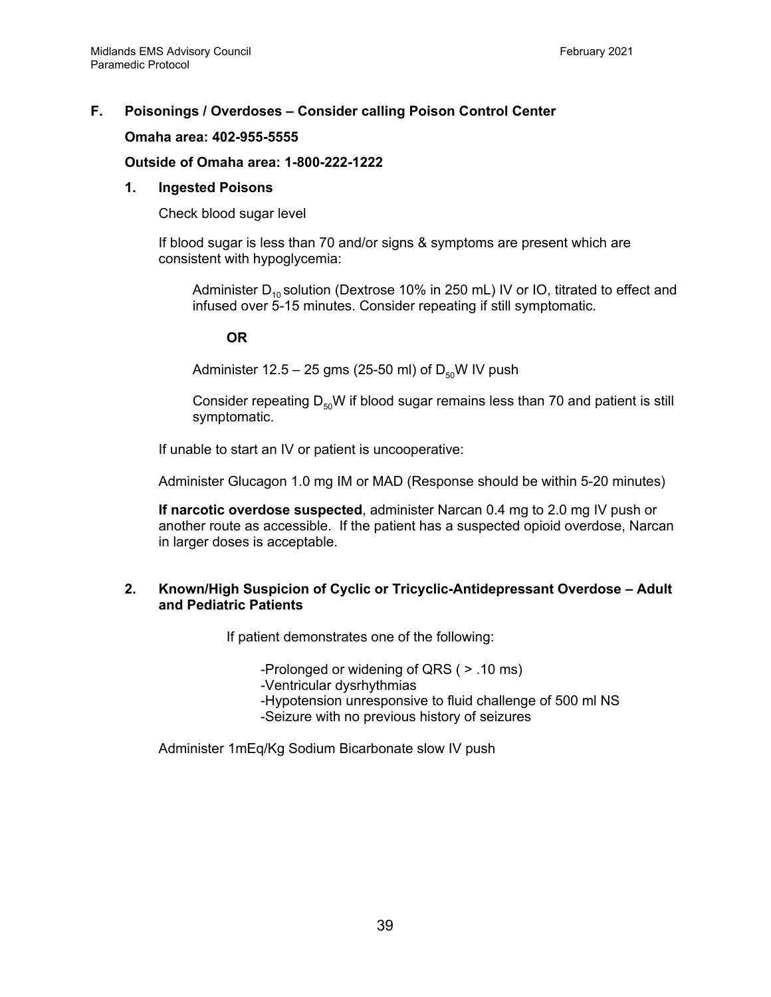# **F. Poisonings / Overdoses – Consider calling Poison Control Center**

#### **Omaha area: 402-955-5555**

#### **Outside of Omaha area: 1-800-222-1222**

#### **1. Ingested Poisons**

Check blood sugar level

If blood sugar is less than 70 and/or signs & symptoms are present which are consistent with hypoglycemia:

Administer  $D_{10}$  solution (Dextrose 10% in 250 mL) IV or IO, titrated to effect and infused over 5-15 minutes. Consider repeating if still symptomatic.

#### **OR**

Administer  $12.5 - 25$  gms (25-50 ml) of  $D_{50}W$  IV push

Consider repeating  $D_{50}W$  if blood sugar remains less than 70 and patient is still symptomatic.

If unable to start an IV or patient is uncooperative:

Administer Glucagon 1.0 mg IM or MAD (Response should be within 5-20 minutes)

**If narcotic overdose suspected**, administer Narcan 0.4 mg to 2.0 mg IV push or another route as accessible. If the patient has a suspected opioid overdose, Narcan in larger doses is acceptable.

#### **2. Known/High Suspicion of Cyclic or Tricyclic-Antidepressant Overdose – Adult and Pediatric Patients**

If patient demonstrates one of the following:

-Prolonged or widening of QRS ( > .10 ms)

-Ventricular dysrhythmias

-Hypotension unresponsive to fluid challenge of 500 ml NS

-Seizure with no previous history of seizures

Administer 1mEq/Kg Sodium Bicarbonate slow IV push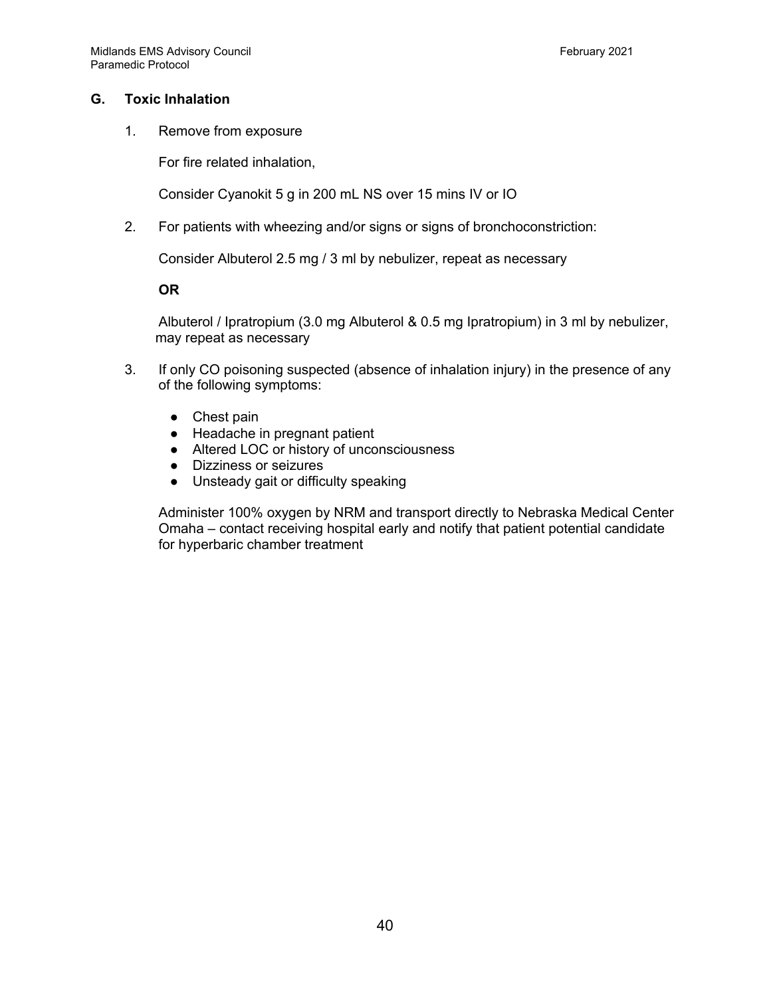# **G. Toxic Inhalation**

1. Remove from exposure

For fire related inhalation,

Consider Cyanokit 5 g in 200 mL NS over 15 mins IV or IO

2. For patients with wheezing and/or signs or signs of bronchoconstriction:

Consider Albuterol 2.5 mg / 3 ml by nebulizer, repeat as necessary

**OR**

Albuterol / Ipratropium (3.0 mg Albuterol & 0.5 mg Ipratropium) in 3 ml by nebulizer, may repeat as necessary

- 3. If only CO poisoning suspected (absence of inhalation injury) in the presence of any of the following symptoms:
	- Chest pain
	- Headache in pregnant patient
	- Altered LOC or history of unconsciousness
	- Dizziness or seizures
	- Unsteady gait or difficulty speaking

Administer 100% oxygen by NRM and transport directly to Nebraska Medical Center Omaha – contact receiving hospital early and notify that patient potential candidate for hyperbaric chamber treatment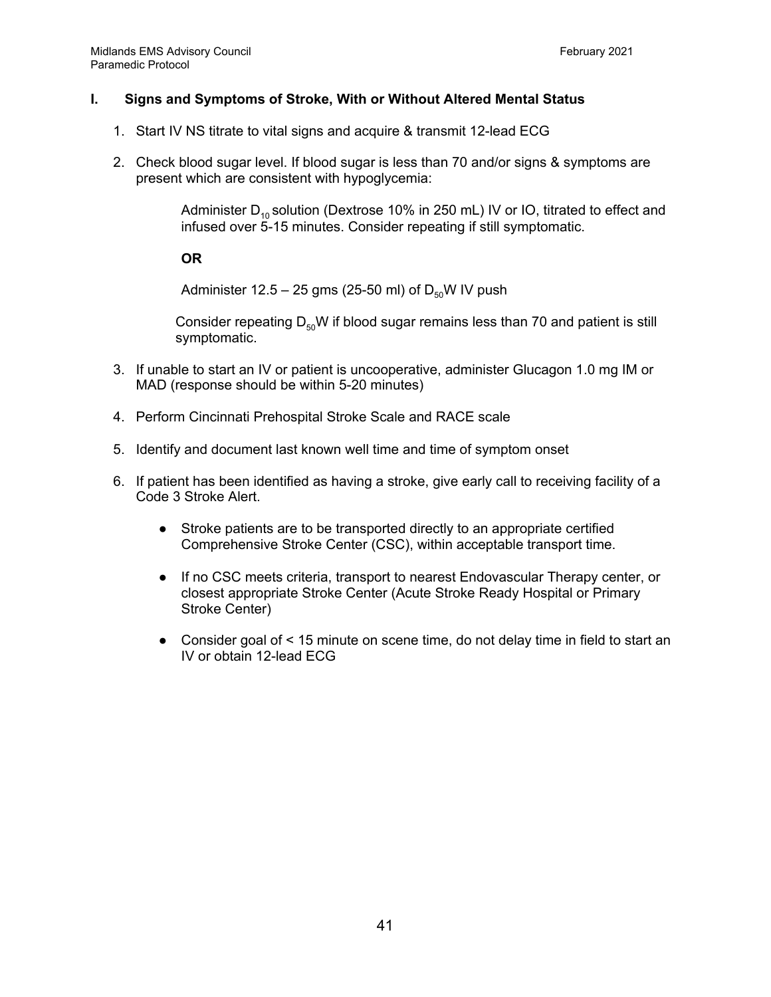#### **I. Signs and Symptoms of Stroke, With or Without Altered Mental Status**

- 1. Start IV NS titrate to vital signs and acquire & transmit 12-lead ECG
- 2. Check blood sugar level. If blood sugar is less than 70 and/or signs & symptoms are present which are consistent with hypoglycemia:

Administer  $D_{10}$  solution (Dextrose 10% in 250 mL) IV or IO, titrated to effect and infused over 5-15 minutes. Consider repeating if still symptomatic.

**OR**

Administer 12.5 – 25 gms (25-50 ml) of  $D_{50}$ W IV push

Consider repeating  $D_{50}W$  if blood sugar remains less than 70 and patient is still symptomatic.

- 3. If unable to start an IV or patient is uncooperative, administer Glucagon 1.0 mg IM or MAD (response should be within 5-20 minutes)
- 4. Perform Cincinnati Prehospital Stroke Scale and RACE scale
- 5. Identify and document last known well time and time of symptom onset
- 6. If patient has been identified as having a stroke, give early call to receiving facility of a Code 3 Stroke Alert.
	- Stroke patients are to be transported directly to an appropriate certified Comprehensive Stroke Center (CSC), within acceptable transport time.
	- If no CSC meets criteria, transport to nearest Endovascular Therapy center, or closest appropriate Stroke Center (Acute Stroke Ready Hospital or Primary Stroke Center)
	- Consider goal of < 15 minute on scene time, do not delay time in field to start an IV or obtain 12-lead ECG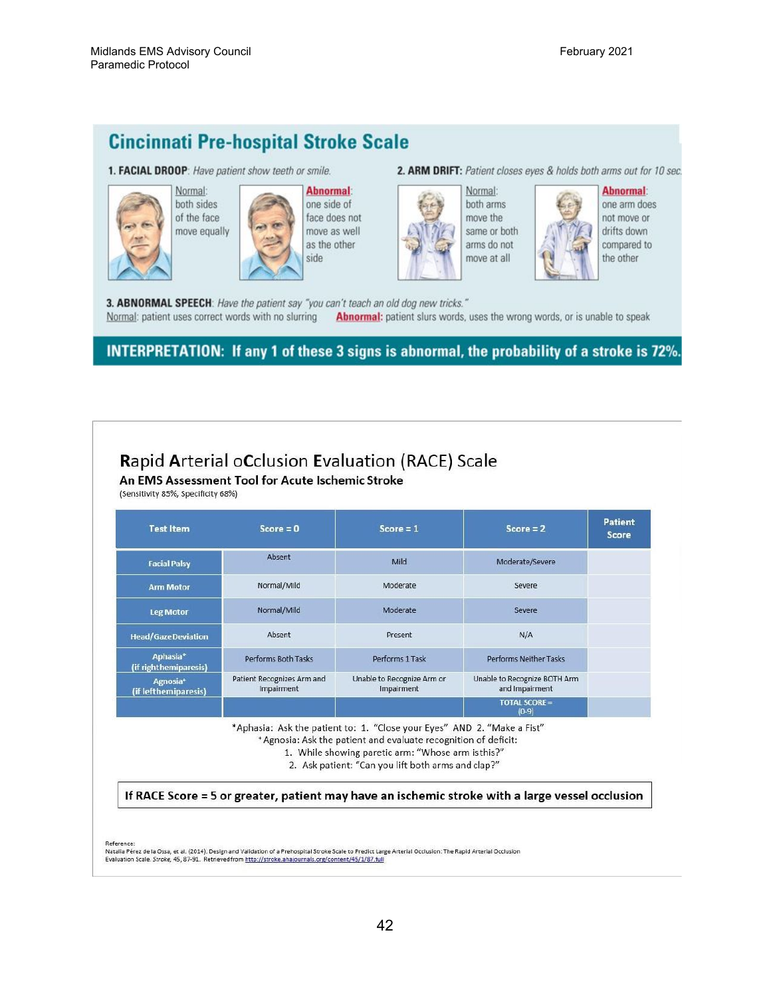# **Cincinnati Pre-hospital Stroke Scale**

1. FACIAL DROOP: Have patient show teeth or smile.



Normal: both sides of the face move equally



**Abnormal:** one side of face does not move as well as the other side





**Abnormal:** not move or drifts down compared to the other

one arm does

3. ABNORMAL SPEECH: Have the patient say "you can't teach an old dog new tricks." Normal: patient uses correct words with no slurring Abnormal: patient slurs words, uses the wrong words, or is unable to speak

# **INTERPRETATION:** If any 1 of these 3 signs is abnormal, the probability of a stroke is 72%.

# Rapid Arterial oCclusion Evaluation (RACE) Scale

An EMS Assessment Tool for Acute Ischemic Stroke

(Sensitivity 85%, Specificity 68%)

| <b>Test Item</b>                              | $Score = 0$                              | $Score = 1$                              | $Score = 2$                                    | <b>Patient</b><br><b>Score</b> |
|-----------------------------------------------|------------------------------------------|------------------------------------------|------------------------------------------------|--------------------------------|
| <b>Facial Palsy</b>                           | Absent                                   | Mild                                     | Moderate/Severe                                |                                |
| <b>Arm Motor</b>                              | Normal/Mild                              | Moderate                                 | Severe                                         |                                |
| <b>Leg Motor</b>                              | Normal/Mild                              | Moderate                                 | Severe                                         |                                |
| <b>Head/GazeDeviation</b>                     | Absent                                   | Present                                  | N/A                                            |                                |
| Aphasia <sup>*</sup><br>(if righthemiparesis) | Performs Both Tasks                      | Performs 1 Task                          | Performs Neither Tasks                         |                                |
| Agnosia <sup>+</sup><br>(if lefthemiparesis)  | Patient Recognizes Arm and<br>Impairment | Unable to Recognize Arm or<br>Impairment | Unable to Recognize BOTH Arm<br>and Impairment |                                |
|                                               |                                          |                                          | <b>TOTAL SCORE =</b><br>$(0-9)$                |                                |

\*Aphasia: Ask the patient to: 1. "Close your Eyes" AND 2. "Make a Fist"

\*Agnosia: Ask the patient and evaluate recognition of deficit:

1. While showing paretic arm: "Whose arm isthis?"

2. Ask patient: "Can you lift both arms and clap?"

If RACE Score = 5 or greater, patient may have an ischemic stroke with a large vessel occlusion

Reference

n<br>Natalia Pérez de la Ossa, et al. (2014). Design and Validation of a Prehospital Stroke Scale to Predict Large Arterial Occlusion: The Rapid Arterial Occlusion Evaluation Scale. Stroke, 45, 87-91. Retrieved from http://stroke.ahajournals.org/content/45/1/87.full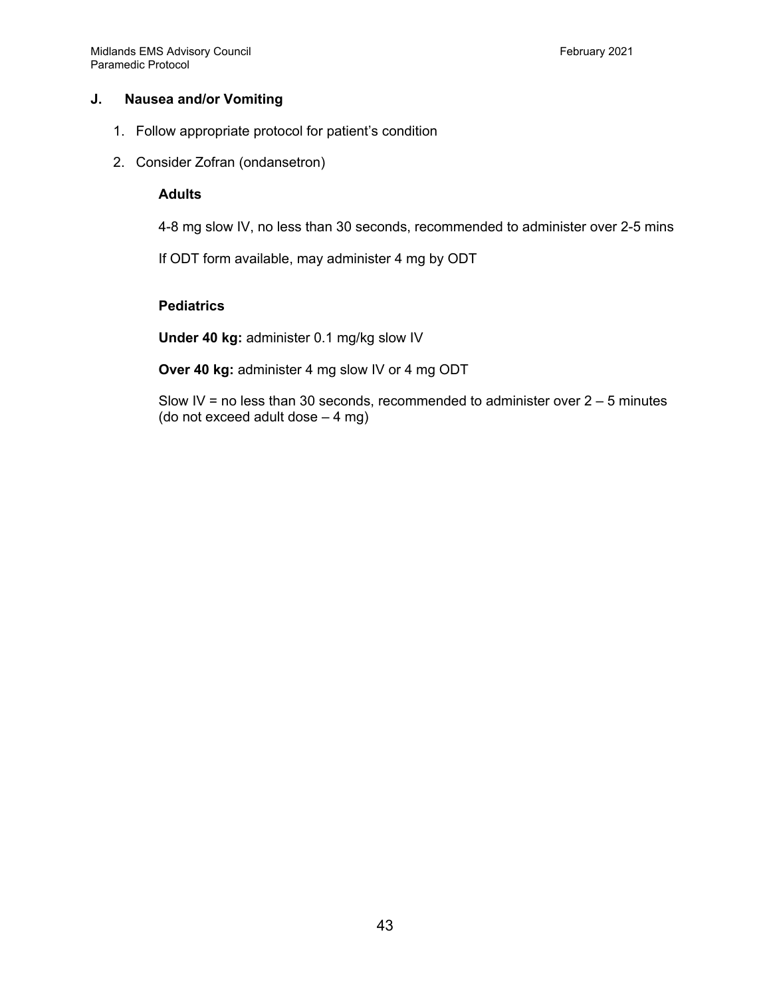#### **J. Nausea and/or Vomiting**

- 1. Follow appropriate protocol for patient's condition
- 2. Consider Zofran (ondansetron)

#### **Adults**

4-8 mg slow IV, no less than 30 seconds, recommended to administer over 2-5 mins

If ODT form available, may administer 4 mg by ODT

# **Pediatrics**

**Under 40 kg:** administer 0.1 mg/kg slow IV

**Over 40 kg:** administer 4 mg slow IV or 4 mg ODT

Slow IV = no less than 30 seconds, recommended to administer over  $2 - 5$  minutes (do not exceed adult dose – 4 mg)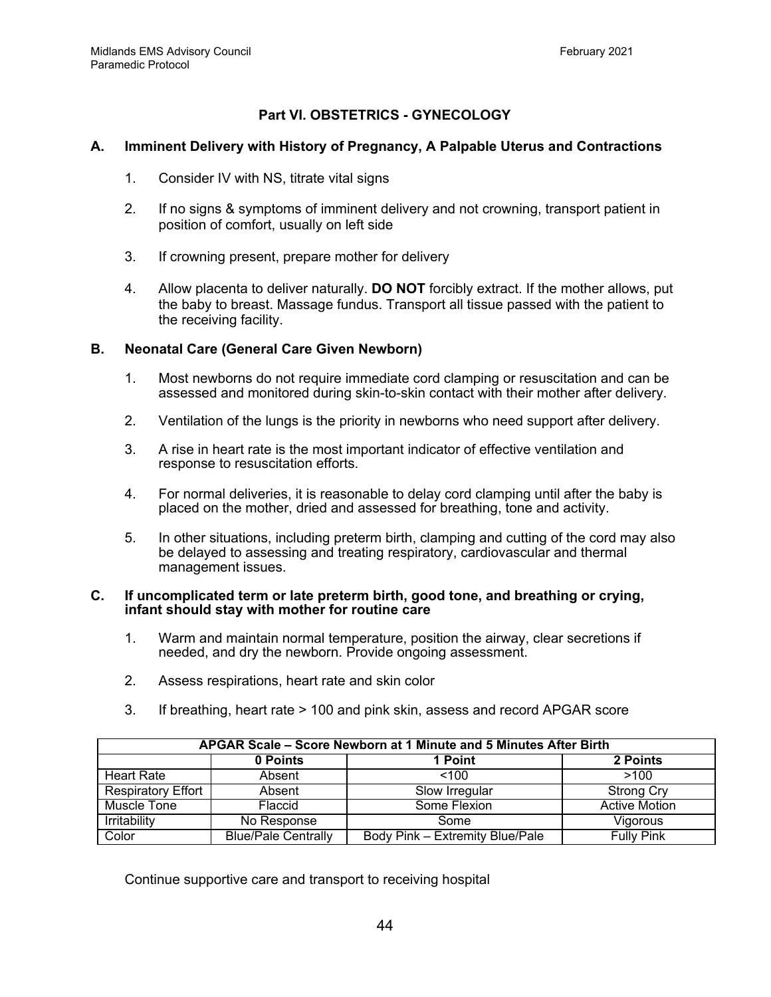# **Part VI. OBSTETRICS - GYNECOLOGY**

#### **A. Imminent Delivery with History of Pregnancy, A Palpable Uterus and Contractions**

- 1. Consider IV with NS, titrate vital signs
- 2. If no signs & symptoms of imminent delivery and not crowning, transport patient in position of comfort, usually on left side
- 3. If crowning present, prepare mother for delivery
- 4. Allow placenta to deliver naturally. **DO NOT** forcibly extract. If the mother allows, put the baby to breast. Massage fundus. Transport all tissue passed with the patient to the receiving facility.

### **B. Neonatal Care (General Care Given Newborn)**

- 1. Most newborns do not require immediate cord clamping or resuscitation and can be assessed and monitored during skin-to-skin contact with their mother after delivery.
- 2. Ventilation of the lungs is the priority in newborns who need support after delivery.
- 3. A rise in heart rate is the most important indicator of effective ventilation and response to resuscitation efforts.
- 4. For normal deliveries, it is reasonable to delay cord clamping until after the baby is placed on the mother, dried and assessed for breathing, tone and activity.
- 5. In other situations, including preterm birth, clamping and cutting of the cord may also be delayed to assessing and treating respiratory, cardiovascular and thermal management issues.

#### **C. If uncomplicated term or late preterm birth, good tone, and breathing or crying, infant should stay with mother for routine care**

- 1. Warm and maintain normal temperature, position the airway, clear secretions if needed, and dry the newborn. Provide ongoing assessment.
- 2. Assess respirations, heart rate and skin color
- 3. If breathing, heart rate > 100 and pink skin, assess and record APGAR score

| APGAR Scale - Score Newborn at 1 Minute and 5 Minutes After Birth |                            |                                 |                      |
|-------------------------------------------------------------------|----------------------------|---------------------------------|----------------------|
|                                                                   | 0 Points                   | 1 Point                         | 2 Points             |
| <b>Heart Rate</b>                                                 | Absent                     | < 100                           | >100                 |
| <b>Respiratory Effort</b>                                         | Absent                     | Slow Irregular                  | <b>Strong Cry</b>    |
| Muscle Tone                                                       | Flaccid                    | Some Flexion                    | <b>Active Motion</b> |
| Irritability                                                      | No Response                | Some                            | Vigorous             |
| Color                                                             | <b>Blue/Pale Centrally</b> | Body Pink - Extremity Blue/Pale | <b>Fully Pink</b>    |

Continue supportive care and transport to receiving hospital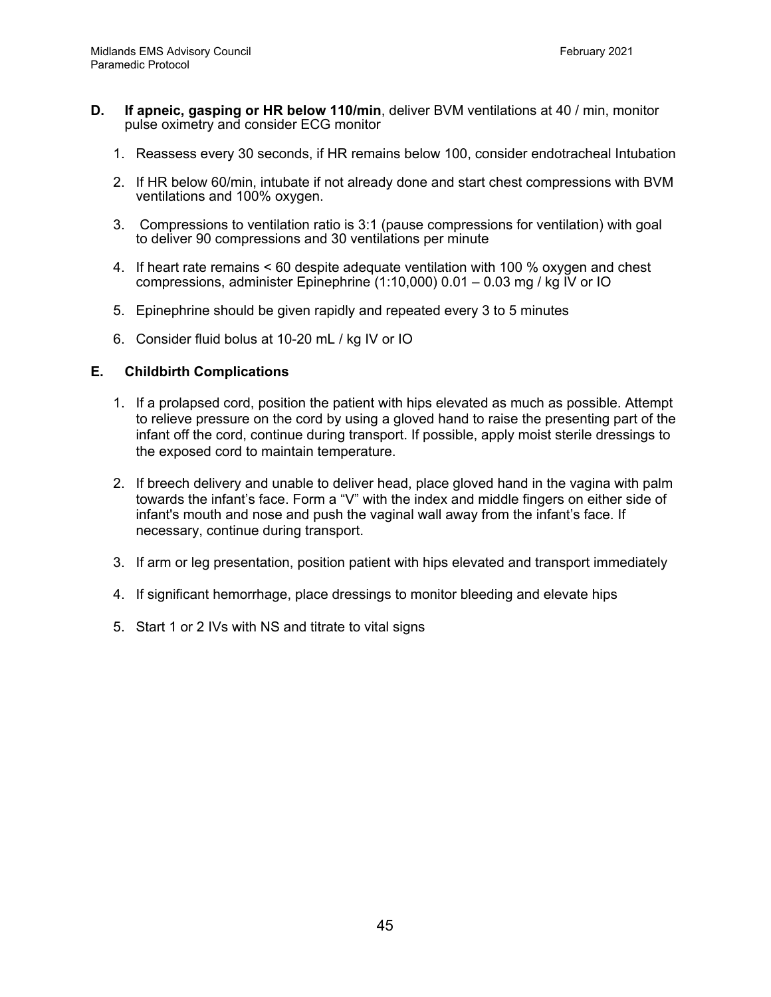- **D. If apneic, gasping or HR below 110/min**, deliver BVM ventilations at 40 / min, monitor pulse oximetry and consider ECG monitor
	- 1. Reassess every 30 seconds, if HR remains below 100, consider endotracheal Intubation
	- 2. If HR below 60/min, intubate if not already done and start chest compressions with BVM ventilations and 100% oxygen.
	- 3. Compressions to ventilation ratio is 3:1 (pause compressions for ventilation) with goal to deliver 90 compressions and 30 ventilations per minute
	- 4. If heart rate remains < 60 despite adequate ventilation with 100 % oxygen and chest compressions, administer Epinephrine (1:10,000) 0.01 – 0.03 mg / kg IV or IO
	- 5. Epinephrine should be given rapidly and repeated every 3 to 5 minutes
	- 6. Consider fluid bolus at 10-20 mL / kg IV or IO

#### **E. Childbirth Complications**

- 1. If a prolapsed cord, position the patient with hips elevated as much as possible. Attempt to relieve pressure on the cord by using a gloved hand to raise the presenting part of the infant off the cord, continue during transport. If possible, apply moist sterile dressings to the exposed cord to maintain temperature.
- 2. If breech delivery and unable to deliver head, place gloved hand in the vagina with palm towards the infant's face. Form a "V" with the index and middle fingers on either side of infant's mouth and nose and push the vaginal wall away from the infant's face. If necessary, continue during transport.
- 3. If arm or leg presentation, position patient with hips elevated and transport immediately
- 4. If significant hemorrhage, place dressings to monitor bleeding and elevate hips
- 5. Start 1 or 2 IVs with NS and titrate to vital signs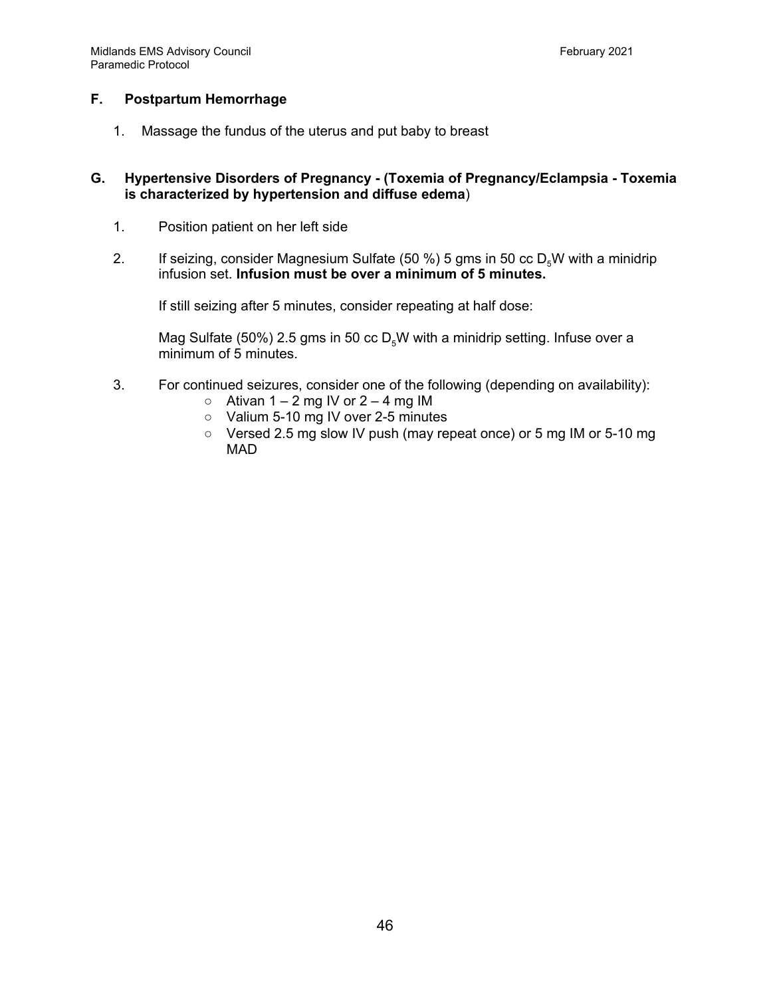# **F. Postpartum Hemorrhage**

1. Massage the fundus of the uterus and put baby to breast

#### **G. Hypertensive Disorders of Pregnancy - (Toxemia of Pregnancy/Eclampsia - Toxemia is characterized by hypertension and diffuse edema**)

- 1. Position patient on her left side
- 2. If seizing, consider Magnesium Sulfate (50 %) 5 gms in 50 cc  $D<sub>\epsilon</sub>W$  with a minidrip infusion set. **Infusion must be over a minimum of 5 minutes.**

If still seizing after 5 minutes, consider repeating at half dose:

Mag Sulfate (50%) 2.5 gms in 50 cc  $D_5W$  with a minidrip setting. Infuse over a minimum of 5 minutes.

- 3. For continued seizures, consider one of the following (depending on availability):
	- $\circ$  Ativan 1 2 mg IV or 2 4 mg IM
	- Valium 5-10 mg IV over 2-5 minutes
	- Versed 2.5 mg slow IV push (may repeat once) or 5 mg IM or 5-10 mg MAD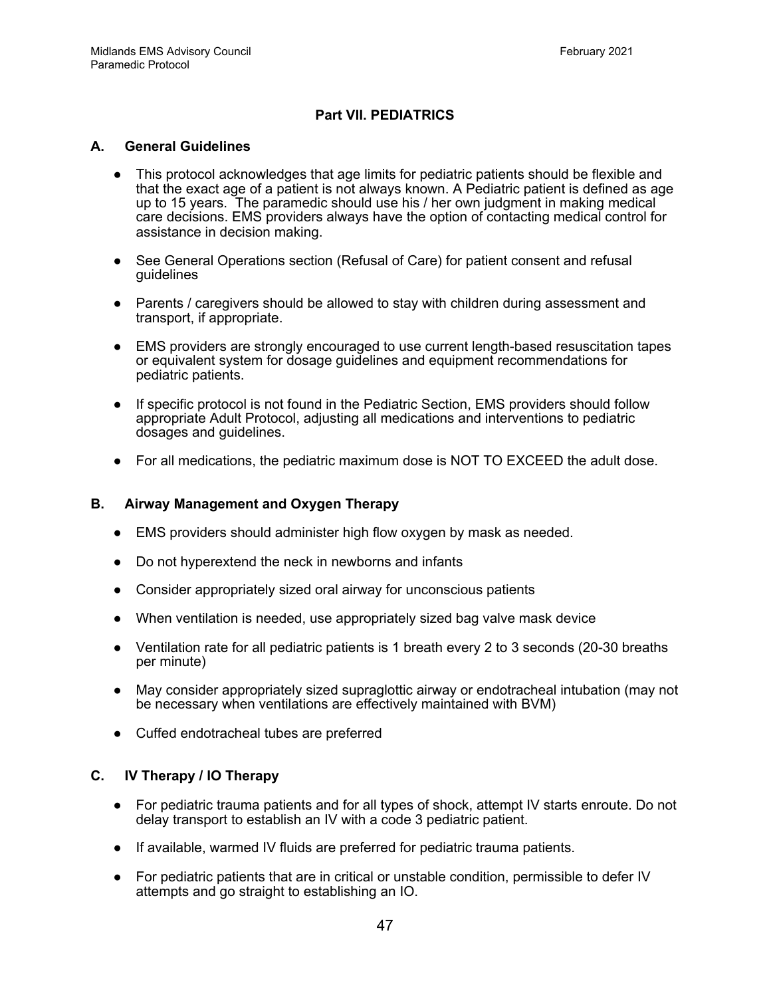# **Part VII. PEDIATRICS**

#### **A. General Guidelines**

- This protocol acknowledges that age limits for pediatric patients should be flexible and that the exact age of a patient is not always known. A Pediatric patient is defined as age up to 15 years. The paramedic should use his / her own judgment in making medical care decisions. EMS providers always have the option of contacting medical control for assistance in decision making.
- See General Operations section (Refusal of Care) for patient consent and refusal guidelines
- Parents / caregivers should be allowed to stay with children during assessment and transport, if appropriate.
- EMS providers are strongly encouraged to use current length-based resuscitation tapes or equivalent system for dosage guidelines and equipment recommendations for pediatric patients.
- If specific protocol is not found in the Pediatric Section, EMS providers should follow appropriate Adult Protocol, adjusting all medications and interventions to pediatric dosages and guidelines.
- For all medications, the pediatric maximum dose is NOT TO EXCEED the adult dose.

#### **B. Airway Management and Oxygen Therapy**

- EMS providers should administer high flow oxygen by mask as needed.
- Do not hyperextend the neck in newborns and infants
- Consider appropriately sized oral airway for unconscious patients
- When ventilation is needed, use appropriately sized bag valve mask device
- Ventilation rate for all pediatric patients is 1 breath every 2 to 3 seconds (20-30 breaths per minute)
- May consider appropriately sized supraglottic airway or endotracheal intubation (may not be necessary when ventilations are effectively maintained with BVM)
- Cuffed endotracheal tubes are preferred

# **C. IV Therapy / IO Therapy**

- For pediatric trauma patients and for all types of shock, attempt IV starts enroute. Do not delay transport to establish an IV with a code 3 pediatric patient.
- If available, warmed IV fluids are preferred for pediatric trauma patients.
- For pediatric patients that are in critical or unstable condition, permissible to defer IV attempts and go straight to establishing an IO.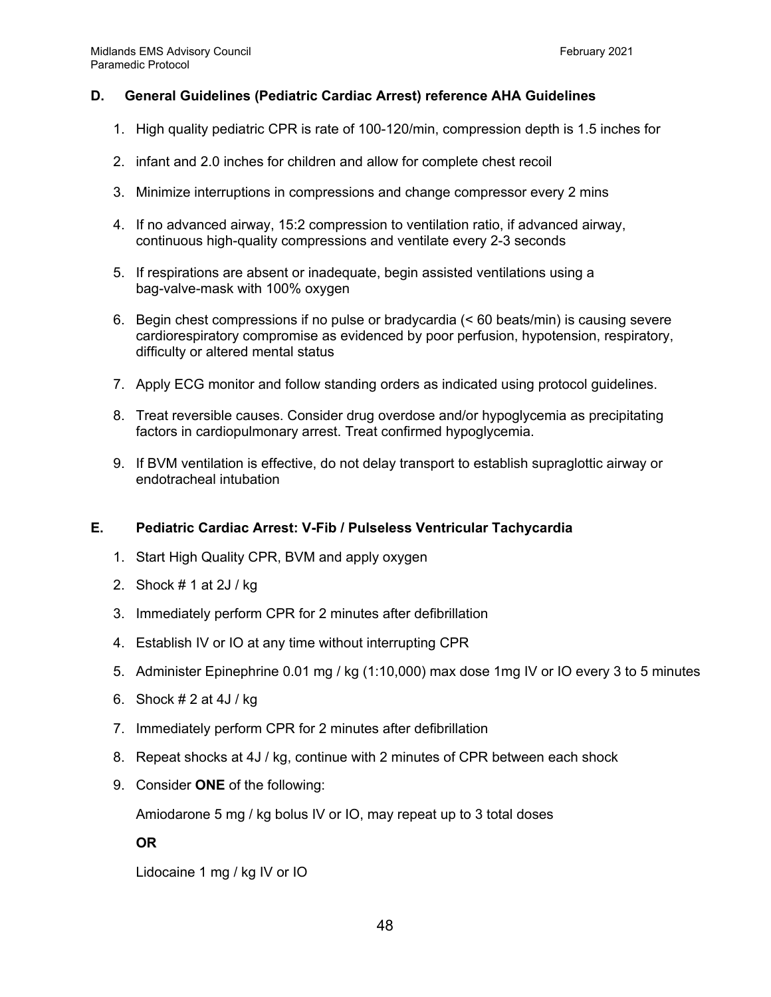# **D. General Guidelines (Pediatric Cardiac Arrest) reference AHA Guidelines**

- 1. High quality pediatric CPR is rate of 100-120/min, compression depth is 1.5 inches for
- 2. infant and 2.0 inches for children and allow for complete chest recoil
- 3. Minimize interruptions in compressions and change compressor every 2 mins
- 4. If no advanced airway, 15:2 compression to ventilation ratio, if advanced airway, continuous high-quality compressions and ventilate every 2-3 seconds
- 5. If respirations are absent or inadequate, begin assisted ventilations using a bag-valve-mask with 100% oxygen
- 6. Begin chest compressions if no pulse or bradycardia (< 60 beats/min) is causing severe cardiorespiratory compromise as evidenced by poor perfusion, hypotension, respiratory, difficulty or altered mental status
- 7. Apply ECG monitor and follow standing orders as indicated using protocol guidelines.
- 8. Treat reversible causes. Consider drug overdose and/or hypoglycemia as precipitating factors in cardiopulmonary arrest. Treat confirmed hypoglycemia.
- 9. If BVM ventilation is effective, do not delay transport to establish supraglottic airway or endotracheal intubation

#### **E. Pediatric Cardiac Arrest: V-Fib / Pulseless Ventricular Tachycardia**

- 1. Start High Quality CPR, BVM and apply oxygen
- 2. Shock # 1 at 2J / kg
- 3. Immediately perform CPR for 2 minutes after defibrillation
- 4. Establish IV or IO at any time without interrupting CPR
- 5. Administer Epinephrine 0.01 mg / kg (1:10,000) max dose 1mg IV or IO every 3 to 5 minutes
- 6. Shock # 2 at 4J / kg
- 7. Immediately perform CPR for 2 minutes after defibrillation
- 8. Repeat shocks at 4J / kg, continue with 2 minutes of CPR between each shock
- 9. Consider **ONE** of the following:

Amiodarone 5 mg / kg bolus IV or IO, may repeat up to 3 total doses

#### **OR**

Lidocaine 1 mg / kg IV or IO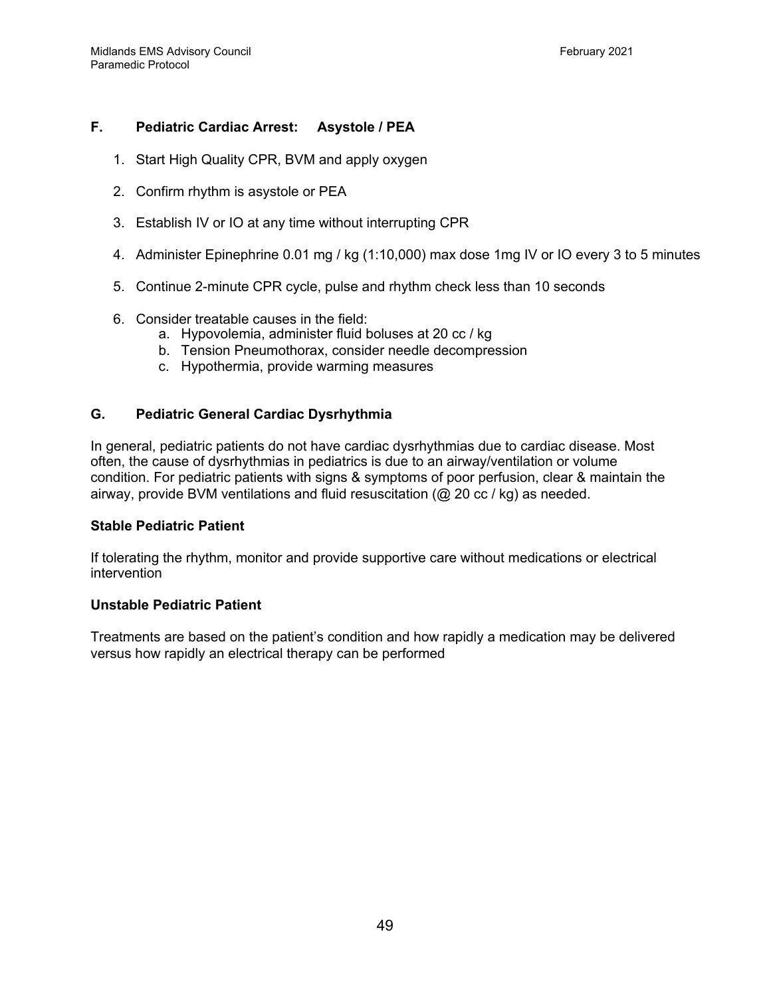# **F. Pediatric Cardiac Arrest: Asystole / PEA**

- 1. Start High Quality CPR, BVM and apply oxygen
- 2. Confirm rhythm is asystole or PEA
- 3. Establish IV or IO at any time without interrupting CPR
- 4. Administer Epinephrine 0.01 mg / kg (1:10,000) max dose 1mg IV or IO every 3 to 5 minutes
- 5. Continue 2-minute CPR cycle, pulse and rhythm check less than 10 seconds
- 6. Consider treatable causes in the field:
	- a. Hypovolemia, administer fluid boluses at 20 cc / kg
	- b. Tension Pneumothorax, consider needle decompression
	- c. Hypothermia, provide warming measures

#### **G. Pediatric General Cardiac Dysrhythmia**

In general, pediatric patients do not have cardiac dysrhythmias due to cardiac disease. Most often, the cause of dysrhythmias in pediatrics is due to an airway/ventilation or volume condition. For pediatric patients with signs & symptoms of poor perfusion, clear & maintain the airway, provide BVM ventilations and fluid resuscitation  $(Q_2 20 \text{ cc } / \text{ kg})$  as needed.

#### **Stable Pediatric Patient**

If tolerating the rhythm, monitor and provide supportive care without medications or electrical intervention

#### **Unstable Pediatric Patient**

Treatments are based on the patient's condition and how rapidly a medication may be delivered versus how rapidly an electrical therapy can be performed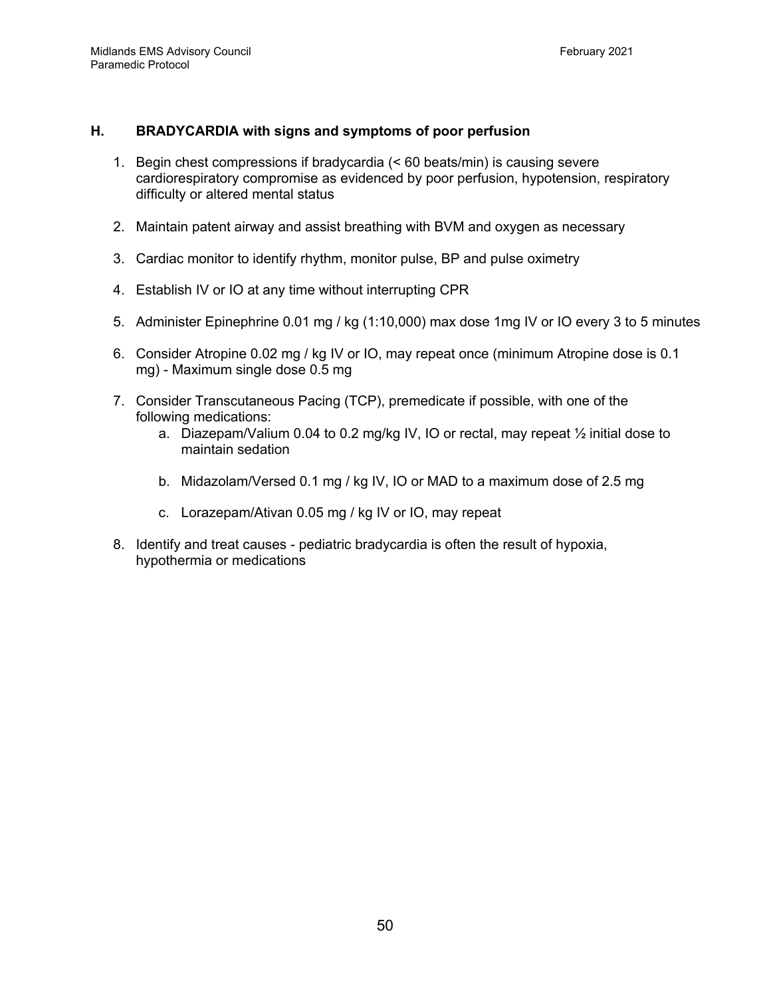# **H. BRADYCARDIA with signs and symptoms of poor perfusion**

- 1. Begin chest compressions if bradycardia (< 60 beats/min) is causing severe cardiorespiratory compromise as evidenced by poor perfusion, hypotension, respiratory difficulty or altered mental status
- 2. Maintain patent airway and assist breathing with BVM and oxygen as necessary
- 3. Cardiac monitor to identify rhythm, monitor pulse, BP and pulse oximetry
- 4. Establish IV or IO at any time without interrupting CPR
- 5. Administer Epinephrine 0.01 mg / kg (1:10,000) max dose 1mg IV or IO every 3 to 5 minutes
- 6. Consider Atropine 0.02 mg / kg IV or IO, may repeat once (minimum Atropine dose is 0.1 mg) - Maximum single dose 0.5 mg
- 7. Consider Transcutaneous Pacing (TCP), premedicate if possible, with one of the following medications:
	- a. Diazepam/Valium 0.04 to 0.2 mg/kg IV, IO or rectal, may repeat ½ initial dose to maintain sedation
	- b. Midazolam/Versed 0.1 mg / kg IV, IO or MAD to a maximum dose of 2.5 mg
	- c. Lorazepam/Ativan 0.05 mg / kg IV or IO, may repeat
- 8. Identify and treat causes pediatric bradycardia is often the result of hypoxia, hypothermia or medications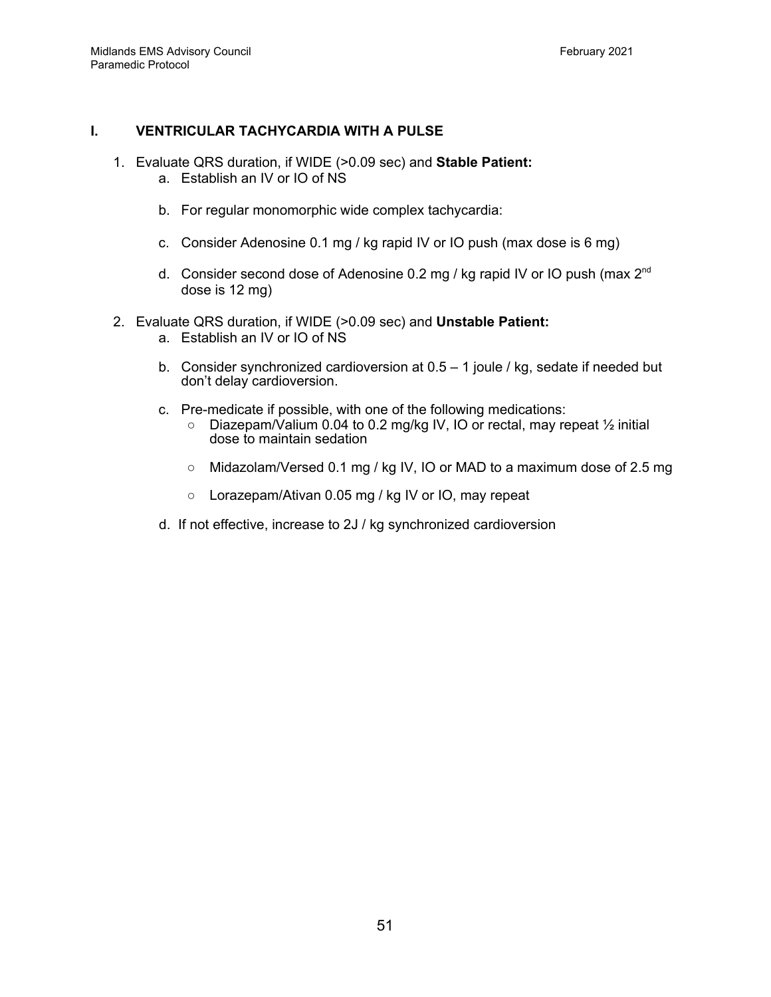# **I. VENTRICULAR TACHYCARDIA WITH A PULSE**

- 1. Evaluate QRS duration, if WIDE (>0.09 sec) and **Stable Patient:** a. Establish an IV or IO of NS
	- b. For regular monomorphic wide complex tachycardia:
	- c. Consider Adenosine 0.1 mg / kg rapid IV or IO push (max dose is 6 mg)
	- d. Consider second dose of Adenosine 0.2 mg / kg rapid IV or IO push (max  $2^{nd}$ dose is 12 mg)
- 2. Evaluate QRS duration, if WIDE (>0.09 sec) and **Unstable Patient:**
	- a. Establish an IV or IO of NS
	- b. Consider synchronized cardioversion at 0.5 1 joule / kg, sedate if needed but don't delay cardioversion.
	- c. Pre-medicate if possible, with one of the following medications:
		- Diazepam/Valium 0.04 to 0.2 mg/kg IV, IO or rectal, may repeat ½ initial dose to maintain sedation
		- $\circ$  Midazolam/Versed 0.1 mg / kg IV, IO or MAD to a maximum dose of 2.5 mg
		- Lorazepam/Ativan 0.05 mg / kg IV or IO, may repeat
	- d. If not effective, increase to 2J / kg synchronized cardioversion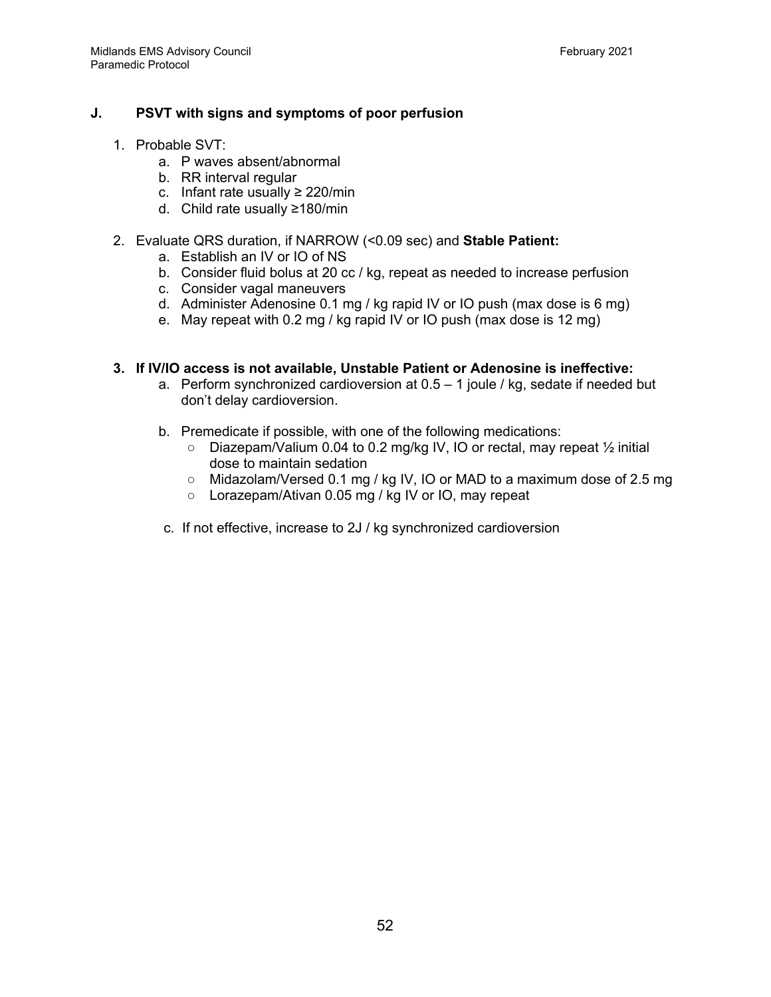# **J. PSVT with signs and symptoms of poor perfusion**

- 1. Probable SVT:
	- a. P waves absent/abnormal
	- b. RR interval regular
	- c. Infant rate usually ≥ 220/min
	- d. Child rate usually ≥180/min
- 2. Evaluate QRS duration, if NARROW (<0.09 sec) and **Stable Patient:**
	- a. Establish an IV or IO of NS
	- b. Consider fluid bolus at 20 cc / kg, repeat as needed to increase perfusion
	- c. Consider vagal maneuvers
	- d. Administer Adenosine 0.1 mg / kg rapid IV or IO push (max dose is 6 mg)
	- e. May repeat with 0.2 mg / kg rapid IV or IO push (max dose is 12 mg)

#### **3. If IV/IO access is not available, Unstable Patient or Adenosine is ineffective:**

- a. Perform synchronized cardioversion at  $0.5 1$  joule / kg, sedate if needed but don't delay cardioversion.
- b. Premedicate if possible, with one of the following medications:
	- Diazepam/Valium 0.04 to 0.2 mg/kg IV, IO or rectal, may repeat ½ initial dose to maintain sedation
	- Midazolam/Versed 0.1 mg / kg IV, IO or MAD to a maximum dose of 2.5 mg
	- Lorazepam/Ativan 0.05 mg / kg IV or IO, may repeat
- c. If not effective, increase to 2J / kg synchronized cardioversion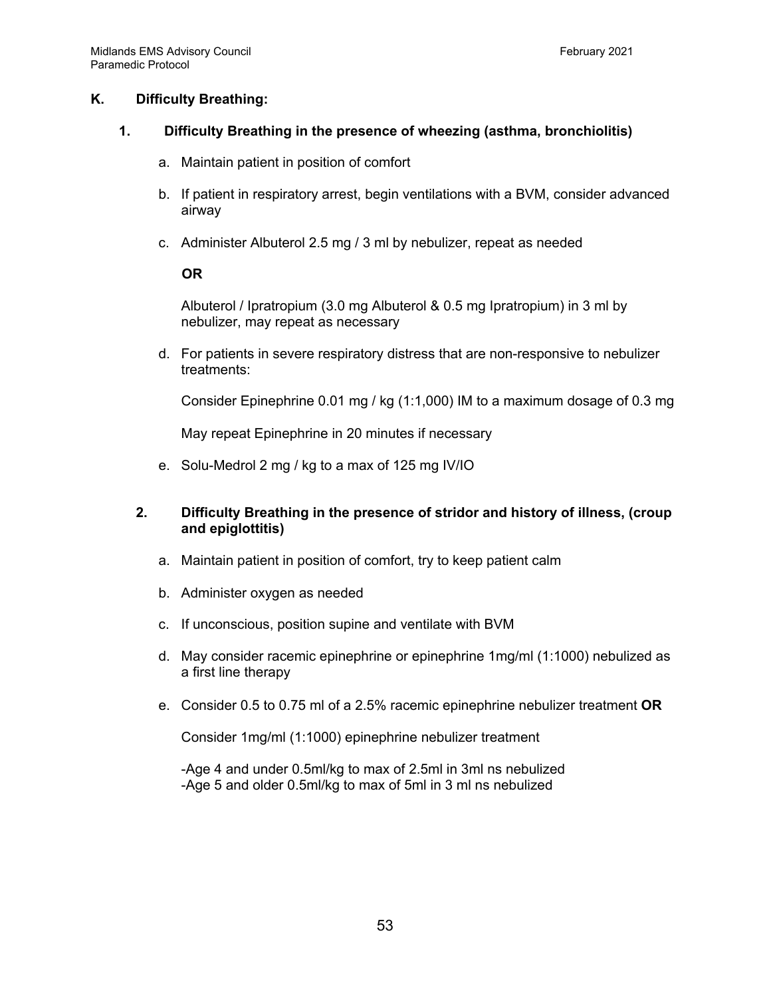#### **K. Difficulty Breathing:**

#### **1. Difficulty Breathing in the presence of wheezing (asthma, bronchiolitis)**

- a. Maintain patient in position of comfort
- b. If patient in respiratory arrest, begin ventilations with a BVM, consider advanced airway
- c. Administer Albuterol 2.5 mg / 3 ml by nebulizer, repeat as needed

#### **OR**

Albuterol / Ipratropium (3.0 mg Albuterol & 0.5 mg Ipratropium) in 3 ml by nebulizer, may repeat as necessary

d. For patients in severe respiratory distress that are non-responsive to nebulizer treatments:

Consider Epinephrine 0.01 mg / kg (1:1,000) IM to a maximum dosage of 0.3 mg

May repeat Epinephrine in 20 minutes if necessary

e. Solu-Medrol 2 mg / kg to a max of 125 mg IV/IO

# **2. Difficulty Breathing in the presence of stridor and history of illness, (croup and epiglottitis)**

- a. Maintain patient in position of comfort, try to keep patient calm
- b. Administer oxygen as needed
- c. If unconscious, position supine and ventilate with BVM
- d. May consider racemic epinephrine or epinephrine 1mg/ml (1:1000) nebulized as a first line therapy
- e. Consider 0.5 to 0.75 ml of a 2.5% racemic epinephrine nebulizer treatment **OR**

Consider 1mg/ml (1:1000) epinephrine nebulizer treatment

-Age 4 and under 0.5ml/kg to max of 2.5ml in 3ml ns nebulized -Age 5 and older 0.5ml/kg to max of 5ml in 3 ml ns nebulized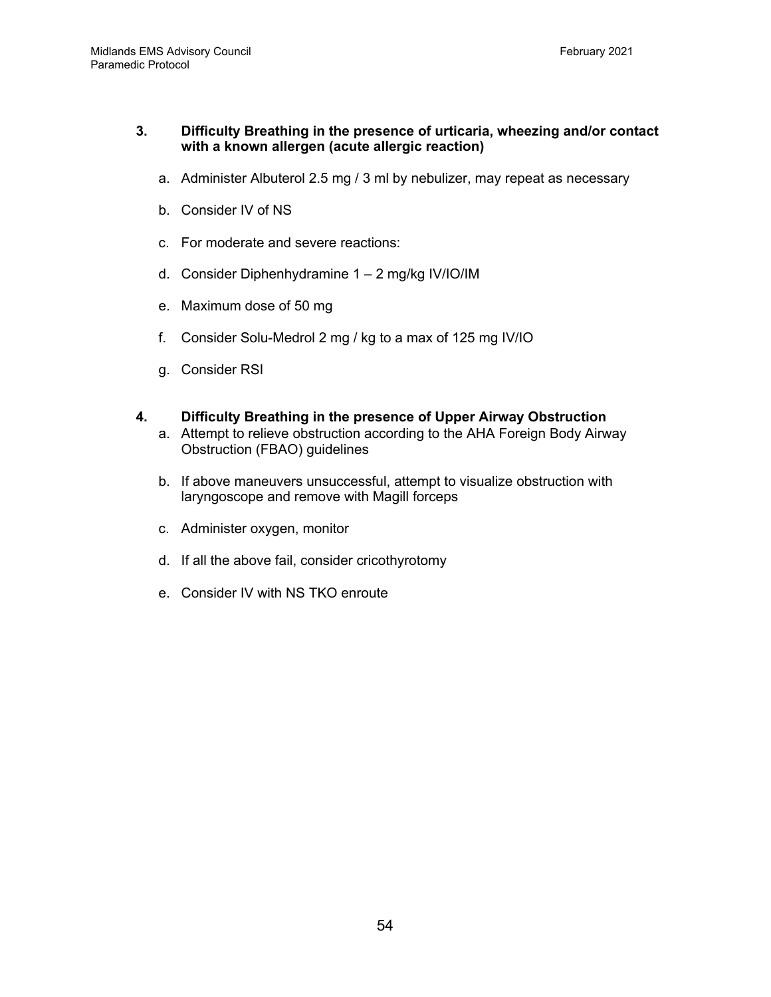#### **3. Difficulty Breathing in the presence of urticaria, wheezing and/or contact with a known allergen (acute allergic reaction)**

- a. Administer Albuterol 2.5 mg / 3 ml by nebulizer, may repeat as necessary
- b. Consider IV of NS
- c. For moderate and severe reactions:
- d. Consider Diphenhydramine 1 2 mg/kg IV/IO/IM
- e. Maximum dose of 50 mg
- f. Consider Solu-Medrol 2 mg / kg to a max of 125 mg IV/IO
- g. Consider RSI

#### **4. Difficulty Breathing in the presence of Upper Airway Obstruction**

- a. Attempt to relieve obstruction according to the AHA Foreign Body Airway Obstruction (FBAO) guidelines
- b. If above maneuvers unsuccessful, attempt to visualize obstruction with laryngoscope and remove with Magill forceps
- c. Administer oxygen, monitor
- d. If all the above fail, consider cricothyrotomy
- e. Consider IV with NS TKO enroute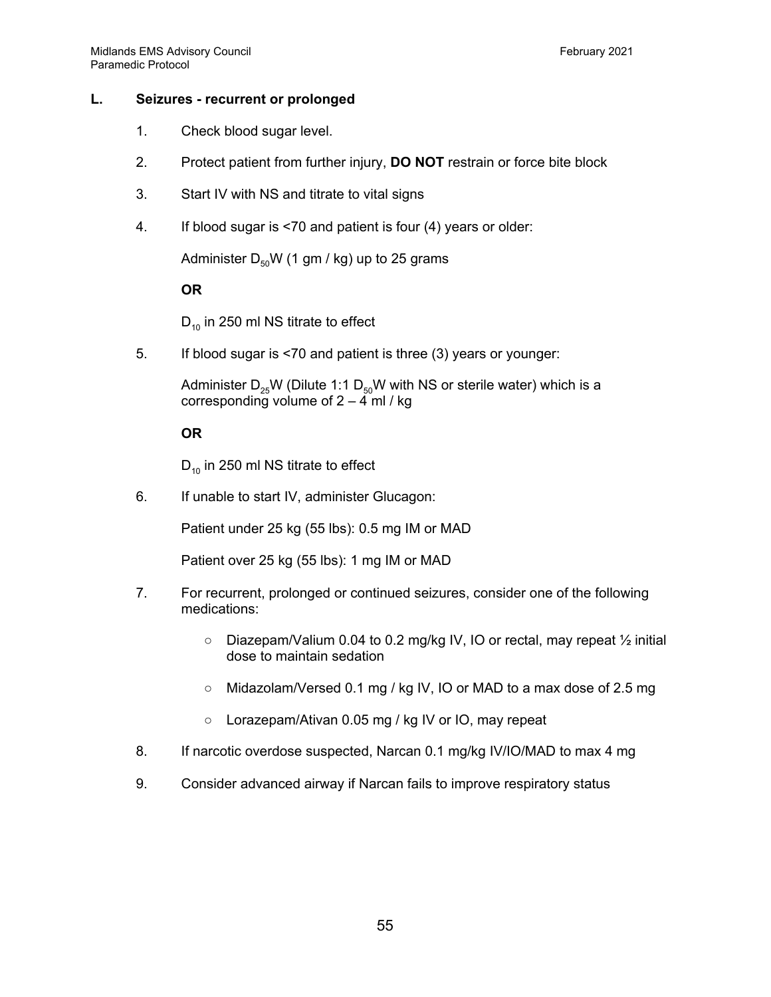# **L. Seizures - recurrent or prolonged**

- 1. Check blood sugar level.
- 2. Protect patient from further injury, **DO NOT** restrain or force bite block
- 3. Start IV with NS and titrate to vital signs
- 4. If blood sugar is <70 and patient is four (4) years or older:

Administer  $D_{50}W$  (1 gm / kg) up to 25 grams

#### **OR**

 $D_{10}$  in 250 ml NS titrate to effect

5. If blood sugar is <70 and patient is three (3) years or younger:

Administer  $D_{25}W$  (Dilute 1:1  $D_{50}W$  with NS or sterile water) which is a corresponding volume of  $2 - 4$  ml / kg

#### **OR**

 $D_{10}$  in 250 ml NS titrate to effect

6. If unable to start IV, administer Glucagon:

Patient under 25 kg (55 lbs): 0.5 mg IM or MAD

Patient over 25 kg (55 lbs): 1 mg IM or MAD

- 7. For recurrent, prolonged or continued seizures, consider one of the following medications:
	- Diazepam/Valium 0.04 to 0.2 mg/kg IV, IO or rectal, may repeat ½ initial dose to maintain sedation
	- Midazolam/Versed 0.1 mg / kg IV, IO or MAD to a max dose of 2.5 mg
	- Lorazepam/Ativan 0.05 mg / kg IV or IO, may repeat
- 8. If narcotic overdose suspected, Narcan 0.1 mg/kg IV/IO/MAD to max 4 mg
- 9. Consider advanced airway if Narcan fails to improve respiratory status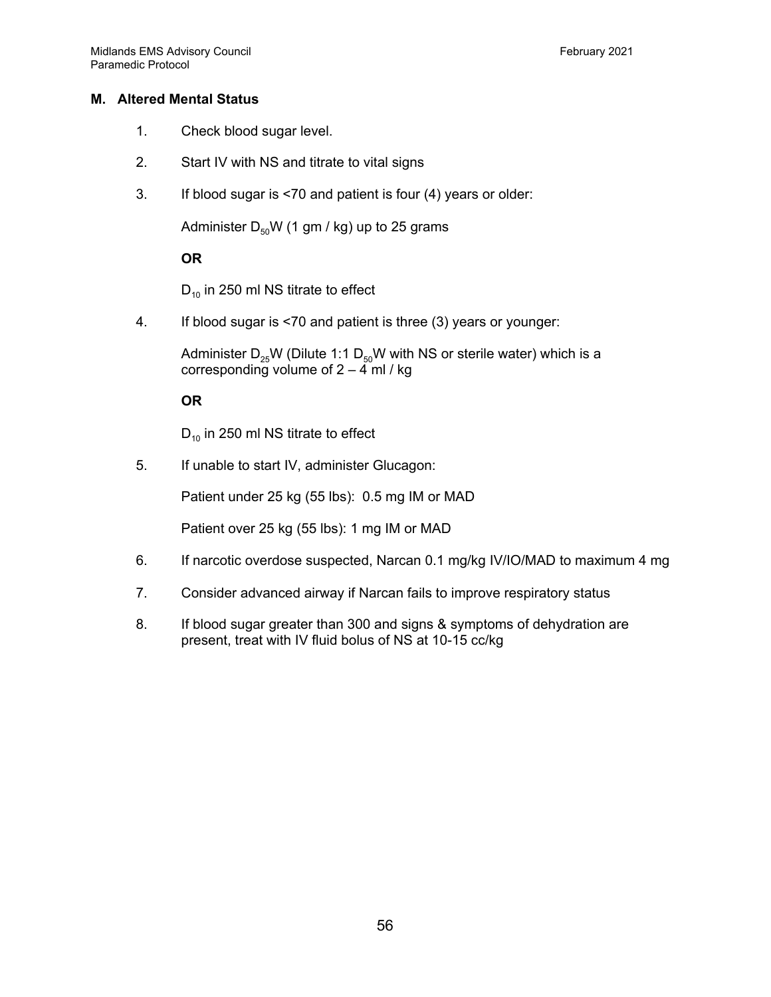# **M. Altered Mental Status**

- 1. Check blood sugar level.
- 2. Start IV with NS and titrate to vital signs
- 3. If blood sugar is <70 and patient is four (4) years or older:

Administer  $D_{50}W$  (1 gm / kg) up to 25 grams

# **OR**

 $D_{10}$  in 250 ml NS titrate to effect

4. If blood sugar is <70 and patient is three (3) years or younger:

Administer  $D_{25}W$  (Dilute 1:1  $D_{50}W$  with NS or sterile water) which is a corresponding volume of  $2 - 4$  ml / kg

# **OR**

 $D_{10}$  in 250 ml NS titrate to effect

5. If unable to start IV, administer Glucagon:

Patient under 25 kg (55 lbs): 0.5 mg IM or MAD

Patient over 25 kg (55 lbs): 1 mg IM or MAD

- 6. If narcotic overdose suspected, Narcan 0.1 mg/kg IV/IO/MAD to maximum 4 mg
- 7. Consider advanced airway if Narcan fails to improve respiratory status
- 8. If blood sugar greater than 300 and signs & symptoms of dehydration are present, treat with IV fluid bolus of NS at 10-15 cc/kg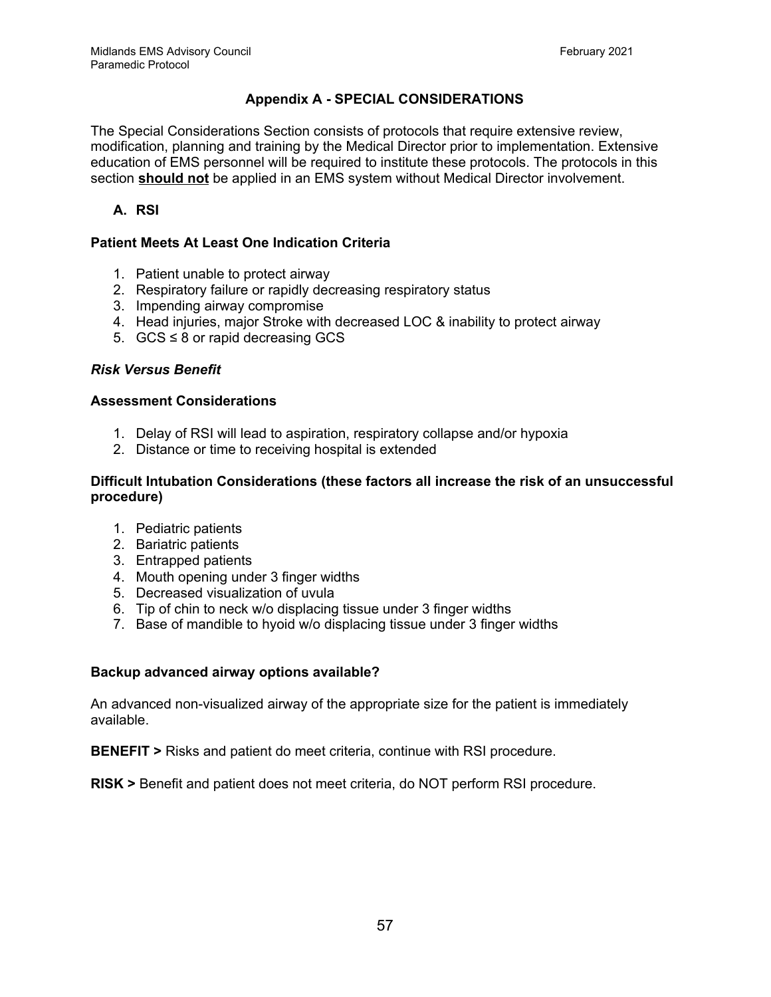# **Appendix A - SPECIAL CONSIDERATIONS**

The Special Considerations Section consists of protocols that require extensive review, modification, planning and training by the Medical Director prior to implementation. Extensive education of EMS personnel will be required to institute these protocols. The protocols in this section **should not** be applied in an EMS system without Medical Director involvement.

# **A. RSI**

# **Patient Meets At Least One Indication Criteria**

- 1. Patient unable to protect airway
- 2. Respiratory failure or rapidly decreasing respiratory status
- 3. Impending airway compromise
- 4. Head injuries, major Stroke with decreased LOC & inability to protect airway
- 5.  $GCS ≤ 8$  or rapid decreasing  $GCS$

#### *Risk Versus Benefit*

#### **Assessment Considerations**

- 1. Delay of RSI will lead to aspiration, respiratory collapse and/or hypoxia
- 2. Distance or time to receiving hospital is extended

#### **Difficult Intubation Considerations (these factors all increase the risk of an unsuccessful procedure)**

- 1. Pediatric patients
- 2. Bariatric patients
- 3. Entrapped patients
- 4. Mouth opening under 3 finger widths
- 5. Decreased visualization of uvula
- 6. Tip of chin to neck w/o displacing tissue under 3 finger widths
- 7. Base of mandible to hyoid w/o displacing tissue under 3 finger widths

#### **Backup advanced airway options available?**

An advanced non-visualized airway of the appropriate size for the patient is immediately available.

**BENEFIT >** Risks and patient do meet criteria, continue with RSI procedure.

**RISK >** Benefit and patient does not meet criteria, do NOT perform RSI procedure.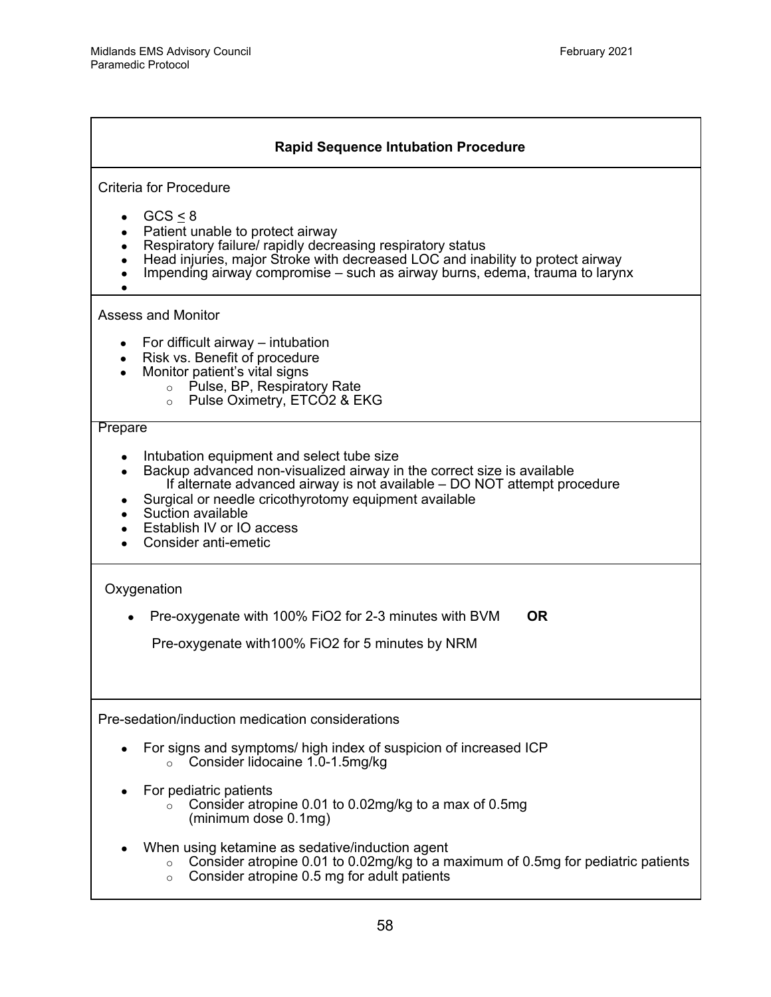| <b>Rapid Sequence Intubation Procedure</b>                                                                                                                                                                                                                                                                                                      |  |  |
|-------------------------------------------------------------------------------------------------------------------------------------------------------------------------------------------------------------------------------------------------------------------------------------------------------------------------------------------------|--|--|
| <b>Criteria for Procedure</b>                                                                                                                                                                                                                                                                                                                   |  |  |
| GCS < 8<br>Patient unable to protect airway<br>$\bullet$<br>Respiratory failure/ rapidly decreasing respiratory status<br>Head injuries, major Stroke with decreased LOC and inability to protect airway<br>Impending airway compromise – such as airway burns, edema, trauma to larynx                                                         |  |  |
| <b>Assess and Monitor</b>                                                                                                                                                                                                                                                                                                                       |  |  |
| For difficult airway – intubation<br>Risk vs. Benefit of procedure<br>$\bullet$<br>Monitor patient's vital signs<br>o Pulse, BP, Respiratory Rate<br>Pulse Oximetry, ETCO2 & EKG<br>$\circ$                                                                                                                                                     |  |  |
| Prepare                                                                                                                                                                                                                                                                                                                                         |  |  |
| Intubation equipment and select tube size<br>Backup advanced non-visualized airway in the correct size is available<br>$\bullet$<br>If alternate advanced airway is not available – DO NOT attempt procedure<br>Surgical or needle cricothyrotomy equipment available<br>Suction available<br>Establish IV or IO access<br>Consider anti-emetic |  |  |
| Oxygenation                                                                                                                                                                                                                                                                                                                                     |  |  |
| <b>OR</b><br>Pre-oxygenate with 100% FiO2 for 2-3 minutes with BVM                                                                                                                                                                                                                                                                              |  |  |
| Pre-oxygenate with 100% FiO2 for 5 minutes by NRM                                                                                                                                                                                                                                                                                               |  |  |
| Pre-sedation/induction medication considerations                                                                                                                                                                                                                                                                                                |  |  |
| For signs and symptoms/ high index of suspicion of increased ICP<br>Consider lidocaine 1.0-1.5mg/kg<br>$\circ$                                                                                                                                                                                                                                  |  |  |
| For pediatric patients<br>Consider atropine 0.01 to 0.02mg/kg to a max of 0.5mg<br>(minimum dose 0.1mg)                                                                                                                                                                                                                                         |  |  |
| When using ketamine as sedative/induction agent<br>Consider atropine 0.01 to 0.02mg/kg to a maximum of 0.5mg for pediatric patients<br>$\circ$<br>Consider atropine 0.5 mg for adult patients<br>$\circ$                                                                                                                                        |  |  |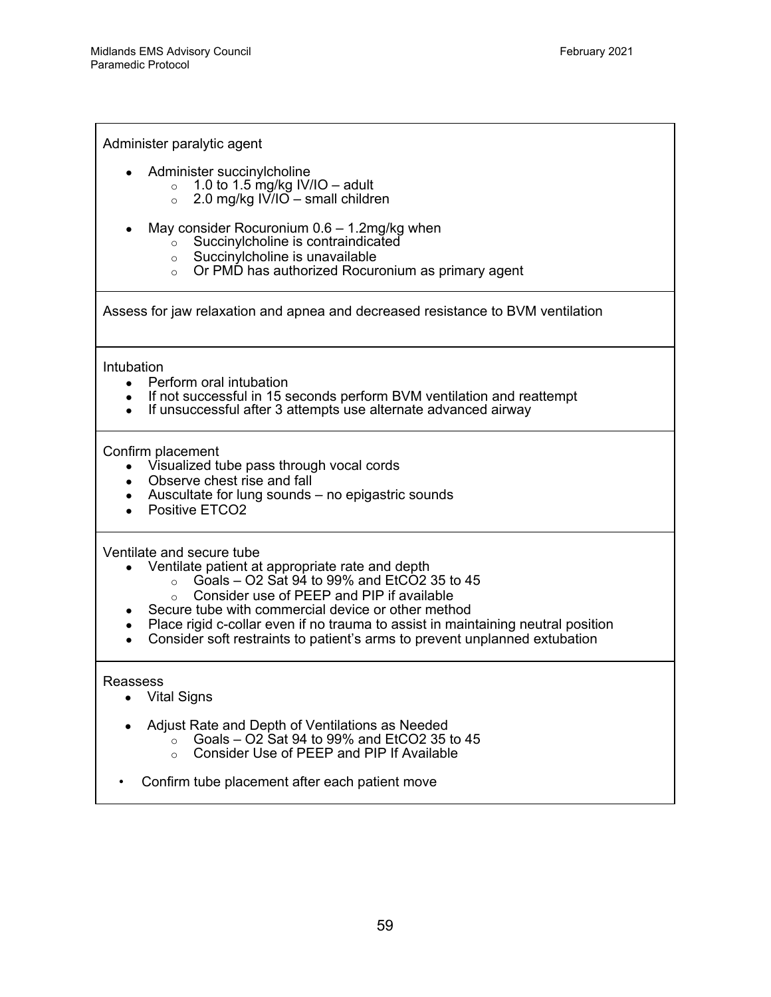Administer paralytic agent

- Administer succinylcholine
	- $\circ$  1.0 to 1.5 mg/kg IV/IO adult
	- $\circ$  2.0 mg/kg IV/IO small children
- May consider Rocuronium  $0.6 1.2$ mg/kg when
	- $\sim$  Succinylcholine is contraindicated
	- $\circ$  Succinylcholine is unavailable
	- $\circ$  Or PMD has authorized Rocuronium as primary agent

Assess for jaw relaxation and apnea and decreased resistance to BVM ventilation

**Intubation** 

- Perform oral intubation
- If not successful in 15 seconds perform BVM ventilation and reattempt
- If unsuccessful after 3 attempts use alternate advanced airway

Confirm placement

- Visualized tube pass through vocal cords
- Observe chest rise and fall
- Auscultate for lung sounds  $-$  no epigastric sounds
- Positive ETCO2

Ventilate and secure tube

- Ventilate patient at appropriate rate and depth
	- $\circ$  Goals O2 Sat 94 to 99% and EtCO2 35 to 45
	- o Consider use of PEEP and PIP if available
- Secure tube with commercial device or other method
- Place rigid c-collar even if no trauma to assist in maintaining neutral position
- Consider soft restraints to patient's arms to prevent unplanned extubation

Reassess

- Vital Signs
- Adjust Rate and Depth of Ventilations as Needed
	- $\circ$  Goals O2 Sat 94 to 99% and EtCO2 35 to 45
		- o Consider Use of PEEP and PIP If Available
- Confirm tube placement after each patient move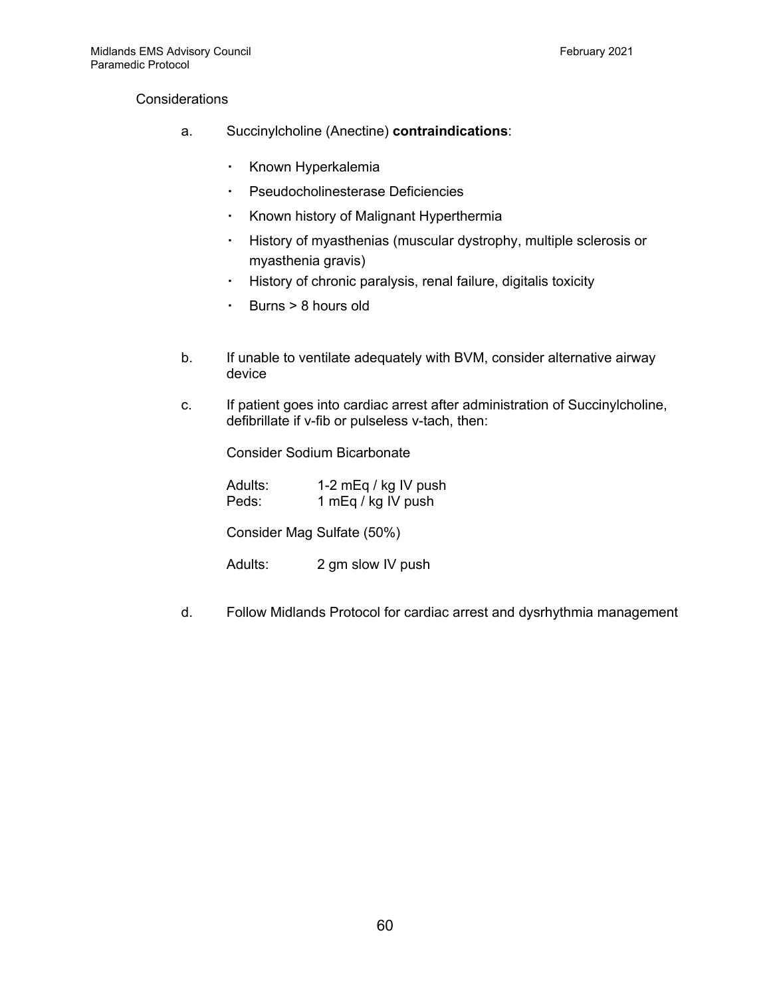#### **Considerations**

- a. Succinylcholine (Anectine) **contraindications**:
	- Known Hyperkalemia
	- Pseudocholinesterase Deficiencies
	- Known history of Malignant Hyperthermia
	- History of myasthenias (muscular dystrophy, multiple sclerosis or myasthenia gravis)
	- History of chronic paralysis, renal failure, digitalis toxicity
	- Burns > 8 hours old
- b. If unable to ventilate adequately with BVM, consider alternative airway device
- c. If patient goes into cardiac arrest after administration of Succinylcholine, defibrillate if v-fib or pulseless v-tach, then:

Consider Sodium Bicarbonate

| Adults: | 1-2 mEq / kg IV push |
|---------|----------------------|
| Peds:   | 1 mEq / kg IV push   |

Consider Mag Sulfate (50%)

Adults: 2 gm slow IV push

d. Follow Midlands Protocol for cardiac arrest and dysrhythmia management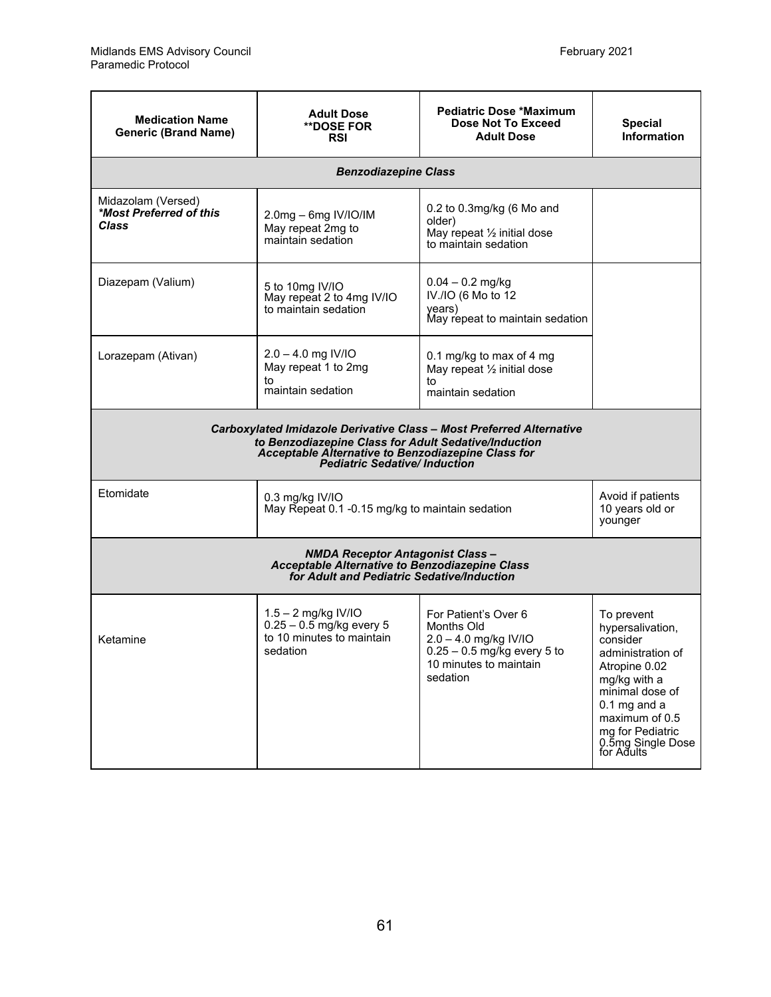| <b>Medication Name</b><br><b>Generic (Brand Name)</b>                                                                                                                                                                     | <b>Adult Dose</b><br><b>**DOSE FOR</b><br><b>RSI</b>                                                                                                         | <b>Pediatric Dose *Maximum</b><br>Dose Not To Exceed<br><b>Adult Dose</b>                                                          | <b>Special</b><br><b>Information</b>                                                                                                                                                                           |
|---------------------------------------------------------------------------------------------------------------------------------------------------------------------------------------------------------------------------|--------------------------------------------------------------------------------------------------------------------------------------------------------------|------------------------------------------------------------------------------------------------------------------------------------|----------------------------------------------------------------------------------------------------------------------------------------------------------------------------------------------------------------|
|                                                                                                                                                                                                                           | <b>Benzodiazepine Class</b>                                                                                                                                  |                                                                                                                                    |                                                                                                                                                                                                                |
| Midazolam (Versed)<br>*Most Preferred of this<br>Class                                                                                                                                                                    | 0.2 to 0.3mg/kg (6 Mo and<br>2.0mg - 6mg IV/IO/IM<br>older)<br>May repeat 2mg to<br>May repeat 1/2 initial dose<br>maintain sedation<br>to maintain sedation |                                                                                                                                    |                                                                                                                                                                                                                |
| Diazepam (Valium)<br>5 to 10mg IV/IO<br>May repeat 2 to 4mg IV/IO<br>to maintain sedation                                                                                                                                 |                                                                                                                                                              | $0.04 - 0.2$ mg/kg<br>IV./IO (6 Mo to 12<br>years)<br>May repeat to maintain sedation                                              |                                                                                                                                                                                                                |
| Lorazepam (Ativan)                                                                                                                                                                                                        | $2.0 - 4.0$ mg IV/IO<br>May repeat 1 to 2mg<br>to<br>maintain sedation                                                                                       | 0.1 mg/kg to max of 4 mg<br>May repeat 1/2 initial dose<br>to<br>maintain sedation                                                 |                                                                                                                                                                                                                |
| Carboxylated Imidazole Derivative Class - Most Preferred Alternative<br>to Benzodiazepine Class for Adult Sedative/Induction<br>Acceptable Alternative to Benzodiazepine Class for<br><b>Pediatric Sedative/Induction</b> |                                                                                                                                                              |                                                                                                                                    |                                                                                                                                                                                                                |
| Etomidate<br>$0.3$ mg/kg IV/IO<br>May Repeat 0.1 -0.15 mg/kg to maintain sedation                                                                                                                                         |                                                                                                                                                              | Avoid if patients<br>10 years old or<br>younger                                                                                    |                                                                                                                                                                                                                |
| <b>NMDA Receptor Antagonist Class-</b><br>Acceptable Alternative to Benzodiazepine Class<br>for Adult and Pediatric Sedative/Induction                                                                                    |                                                                                                                                                              |                                                                                                                                    |                                                                                                                                                                                                                |
| Ketamine                                                                                                                                                                                                                  | 1.5 - 2 mg/kg IV/IO<br>$0.25 - 0.5$ mg/kg every 5<br>to 10 minutes to maintain<br>sedation                                                                   | For Patient's Over 6<br>Months Old<br>2.0 - 4.0 mg/kg IV/IO<br>$0.25 - 0.5$ mg/kg every 5 to<br>10 minutes to maintain<br>sedation | To prevent<br>hypersalivation,<br>consider<br>administration of<br>Atropine 0.02<br>mg/kg with a<br>minimal dose of<br>$0.1$ mg and a<br>maximum of 0.5<br>mg for Pediatric<br>0.5mg Single Dose<br>for Adults |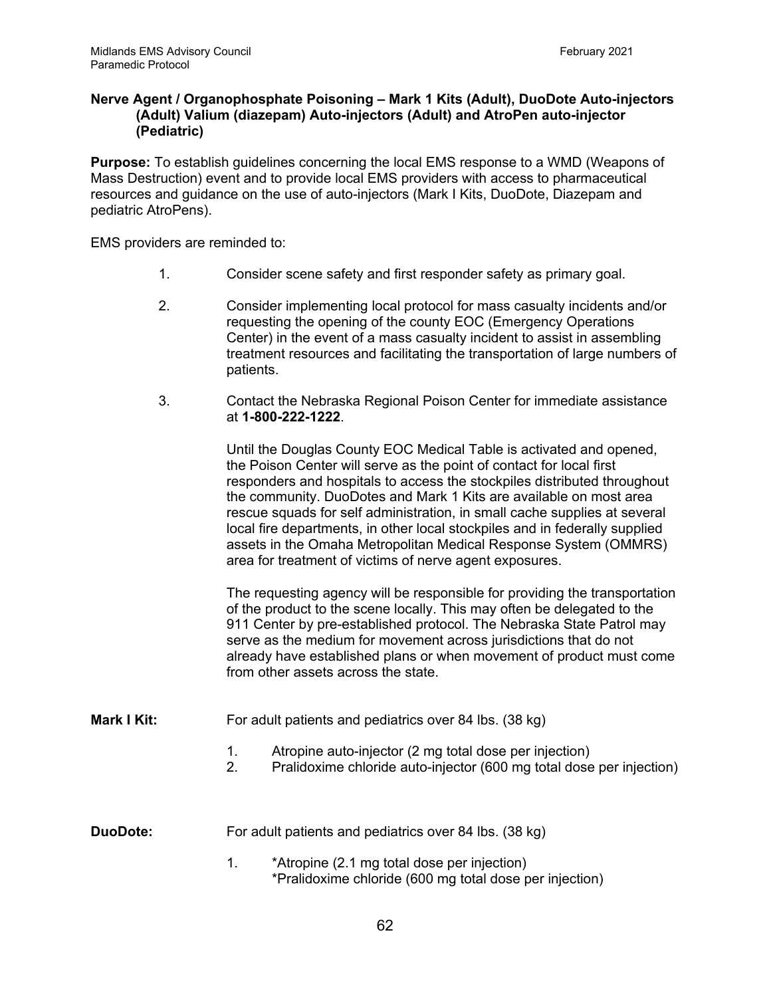#### **Nerve Agent / Organophosphate Poisoning – Mark 1 Kits (Adult), DuoDote Auto-injectors (Adult) Valium (diazepam) Auto-injectors (Adult) and AtroPen auto-injector (Pediatric)**

**Purpose:** To establish guidelines concerning the local EMS response to a WMD (Weapons of Mass Destruction) event and to provide local EMS providers with access to pharmaceutical resources and guidance on the use of auto-injectors (Mark I Kits, DuoDote, Diazepam and pediatric AtroPens).

EMS providers are reminded to:

- 1. Consider scene safety and first responder safety as primary goal.
- 2. Consider implementing local protocol for mass casualty incidents and/or requesting the opening of the county EOC (Emergency Operations Center) in the event of a mass casualty incident to assist in assembling treatment resources and facilitating the transportation of large numbers of patients.
- 3. Contact the Nebraska Regional Poison Center for immediate assistance at **1-800-222-1222**.

Until the Douglas County EOC Medical Table is activated and opened, the Poison Center will serve as the point of contact for local first responders and hospitals to access the stockpiles distributed throughout the community. DuoDotes and Mark 1 Kits are available on most area rescue squads for self administration, in small cache supplies at several local fire departments, in other local stockpiles and in federally supplied assets in the Omaha Metropolitan Medical Response System (OMMRS) area for treatment of victims of nerve agent exposures.

The requesting agency will be responsible for providing the transportation of the product to the scene locally. This may often be delegated to the 911 Center by pre-established protocol. The Nebraska State Patrol may serve as the medium for movement across jurisdictions that do not already have established plans or when movement of product must come from other assets across the state.

- **Mark I Kit:** For adult patients and pediatrics over 84 lbs. (38 kg)
	- 1. Atropine auto-injector (2 mg total dose per injection)
	- 2. Pralidoxime chloride auto-injector (600 mg total dose per injection)

**DuoDote:** For adult patients and pediatrics over 84 lbs. (38 kg)

1. \*Atropine (2.1 mg total dose per injection) \*Pralidoxime chloride (600 mg total dose per injection)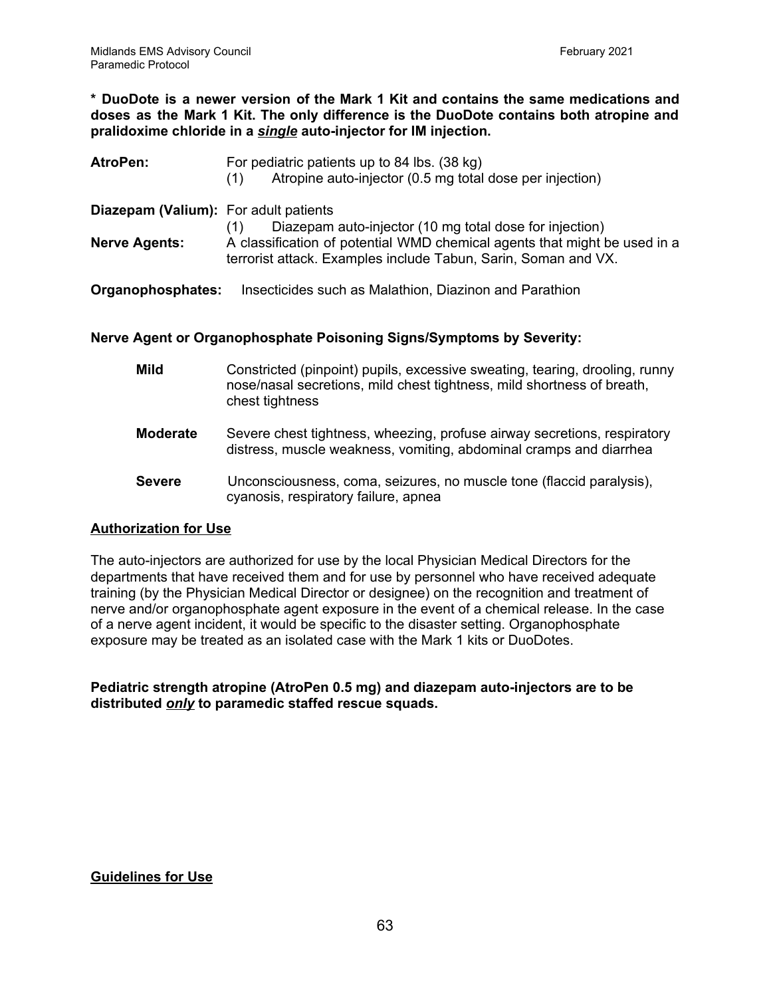**\* DuoDote is a newer version of the Mark 1 Kit and contains the same medications and doses as the Mark 1 Kit. The only difference is the DuoDote contains both atropine and pralidoxime chloride in a** *single* **auto-injector for IM injection.**

| <b>AtroPen:</b>                              | For pediatric patients up to 84 lbs. (38 kg)<br>Atropine auto-injector (0.5 mg total dose per injection)<br>(1)                             |
|----------------------------------------------|---------------------------------------------------------------------------------------------------------------------------------------------|
| <b>Diazepam (Valium):</b> For adult patients | Diazepam auto-injector (10 mg total dose for injection)                                                                                     |
| <b>Nerve Agents:</b>                         | A classification of potential WMD chemical agents that might be used in a<br>terrorist attack. Examples include Tabun, Sarin, Soman and VX. |
| Organophosphates:                            | Insecticides such as Malathion, Diazinon and Parathion                                                                                      |

#### **Nerve Agent or Organophosphate Poisoning Signs/Symptoms by Severity:**

| Mild            | Constricted (pinpoint) pupils, excessive sweating, tearing, drooling, runny<br>nose/nasal secretions, mild chest tightness, mild shortness of breath,<br>chest tightness |
|-----------------|--------------------------------------------------------------------------------------------------------------------------------------------------------------------------|
| <b>Moderate</b> | Severe chest tightness, wheezing, profuse airway secretions, respiratory<br>distress, muscle weakness, vomiting, abdominal cramps and diarrhea                           |
| <b>Severe</b>   | Unconsciousness, coma, seizures, no muscle tone (flaccid paralysis),<br>cyanosis, respiratory failure, apnea                                                             |

#### **Authorization for Use**

The auto-injectors are authorized for use by the local Physician Medical Directors for the departments that have received them and for use by personnel who have received adequate training (by the Physician Medical Director or designee) on the recognition and treatment of nerve and/or organophosphate agent exposure in the event of a chemical release. In the case of a nerve agent incident, it would be specific to the disaster setting. Organophosphate exposure may be treated as an isolated case with the Mark 1 kits or DuoDotes.

**Pediatric strength atropine (AtroPen 0.5 mg) and diazepam auto-injectors are to be distributed** *only* **to paramedic staffed rescue squads.**

# **Guidelines for Use**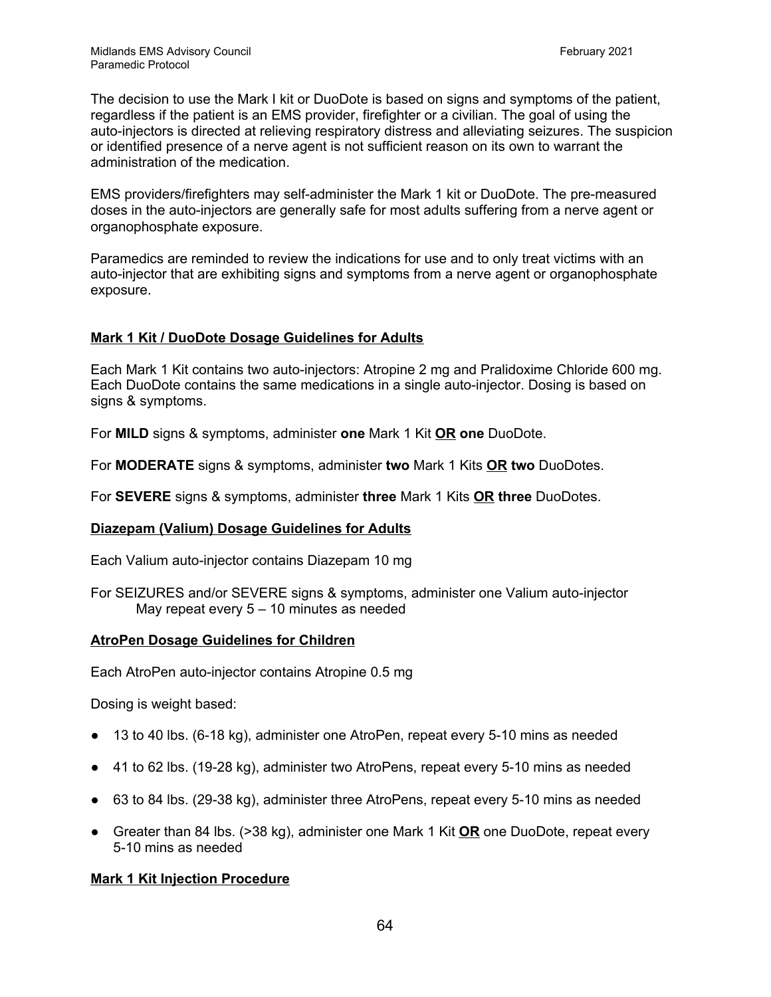The decision to use the Mark I kit or DuoDote is based on signs and symptoms of the patient, regardless if the patient is an EMS provider, firefighter or a civilian. The goal of using the auto-injectors is directed at relieving respiratory distress and alleviating seizures. The suspicion or identified presence of a nerve agent is not sufficient reason on its own to warrant the administration of the medication.

EMS providers/firefighters may self-administer the Mark 1 kit or DuoDote. The pre-measured doses in the auto-injectors are generally safe for most adults suffering from a nerve agent or organophosphate exposure.

Paramedics are reminded to review the indications for use and to only treat victims with an auto-injector that are exhibiting signs and symptoms from a nerve agent or organophosphate exposure.

#### **Mark 1 Kit / DuoDote Dosage Guidelines for Adults**

Each Mark 1 Kit contains two auto-injectors: Atropine 2 mg and Pralidoxime Chloride 600 mg. Each DuoDote contains the same medications in a single auto-injector. Dosing is based on signs & symptoms.

For **MILD** signs & symptoms, administer **one** Mark 1 Kit **OR one** DuoDote.

For **MODERATE** signs & symptoms, administer **two** Mark 1 Kits **OR two** DuoDotes.

For **SEVERE** signs & symptoms, administer **three** Mark 1 Kits **OR three** DuoDotes.

#### **Diazepam (Valium) Dosage Guidelines for Adults**

Each Valium auto-injector contains Diazepam 10 mg

For SEIZURES and/or SEVERE signs & symptoms, administer one Valium auto-injector May repeat every 5 – 10 minutes as needed

#### **AtroPen Dosage Guidelines for Children**

Each AtroPen auto-injector contains Atropine 0.5 mg

Dosing is weight based:

- 13 to 40 lbs. (6-18 kg), administer one AtroPen, repeat every 5-10 mins as needed
- 41 to 62 lbs. (19-28 kg), administer two AtroPens, repeat every 5-10 mins as needed
- 63 to 84 lbs. (29-38 kg), administer three AtroPens, repeat every 5-10 mins as needed
- Greater than 84 lbs. (>38 kg), administer one Mark 1 Kit **OR** one DuoDote, repeat every 5-10 mins as needed

#### **Mark 1 Kit Injection Procedure**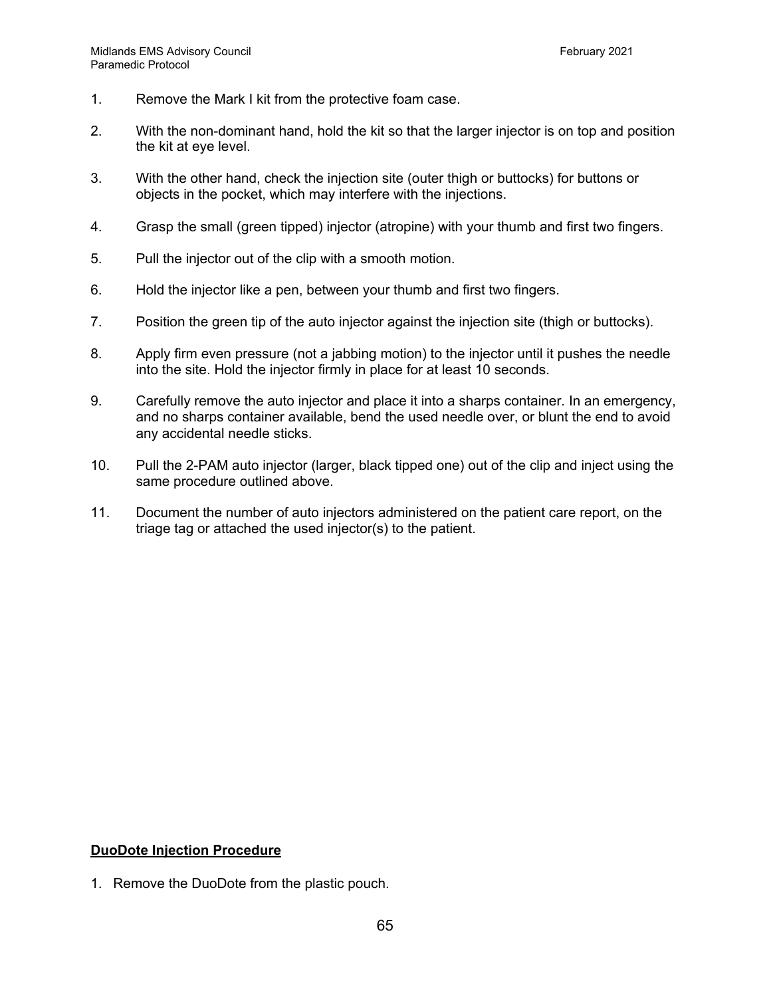- 1. Remove the Mark I kit from the protective foam case.
- 2. With the non-dominant hand, hold the kit so that the larger injector is on top and position the kit at eye level.
- 3. With the other hand, check the injection site (outer thigh or buttocks) for buttons or objects in the pocket, which may interfere with the injections.
- 4. Grasp the small (green tipped) injector (atropine) with your thumb and first two fingers.
- 5. Pull the injector out of the clip with a smooth motion.
- 6. Hold the injector like a pen, between your thumb and first two fingers.
- 7. Position the green tip of the auto injector against the injection site (thigh or buttocks).
- 8. Apply firm even pressure (not a jabbing motion) to the injector until it pushes the needle into the site. Hold the injector firmly in place for at least 10 seconds.
- 9. Carefully remove the auto injector and place it into a sharps container. In an emergency, and no sharps container available, bend the used needle over, or blunt the end to avoid any accidental needle sticks.
- 10. Pull the 2-PAM auto injector (larger, black tipped one) out of the clip and inject using the same procedure outlined above.
- 11. Document the number of auto injectors administered on the patient care report, on the triage tag or attached the used injector(s) to the patient.

# **DuoDote Injection Procedure**

1. Remove the DuoDote from the plastic pouch.